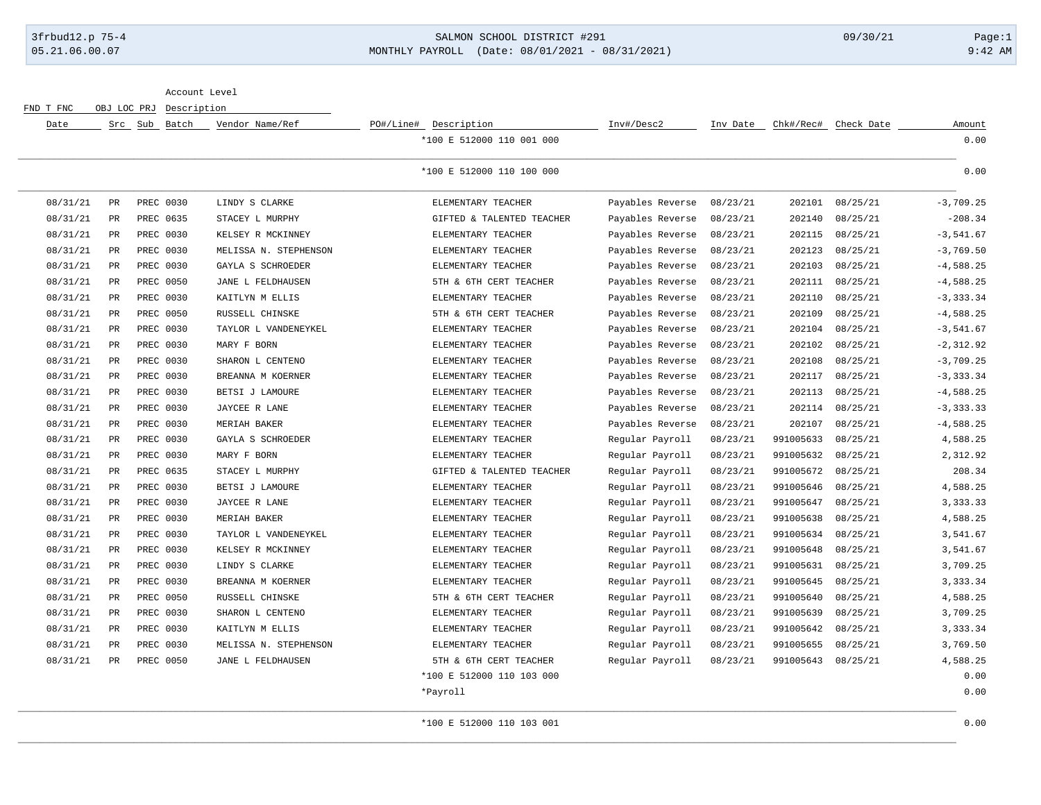## 3frbud12.p 75-4 SALMON SCHOOL DISTRICT #291 09/30/21 Page:1 05.21.06.00.07 MONTHLY PAYROLL (Date: 08/01/2021 - 08/31/2021) 9:42 AM

Account Level

FND T FNC OBJ LOC PRJ Description

| Date     |             | Src Sub Batch | Vendor Name/Ref       | PO#/Line# Description     | Inv#/Desc2       | Inv Date | Chk#/Rec# | Check Date | Amount       |
|----------|-------------|---------------|-----------------------|---------------------------|------------------|----------|-----------|------------|--------------|
|          |             |               |                       | *100 E 512000 110 001 000 |                  |          |           |            | 0.00         |
|          |             |               |                       | *100 E 512000 110 100 000 |                  |          |           |            | 0.00         |
| 08/31/21 | PR          | PREC 0030     | LINDY S CLARKE        | ELEMENTARY TEACHER        | Payables Reverse | 08/23/21 | 202101    | 08/25/21   | $-3,709.25$  |
| 08/31/21 | PR          | PREC 0635     | STACEY L MURPHY       | GIFTED & TALENTED TEACHER | Payables Reverse | 08/23/21 | 202140    | 08/25/21   | $-208.34$    |
| 08/31/21 | PR          | PREC 0030     | KELSEY R MCKINNEY     | ELEMENTARY TEACHER        | Payables Reverse | 08/23/21 | 202115    | 08/25/21   | $-3,541.67$  |
| 08/31/21 | PR          | PREC 0030     | MELISSA N. STEPHENSON | ELEMENTARY TEACHER        | Payables Reverse | 08/23/21 | 202123    | 08/25/21   | $-3,769.50$  |
| 08/31/21 | PR          | PREC 0030     | GAYLA S SCHROEDER     | ELEMENTARY TEACHER        | Payables Reverse | 08/23/21 | 202103    | 08/25/21   | $-4,588.25$  |
| 08/31/21 | PR          | PREC 0050     | JANE L FELDHAUSEN     | 5TH & 6TH CERT TEACHER    | Payables Reverse | 08/23/21 | 202111    | 08/25/21   | $-4,588.25$  |
| 08/31/21 | PR          | PREC 0030     | KAITLYN M ELLIS       | ELEMENTARY TEACHER        | Payables Reverse | 08/23/21 | 202110    | 08/25/21   | $-3, 333.34$ |
| 08/31/21 | PR          | PREC 0050     | RUSSELL CHINSKE       | 5TH & 6TH CERT TEACHER    | Payables Reverse | 08/23/21 | 202109    | 08/25/21   | $-4,588.25$  |
| 08/31/21 | PR          | PREC 0030     | TAYLOR L VANDENEYKEL  | ELEMENTARY TEACHER        | Payables Reverse | 08/23/21 | 202104    | 08/25/21   | $-3,541.67$  |
| 08/31/21 | $_{\rm PR}$ | PREC 0030     | MARY F BORN           | ELEMENTARY TEACHER        | Payables Reverse | 08/23/21 | 202102    | 08/25/21   | $-2, 312.92$ |
| 08/31/21 | PR          | PREC 0030     | SHARON L CENTENO      | ELEMENTARY TEACHER        | Payables Reverse | 08/23/21 | 202108    | 08/25/21   | $-3,709.25$  |
| 08/31/21 | PR          | PREC 0030     | BREANNA M KOERNER     | ELEMENTARY TEACHER        | Payables Reverse | 08/23/21 | 202117    | 08/25/21   | $-3, 333.34$ |
| 08/31/21 | PR          | PREC 0030     | BETSI J LAMOURE       | ELEMENTARY TEACHER        | Payables Reverse | 08/23/21 | 202113    | 08/25/21   | $-4,588.25$  |
| 08/31/21 | PR          | PREC 0030     | JAYCEE R LANE         | ELEMENTARY TEACHER        | Payables Reverse | 08/23/21 | 202114    | 08/25/21   | $-3, 333.33$ |
| 08/31/21 | PR          | PREC 0030     | MERIAH BAKER          | ELEMENTARY TEACHER        | Payables Reverse | 08/23/21 | 202107    | 08/25/21   | $-4,588.25$  |
| 08/31/21 | PR          | PREC 0030     | GAYLA S SCHROEDER     | ELEMENTARY TEACHER        | Regular Payroll  | 08/23/21 | 991005633 | 08/25/21   | 4,588.25     |
| 08/31/21 | PR          | PREC 0030     | MARY F BORN           | ELEMENTARY TEACHER        | Regular Payroll  | 08/23/21 | 991005632 | 08/25/21   | 2,312.92     |
| 08/31/21 | PR          | PREC 0635     | STACEY L MURPHY       | GIFTED & TALENTED TEACHER | Regular Payroll  | 08/23/21 | 991005672 | 08/25/21   | 208.34       |
| 08/31/21 | PR          | PREC 0030     | BETSI J LAMOURE       | ELEMENTARY TEACHER        | Regular Payroll  | 08/23/21 | 991005646 | 08/25/21   | 4,588.25     |
| 08/31/21 | PR          | PREC 0030     | JAYCEE R LANE         | ELEMENTARY TEACHER        | Regular Payroll  | 08/23/21 | 991005647 | 08/25/21   | 3, 333.33    |
| 08/31/21 | PR          | PREC 0030     | MERIAH BAKER          | ELEMENTARY TEACHER        | Regular Payroll  | 08/23/21 | 991005638 | 08/25/21   | 4,588.25     |
| 08/31/21 | $_{\rm PR}$ | PREC 0030     | TAYLOR L VANDENEYKEL  | ELEMENTARY TEACHER        | Regular Payroll  | 08/23/21 | 991005634 | 08/25/21   | 3,541.67     |
| 08/31/21 | PR          | PREC 0030     | KELSEY R MCKINNEY     | ELEMENTARY TEACHER        | Regular Payroll  | 08/23/21 | 991005648 | 08/25/21   | 3,541.67     |
| 08/31/21 | PR          | PREC 0030     | LINDY S CLARKE        | ELEMENTARY TEACHER        | Regular Payroll  | 08/23/21 | 991005631 | 08/25/21   | 3,709.25     |
| 08/31/21 | PR          | PREC 0030     | BREANNA M KOERNER     | ELEMENTARY TEACHER        | Regular Payroll  | 08/23/21 | 991005645 | 08/25/21   | 3,333.34     |
| 08/31/21 | PR          | PREC 0050     | RUSSELL CHINSKE       | 5TH & 6TH CERT TEACHER    | Regular Payroll  | 08/23/21 | 991005640 | 08/25/21   | 4,588.25     |
| 08/31/21 | PR          | PREC 0030     | SHARON L CENTENO      | ELEMENTARY TEACHER        | Regular Payroll  | 08/23/21 | 991005639 | 08/25/21   | 3,709.25     |
| 08/31/21 | PR          | PREC 0030     | KAITLYN M ELLIS       | ELEMENTARY TEACHER        | Regular Payroll  | 08/23/21 | 991005642 | 08/25/21   | 3, 333.34    |
| 08/31/21 | PR          | PREC 0030     | MELISSA N. STEPHENSON | ELEMENTARY TEACHER        | Regular Payroll  | 08/23/21 | 991005655 | 08/25/21   | 3,769.50     |
| 08/31/21 | PR          | PREC 0050     | JANE L FELDHAUSEN     | 5TH & 6TH CERT TEACHER    | Regular Payroll  | 08/23/21 | 991005643 | 08/25/21   | 4,588.25     |
|          |             |               |                       | *100 E 512000 110 103 000 |                  |          |           |            | 0.00         |
|          |             |               |                       | *Payroll                  |                  |          |           |            | 0.00         |
|          |             |               |                       |                           |                  |          |           |            |              |

\*100 E 512000 110 103 001 0.000 0.000 0.000 0.000 0.000 0.000 0.000 0.000 0.000 0.000 0.000 0.000 0.000 0.000 0.000 0.000 0.000 0.000 0.000 0.000 0.000 0.000 0.000 0.000 0.000 0.000 0.000 0.000 0.000 0.000 0.000 0.000 0.00 \_\_\_\_\_\_\_\_\_\_\_\_\_\_\_\_\_\_\_\_\_\_\_\_\_\_\_\_\_\_\_\_\_\_\_\_\_\_\_\_\_\_\_\_\_\_\_\_\_\_\_\_\_\_\_\_\_\_\_\_\_\_\_\_\_\_\_\_\_\_\_\_\_\_\_\_\_\_\_\_\_\_\_\_\_\_\_\_\_\_\_\_\_\_\_\_\_\_\_\_\_\_\_\_\_\_\_\_\_\_\_\_\_\_\_\_\_\_\_\_\_\_\_\_\_\_\_\_\_\_\_\_\_\_\_\_\_\_\_\_\_\_\_\_\_\_\_\_\_\_\_\_\_\_\_\_\_\_\_\_\_\_\_\_\_\_\_\_\_\_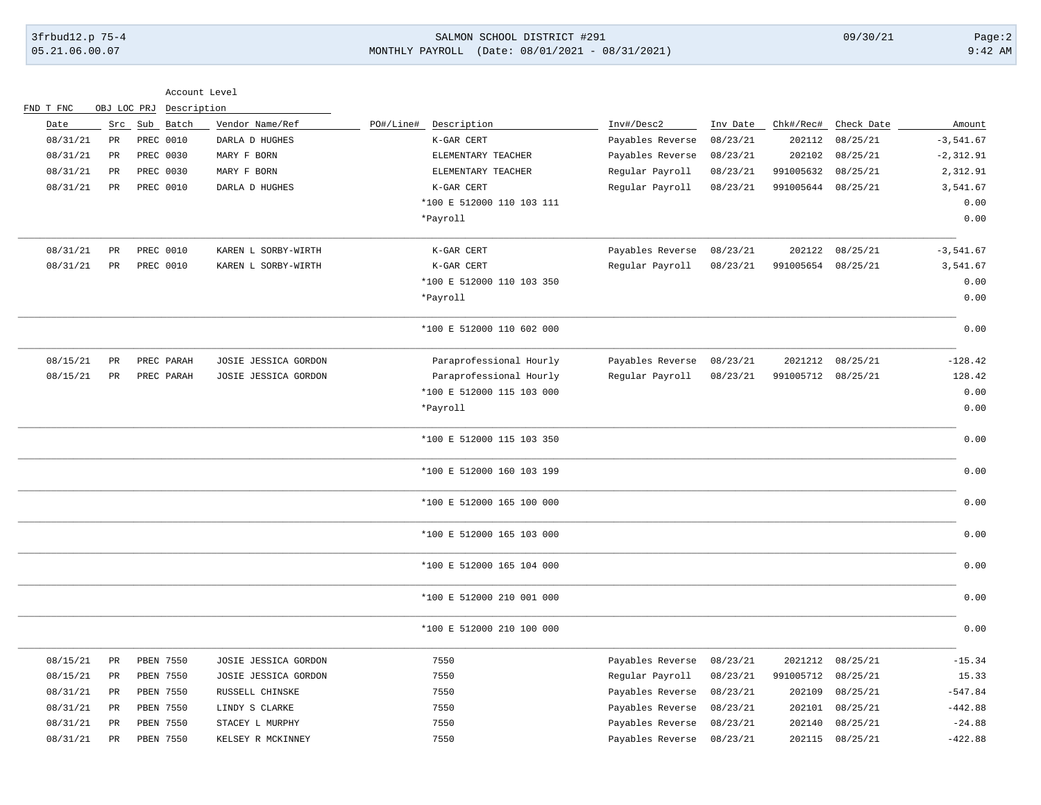# 3frbud12.p 75-4 SALMON SCHOOL DISTRICT #291 09/30/21 Page:2 05.21.06.00.07 MONTHLY PAYROLL (Date: 08/01/2021 - 08/31/2021) 9:42 AM

| FND T FNC | OBJ LOC PRJ     | Description | Account Level        |                           |                  |          |                    |                  |              |
|-----------|-----------------|-------------|----------------------|---------------------------|------------------|----------|--------------------|------------------|--------------|
| Date      | Src             | Sub Batch   | Vendor Name/Ref      | PO#/Line#<br>Description  | Inv#/Desc2       | Inv Date | Chk#/Rec#          | Check Date       | Amount       |
| 08/31/21  | PR              | PREC 0010   | DARLA D HUGHES       | K-GAR CERT                | Payables Reverse | 08/23/21 | 202112             | 08/25/21         | $-3,541.67$  |
| 08/31/21  | PR              | PREC 0030   | MARY F BORN          | ELEMENTARY TEACHER        | Payables Reverse | 08/23/21 | 202102             | 08/25/21         | $-2, 312.91$ |
| 08/31/21  | PR              | PREC 0030   | MARY F BORN          | ELEMENTARY TEACHER        | Regular Payroll  | 08/23/21 | 991005632          | 08/25/21         | 2,312.91     |
| 08/31/21  | $\mbox{\sf PR}$ | PREC 0010   | DARLA D HUGHES       | K-GAR CERT                | Regular Payroll  | 08/23/21 | 991005644          | 08/25/21         | 3,541.67     |
|           |                 |             |                      | *100 E 512000 110 103 111 |                  |          |                    |                  | 0.00         |
|           |                 |             |                      | *Payroll                  |                  |          |                    |                  | 0.00         |
| 08/31/21  | <b>PR</b>       | PREC 0010   | KAREN L SORBY-WIRTH  | K-GAR CERT                | Payables Reverse | 08/23/21 | 202122             | 08/25/21         | $-3,541.67$  |
| 08/31/21  | PR              | PREC 0010   | KAREN L SORBY-WIRTH  | K-GAR CERT                | Regular Payroll  | 08/23/21 | 991005654          | 08/25/21         | 3,541.67     |
|           |                 |             |                      | *100 E 512000 110 103 350 |                  |          |                    |                  | 0.00         |
|           |                 |             |                      | *Payroll                  |                  |          |                    |                  | 0.00         |
|           |                 |             |                      | *100 E 512000 110 602 000 |                  |          |                    |                  | 0.00         |
| 08/15/21  | <b>PR</b>       | PREC PARAH  | JOSIE JESSICA GORDON | Paraprofessional Hourly   | Payables Reverse | 08/23/21 |                    | 2021212 08/25/21 | $-128.42$    |
| 08/15/21  | $_{\rm PR}$     | PREC PARAH  | JOSIE JESSICA GORDON | Paraprofessional Hourly   | Regular Payroll  | 08/23/21 | 991005712 08/25/21 |                  | 128.42       |
|           |                 |             |                      | *100 E 512000 115 103 000 |                  |          |                    |                  | 0.00         |
|           |                 |             |                      | *Payroll                  |                  |          |                    |                  | 0.00         |
|           |                 |             |                      | *100 E 512000 115 103 350 |                  |          |                    |                  | 0.00         |
|           |                 |             |                      | *100 E 512000 160 103 199 |                  |          |                    |                  | 0.00         |
|           |                 |             |                      | *100 E 512000 165 100 000 |                  |          |                    |                  | 0.00         |
|           |                 |             |                      | *100 E 512000 165 103 000 |                  |          |                    |                  | 0.00         |
|           |                 |             |                      | *100 E 512000 165 104 000 |                  |          |                    |                  | 0.00         |
|           |                 |             |                      | *100 E 512000 210 001 000 |                  |          |                    |                  | 0.00         |
|           |                 |             |                      | *100 E 512000 210 100 000 |                  |          |                    |                  | 0.00         |
| 08/15/21  | PR              | PBEN 7550   | JOSIE JESSICA GORDON | 7550                      | Payables Reverse | 08/23/21 | 2021212            | 08/25/21         | $-15.34$     |
| 08/15/21  | $_{\rm PR}$     | PBEN 7550   | JOSIE JESSICA GORDON | 7550                      | Regular Payroll  | 08/23/21 | 991005712          | 08/25/21         | 15.33        |
| 08/31/21  | PR              | PBEN 7550   | RUSSELL CHINSKE      | 7550                      | Payables Reverse | 08/23/21 | 202109             | 08/25/21         | $-547.84$    |
| 08/31/21  | PR              | PBEN 7550   | LINDY S CLARKE       | 7550                      | Payables Reverse | 08/23/21 | 202101             | 08/25/21         | $-442.88$    |
| 08/31/21  | PR              | PBEN 7550   | STACEY L MURPHY      | 7550                      | Payables Reverse | 08/23/21 | 202140             | 08/25/21         | $-24.88$     |
| 08/31/21  | $\mathtt{PR}$   | PBEN 7550   | KELSEY R MCKINNEY    | 7550                      | Payables Reverse | 08/23/21 | 202115             | 08/25/21         | $-422.88$    |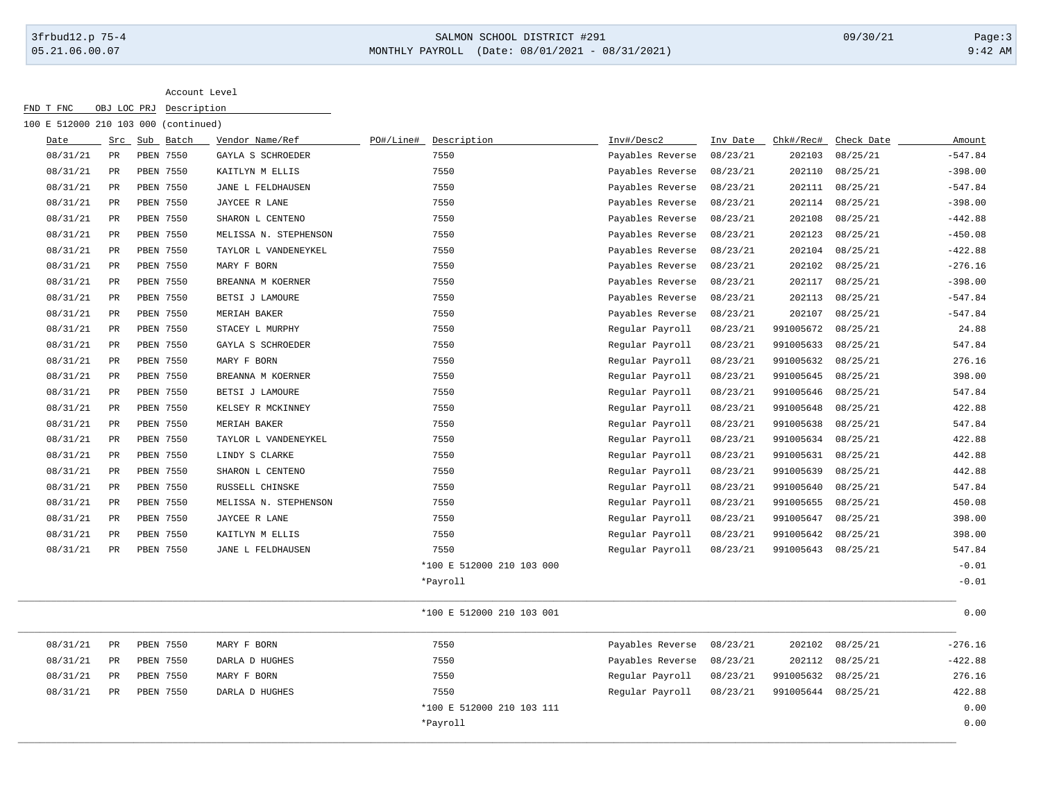# 3frbud12.p 75-4 SALMON SCHOOL DISTRICT #291 09/30/21 Page:3 05.21.06.00.07 MONTHLY PAYROLL (Date: 08/01/2021 - 08/31/2021) 9:42 AM

Account Level

| 100 E 512000 210 103 000 (continued) |               |               |                       |           |                           |                  |          |                    |            |           |
|--------------------------------------|---------------|---------------|-----------------------|-----------|---------------------------|------------------|----------|--------------------|------------|-----------|
| Date                                 |               | Src Sub Batch | Vendor Name/Ref       | PO#/Line# | Description               | Inv#/Desc2       | Inv Date | Chk#/Rec#          | Check Date | Amount    |
| 08/31/21                             | PR            | PBEN 7550     | GAYLA S SCHROEDER     |           | 7550                      | Payables Reverse | 08/23/21 | 202103             | 08/25/21   | $-547.84$ |
| 08/31/21                             | PR            | PBEN 7550     | KAITLYN M ELLIS       |           | 7550                      | Payables Reverse | 08/23/21 | 202110             | 08/25/21   | $-398.00$ |
| 08/31/21                             | PR            | PBEN 7550     | JANE L FELDHAUSEN     |           | 7550                      | Payables Reverse | 08/23/21 | 202111             | 08/25/21   | $-547.84$ |
| 08/31/21                             | $_{\rm PR}$   | PBEN 7550     | JAYCEE R LANE         |           | 7550                      | Payables Reverse | 08/23/21 | 202114             | 08/25/21   | $-398.00$ |
| 08/31/21                             | $_{\rm PR}$   | PBEN 7550     | SHARON L CENTENO      |           | 7550                      | Payables Reverse | 08/23/21 | 202108             | 08/25/21   | $-442.88$ |
| 08/31/21                             | PR            | PBEN 7550     | MELISSA N. STEPHENSON |           | 7550                      | Payables Reverse | 08/23/21 | 202123             | 08/25/21   | $-450.08$ |
| 08/31/21                             | PR            | PBEN 7550     | TAYLOR L VANDENEYKEL  |           | 7550                      | Payables Reverse | 08/23/21 | 202104             | 08/25/21   | $-422.88$ |
| 08/31/21                             | PR            | PBEN 7550     | MARY F BORN           |           | 7550                      | Payables Reverse | 08/23/21 | 202102             | 08/25/21   | $-276.16$ |
| 08/31/21                             | $_{\rm PR}$   | PBEN 7550     | BREANNA M KOERNER     |           | 7550                      | Payables Reverse | 08/23/21 | 202117             | 08/25/21   | $-398.00$ |
| 08/31/21                             | $\mathtt{PR}$ | PBEN 7550     | BETSI J LAMOURE       |           | 7550                      | Payables Reverse | 08/23/21 | 202113             | 08/25/21   | $-547.84$ |
| 08/31/21                             | PR            | PBEN 7550     | MERIAH BAKER          |           | 7550                      | Payables Reverse | 08/23/21 | 202107             | 08/25/21   | $-547.84$ |
| 08/31/21                             | PR            | PBEN 7550     | STACEY L MURPHY       |           | 7550                      | Regular Payroll  | 08/23/21 | 991005672          | 08/25/21   | 24.88     |
| 08/31/21                             | PR            | PBEN 7550     | GAYLA S SCHROEDER     |           | 7550                      | Regular Payroll  | 08/23/21 | 991005633          | 08/25/21   | 547.84    |
| 08/31/21                             | $_{\rm PR}$   | PBEN 7550     | MARY F BORN           |           | 7550                      | Regular Payroll  | 08/23/21 | 991005632          | 08/25/21   | 276.16    |
| 08/31/21                             | PR            | PBEN 7550     | BREANNA M KOERNER     |           | 7550                      | Regular Payroll  | 08/23/21 | 991005645          | 08/25/21   | 398.00    |
| 08/31/21                             | PR            | PBEN 7550     | BETSI J LAMOURE       |           | 7550                      | Regular Payroll  | 08/23/21 | 991005646          | 08/25/21   | 547.84    |
| 08/31/21                             | PR            | PBEN 7550     | KELSEY R MCKINNEY     |           | 7550                      | Regular Payroll  | 08/23/21 | 991005648          | 08/25/21   | 422.88    |
| 08/31/21                             | PR            | PBEN 7550     | MERIAH BAKER          |           | 7550                      | Regular Payroll  | 08/23/21 | 991005638          | 08/25/21   | 547.84    |
| 08/31/21                             | $_{\rm PR}$   | PBEN 7550     | TAYLOR L VANDENEYKEL  |           | 7550                      | Regular Payroll  | 08/23/21 | 991005634          | 08/25/21   | 422.88    |
| 08/31/21                             | $_{\rm PR}$   | PBEN 7550     | LINDY S CLARKE        |           | 7550                      | Regular Payroll  | 08/23/21 | 991005631          | 08/25/21   | 442.88    |
| 08/31/21                             | PR            | PBEN 7550     | SHARON L CENTENO      |           | 7550                      | Regular Payroll  | 08/23/21 | 991005639          | 08/25/21   | 442.88    |
| 08/31/21                             | PR            | PBEN 7550     | RUSSELL CHINSKE       |           | 7550                      | Regular Payroll  | 08/23/21 | 991005640          | 08/25/21   | 547.84    |
| 08/31/21                             | $_{\rm PR}$   | PBEN 7550     | MELISSA N. STEPHENSON |           | 7550                      | Regular Payroll  | 08/23/21 | 991005655          | 08/25/21   | 450.08    |
| 08/31/21                             | $_{\rm PR}$   | PBEN 7550     | JAYCEE R LANE         |           | 7550                      | Regular Payroll  | 08/23/21 | 991005647          | 08/25/21   | 398.00    |
| 08/31/21                             | PR            | PBEN 7550     | KAITLYN M ELLIS       |           | 7550                      | Regular Payroll  | 08/23/21 | 991005642          | 08/25/21   | 398.00    |
| 08/31/21                             | PR            | PBEN 7550     | JANE L FELDHAUSEN     |           | 7550                      | Regular Payroll  | 08/23/21 | 991005643          | 08/25/21   | 547.84    |
|                                      |               |               |                       |           | *100 E 512000 210 103 000 |                  |          |                    |            | $-0.01$   |
|                                      |               |               |                       |           | *Payroll                  |                  |          |                    |            | $-0.01$   |
|                                      |               |               |                       |           | *100 E 512000 210 103 001 |                  |          |                    |            | 0.00      |
| 08/31/21                             | PR            | PBEN 7550     | MARY F BORN           |           | 7550                      | Payables Reverse | 08/23/21 | 202102             | 08/25/21   | $-276.16$ |
| 08/31/21                             | $_{\rm PR}$   | PBEN 7550     | DARLA D HUGHES        |           | 7550                      | Payables Reverse | 08/23/21 | 202112             | 08/25/21   | $-422.88$ |
| 08/31/21                             | $_{\rm PR}$   | PBEN 7550     | MARY F BORN           |           | 7550                      | Regular Payroll  | 08/23/21 | 991005632          | 08/25/21   | 276.16    |
| 08/31/21                             | PR            | PBEN 7550     | DARLA D HUGHES        |           | 7550                      | Regular Payroll  | 08/23/21 | 991005644 08/25/21 |            | 422.88    |
|                                      |               |               |                       |           | *100 E 512000 210 103 111 |                  |          |                    |            | 0.00      |
|                                      |               |               |                       |           | *Payroll                  |                  |          |                    |            | 0.00      |

\_\_\_\_\_\_\_\_\_\_\_\_\_\_\_\_\_\_\_\_\_\_\_\_\_\_\_\_\_\_\_\_\_\_\_\_\_\_\_\_\_\_\_\_\_\_\_\_\_\_\_\_\_\_\_\_\_\_\_\_\_\_\_\_\_\_\_\_\_\_\_\_\_\_\_\_\_\_\_\_\_\_\_\_\_\_\_\_\_\_\_\_\_\_\_\_\_\_\_\_\_\_\_\_\_\_\_\_\_\_\_\_\_\_\_\_\_\_\_\_\_\_\_\_\_\_\_\_\_\_\_\_\_\_\_\_\_\_\_\_\_\_\_\_\_\_\_\_\_\_\_\_\_\_\_\_\_\_\_\_\_\_\_\_\_\_\_\_\_\_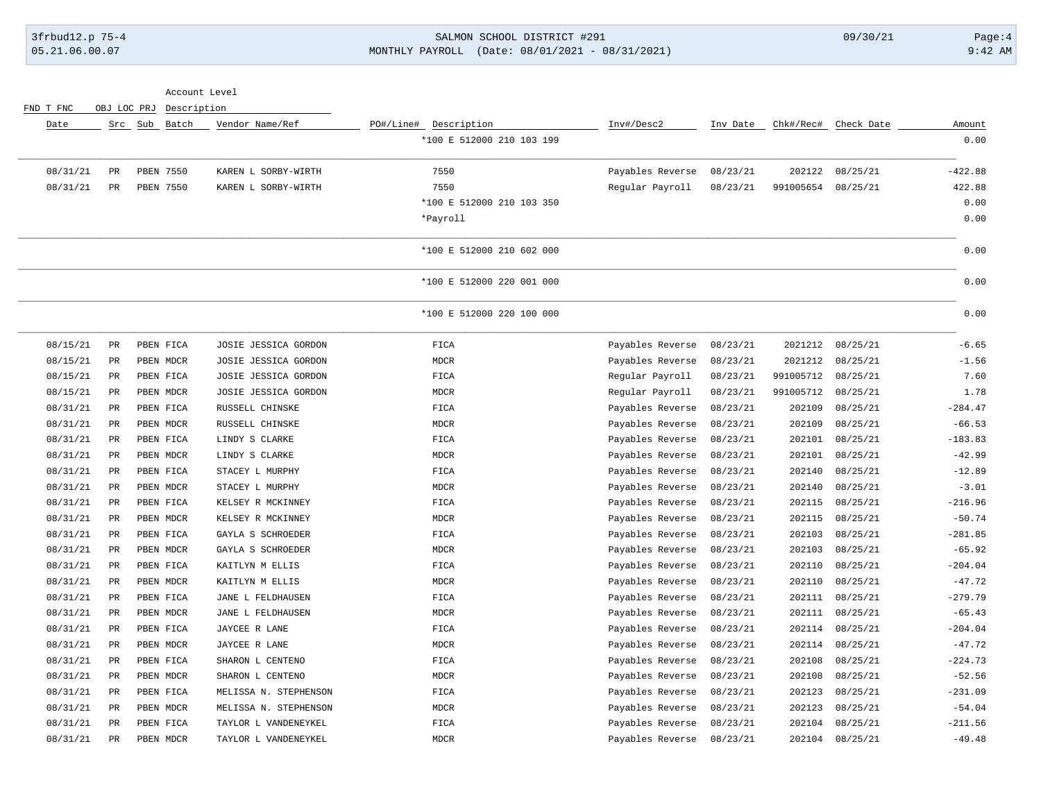### 3frbud12.p 75-4 SALMON SCHOOL DISTRICT #291 09/30/21 Page:4 05.21.06.00.07 MONTHLY PAYROLL (Date: 08/01/2021 - 08/31/2021) 9:42 AM

Account Level FND T FNC OBJ LOC PRJ Description Date Src Sub Batch Vendor Name/Ref PO#/Line# Description Inv#/Desc2 Inv Date Chk#/Rec# Check Date Amount \*100 E 512000 210 103 199 0.00 \_\_\_\_\_\_\_\_\_\_\_\_\_\_\_\_\_\_\_\_\_\_\_\_\_\_\_\_\_\_\_\_\_\_\_\_\_\_\_\_\_\_\_\_\_\_\_\_\_\_\_\_\_\_\_\_\_\_\_\_\_\_\_\_\_\_\_\_\_\_\_\_\_\_\_\_\_\_\_\_\_\_\_\_\_\_\_\_\_\_\_\_\_\_\_\_\_\_\_\_\_\_\_\_\_\_\_\_\_\_\_\_\_\_\_\_\_\_\_\_\_\_\_\_\_\_\_\_\_\_\_\_\_\_\_\_\_\_\_\_\_\_\_\_\_\_\_\_\_\_\_\_\_\_\_\_\_\_\_\_\_\_\_\_\_\_\_\_\_\_ 08/31/21 PR PBEN 7550 KAREN L SORBY-WIRTH 7550 Payables Reverse 08/23/21 202122 08/25/21 -422.88 08/31/21 PR PBEN 7550 KAREN L SORBY-WIRTH 7550 Regular Payroll 08/23/21 991005654 08/25/21 422.88 \*100 E 512000 210 103 350 0.00 \*Payroll 0.00 \_\_\_\_\_\_\_\_\_\_\_\_\_\_\_\_\_\_\_\_\_\_\_\_\_\_\_\_\_\_\_\_\_\_\_\_\_\_\_\_\_\_\_\_\_\_\_\_\_\_\_\_\_\_\_\_\_\_\_\_\_\_\_\_\_\_\_\_\_\_\_\_\_\_\_\_\_\_\_\_\_\_\_\_\_\_\_\_\_\_\_\_\_\_\_\_\_\_\_\_\_\_\_\_\_\_\_\_\_\_\_\_\_\_\_\_\_\_\_\_\_\_\_\_\_\_\_\_\_\_\_\_\_\_\_\_\_\_\_\_\_\_\_\_\_\_\_\_\_\_\_\_\_\_\_\_\_\_\_\_\_\_\_\_\_\_\_\_\_\_ \*100 E 512000 210 602 000 0.00 \_\_\_\_\_\_\_\_\_\_\_\_\_\_\_\_\_\_\_\_\_\_\_\_\_\_\_\_\_\_\_\_\_\_\_\_\_\_\_\_\_\_\_\_\_\_\_\_\_\_\_\_\_\_\_\_\_\_\_\_\_\_\_\_\_\_\_\_\_\_\_\_\_\_\_\_\_\_\_\_\_\_\_\_\_\_\_\_\_\_\_\_\_\_\_\_\_\_\_\_\_\_\_\_\_\_\_\_\_\_\_\_\_\_\_\_\_\_\_\_\_\_\_\_\_\_\_\_\_\_\_\_\_\_\_\_\_\_\_\_\_\_\_\_\_\_\_\_\_\_\_\_\_\_\_\_\_\_\_\_\_\_\_\_\_\_\_\_\_\_ \*100 E 512000 220 001 000 0.00 \_\_\_\_\_\_\_\_\_\_\_\_\_\_\_\_\_\_\_\_\_\_\_\_\_\_\_\_\_\_\_\_\_\_\_\_\_\_\_\_\_\_\_\_\_\_\_\_\_\_\_\_\_\_\_\_\_\_\_\_\_\_\_\_\_\_\_\_\_\_\_\_\_\_\_\_\_\_\_\_\_\_\_\_\_\_\_\_\_\_\_\_\_\_\_\_\_\_\_\_\_\_\_\_\_\_\_\_\_\_\_\_\_\_\_\_\_\_\_\_\_\_\_\_\_\_\_\_\_\_\_\_\_\_\_\_\_\_\_\_\_\_\_\_\_\_\_\_\_\_\_\_\_\_\_\_\_\_\_\_\_\_\_\_\_\_\_\_\_\_ \*100 E 512000 220 100 000 0.00 \_\_\_\_\_\_\_\_\_\_\_\_\_\_\_\_\_\_\_\_\_\_\_\_\_\_\_\_\_\_\_\_\_\_\_\_\_\_\_\_\_\_\_\_\_\_\_\_\_\_\_\_\_\_\_\_\_\_\_\_\_\_\_\_\_\_\_\_\_\_\_\_\_\_\_\_\_\_\_\_\_\_\_\_\_\_\_\_\_\_\_\_\_\_\_\_\_\_\_\_\_\_\_\_\_\_\_\_\_\_\_\_\_\_\_\_\_\_\_\_\_\_\_\_\_\_\_\_\_\_\_\_\_\_\_\_\_\_\_\_\_\_\_\_\_\_\_\_\_\_\_\_\_\_\_\_\_\_\_\_\_\_\_\_\_\_\_\_\_\_ 08/15/21 PR PBEN FICA JOSIE JESSICA GORDON FICA Payables Reverse 08/23/21 2021212 08/25/21 -6.65 08/15/21 PR PBEN MDCR JOSIE JESSICA GORDON MDCR Payables Reverse 08/23/21 2021212 08/25/21 -1.56 08/15/21 PR PBEN FICA JOSIE JESSICA GORDON FICA Regular Payroll 08/23/21 991005712 08/25/21 7.60 08/15/21 PR PBEN MDCR JOSIE JESSICA GORDON MDCR Regular Payroll 08/23/21 991005712 08/25/21 1.78 08/31/21 PR PBEN FICA RUSSELL CHINSKE FICA Payables Reverse 08/23/21 202109 08/25/21 -284.47 08/31/21 PR PBEN MDCR RUSSELL CHINSKE MDCR Payables Reverse 08/23/21 202109 08/25/21 -66.53 08/31/21 PR PBEN FICA LINDY S CLARKE FICA Payables Reverse 08/23/21 202101 08/25/21 -183.83 08/31/21 PR PBEN MDCR LINDY S CLARKE MDCR Payables Reverse 08/23/21 202101 08/25/21 -42.99 08/31/21 PR PBEN FICA STACEY L MURPHY FICA Payables Reverse 08/23/21 202140 08/25/21 -12.89 08/31/21 PR PBEN MDCR STACEY L MURPHY MDCR Payables Reverse 08/23/21 202140 08/25/21 -3.01 08/31/21 PR PBEN FICA KELSEY R MCKINNEY FICA Payables Reverse 08/23/21 202115 08/25/21 -216.96 08/31/21 PR PBEN MDCR KELSEY R MCKINNEY MDCR Payables Reverse 08/23/21 202115 08/25/21 -50.74 08/31/21 PR PBEN FICA GAYLA S SCHROEDER FICA Payables Reverse 08/23/21 202103 08/25/21 -281.85 08/31/21 PR PBEN MDCR GAYLA S SCHROEDER MDCR Payables Reverse 08/23/21 202103 08/25/21 -65.92 08/31/21 PR PBEN FICA KAITLYN M ELLIS FICA Payables Reverse 08/23/21 202110 08/25/21 -204.04 08/31/21 PR PBEN MDCR KAITLYN M ELLIS MDCR Payables Reverse 08/23/21 202110 08/25/21 -47.72 08/31/21 PR PBEN FICA JANE L FELDHAUSEN FICA Payables Reverse 08/23/21 202111 08/25/21 -279.79 08/31/21 PR PBEN MDCR JANE L FELDHAUSEN MDCR Payables Reverse 08/23/21 202111 08/25/21 -65.43 08/31/21 PR PBEN FICA JAYCEE RLANE  $P_0$  FICA Payables Reverse 08/23/21 202114 08/25/21 -204.04 08/31/21 PR PBEN MDCR JAYCEE RLANE 1999 - 1999 MDCR Payables Reverse 08/23/21 202114 08/25/21 -47.72 08/31/21 PR PBEN FICA SHARON L CENTENO FICA Payables Reverse 08/23/21 202108 08/25/21 -224.73 08/31/21 PR PBEN MDCR SHARON L CENTENO MDCR Payables Reverse 08/23/21 202108 08/25/21 -52.56 08/31/21 PR PBEN FICA MELISSA N. STEPHENSON FICA Payables Reverse 08/23/21 202123 08/25/21 -231.09 08/31/21 PR PBEN MDCR MELISSA N. STEPHENSON MDCR Payables Reverse 08/23/21 202123 08/25/21 -54.04 08/31/21 PR PBEN FICA TAYLOR L VANDENEYKEL FICA Payables Reverse 08/23/21 202104 08/25/21 -211.56 08/31/21 PR PBEN MDCR TAYLOR L VANDENEYKEL MDCR Payables Reverse 08/23/21 202104 08/25/21 -49.48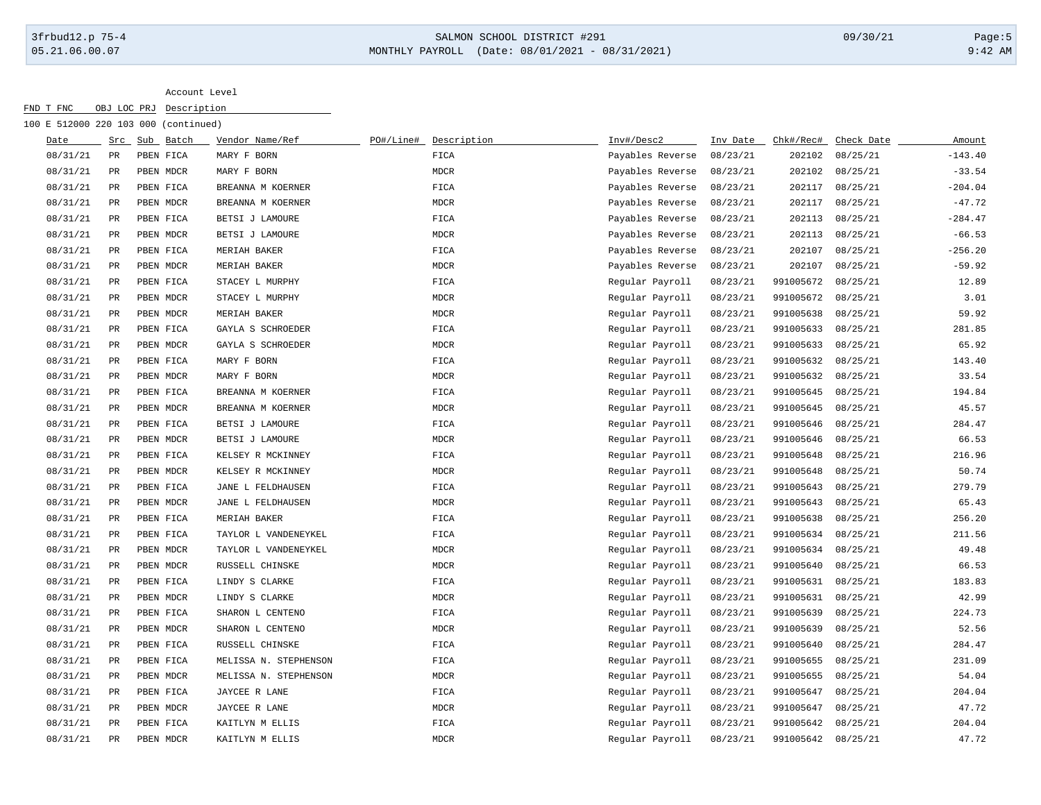### 3frbud12.p 75-4 SALMON SCHOOL DISTRICT #291 09/30/21 Page:5 05.21.06.00.07 MONTHLY PAYROLL (Date: 08/01/2021 - 08/31/2021) 9:42 AM

Account Level

| FND T FNC |          | OBJ LOC PRJ | Description                          |                       |           |              |                  |          |           |            |           |
|-----------|----------|-------------|--------------------------------------|-----------------------|-----------|--------------|------------------|----------|-----------|------------|-----------|
|           |          |             | 100 E 512000 220 103 000 (continued) |                       |           |              |                  |          |           |            |           |
|           | Date     | Src         | Sub Batch                            | Vendor Name/Ref       | PO#/Line# | Description  | Inv#/Desc2       | Inv Date | Chk#/Rec# | Check Date | Amount    |
|           | 08/31/21 | $_{\rm PR}$ | PBEN FICA                            | MARY F BORN           |           | FICA         | Payables Reverse | 08/23/21 | 202102    | 08/25/21   | $-143.40$ |
|           | 08/31/21 | PR          | PBEN MDCR                            | MARY F BORN           |           | <b>MDCR</b>  | Payables Reverse | 08/23/21 | 202102    | 08/25/21   | $-33.54$  |
|           | 08/31/21 | $_{\rm PR}$ | PBEN FICA                            | BREANNA M KOERNER     |           | FICA         | Payables Reverse | 08/23/21 | 202117    | 08/25/21   | $-204.04$ |
|           | 08/31/21 | $_{\rm PR}$ | PBEN MDCR                            | BREANNA M KOERNER     |           | <b>MDCR</b>  | Payables Reverse | 08/23/21 | 202117    | 08/25/21   | $-47.72$  |
|           | 08/31/21 | PR          | PBEN FICA                            | BETSI J LAMOURE       |           | FICA         | Payables Reverse | 08/23/21 | 202113    | 08/25/21   | $-284.47$ |
|           | 08/31/21 | PR          | PBEN MDCR                            | BETSI J LAMOURE       |           | MDCR         | Payables Reverse | 08/23/21 | 202113    | 08/25/21   | $-66.53$  |
|           | 08/31/21 | PR          | PBEN FICA                            | MERIAH BAKER          |           | FICA         | Payables Reverse | 08/23/21 | 202107    | 08/25/21   | $-256.20$ |
|           | 08/31/21 | PR          | PBEN MDCR                            | MERIAH BAKER          |           | <b>MDCR</b>  | Payables Reverse | 08/23/21 | 202107    | 08/25/21   | $-59.92$  |
|           | 08/31/21 | PR          | PBEN FICA                            | STACEY L MURPHY       |           | FICA         | Regular Payroll  | 08/23/21 | 991005672 | 08/25/21   | 12.89     |
|           | 08/31/21 | PR          | PBEN MDCR                            | STACEY L MURPHY       |           | <b>MDCR</b>  | Regular Payroll  | 08/23/21 | 991005672 | 08/25/21   | 3.01      |
|           | 08/31/21 | $_{\rm PR}$ | PBEN MDCR                            | MERIAH BAKER          |           | $\tt MDCR$   | Regular Payroll  | 08/23/21 | 991005638 | 08/25/21   | 59.92     |
|           | 08/31/21 | PR          | PBEN FICA                            | GAYLA S SCHROEDER     |           | FICA         | Regular Payroll  | 08/23/21 | 991005633 | 08/25/21   | 281.85    |
|           | 08/31/21 | PR          | PBEN MDCR                            | GAYLA S SCHROEDER     |           | <b>MDCR</b>  | Regular Payroll  | 08/23/21 | 991005633 | 08/25/21   | 65.92     |
|           | 08/31/21 | PR          | PBEN FICA                            | MARY F BORN           |           | FICA         | Regular Payroll  | 08/23/21 | 991005632 | 08/25/21   | 143.40    |
|           | 08/31/21 | PR          | PBEN MDCR                            | MARY F BORN           |           | MDCR         | Regular Payroll  | 08/23/21 | 991005632 | 08/25/21   | 33.54     |
|           | 08/31/21 | PR          | PBEN FICA                            | BREANNA M KOERNER     |           | FICA         | Regular Payroll  | 08/23/21 | 991005645 | 08/25/21   | 194.84    |
|           | 08/31/21 | PR          | PBEN MDCR                            | BREANNA M KOERNER     |           | MDCR         | Regular Payroll  | 08/23/21 | 991005645 | 08/25/21   | 45.57     |
|           | 08/31/21 | PR          | PBEN FICA                            | BETSI J LAMOURE       |           | FICA         | Regular Payroll  | 08/23/21 | 991005646 | 08/25/21   | 284.47    |
|           | 08/31/21 | PR          | PBEN MDCR                            | BETSI J LAMOURE       |           | MDCR         | Regular Payroll  | 08/23/21 | 991005646 | 08/25/21   | 66.53     |
|           | 08/31/21 | PR          | PBEN FICA                            | KELSEY R MCKINNEY     |           | FICA         | Regular Payroll  | 08/23/21 | 991005648 | 08/25/21   | 216.96    |
|           | 08/31/21 | PR          | PBEN MDCR                            | KELSEY R MCKINNEY     |           | <b>MDCR</b>  | Regular Payroll  | 08/23/21 | 991005648 | 08/25/21   | 50.74     |
|           | 08/31/21 | $_{\rm PR}$ | PBEN FICA                            | JANE L FELDHAUSEN     |           | ${\tt FICA}$ | Regular Payroll  | 08/23/21 | 991005643 | 08/25/21   | 279.79    |
|           | 08/31/21 | PR          | PBEN MDCR                            | JANE L FELDHAUSEN     |           | <b>MDCR</b>  | Regular Payroll  | 08/23/21 | 991005643 | 08/25/21   | 65.43     |
|           | 08/31/21 | PR          | PBEN FICA                            | MERIAH BAKER          |           | FICA         | Regular Payroll  | 08/23/21 | 991005638 | 08/25/21   | 256.20    |
|           | 08/31/21 | $_{\rm PR}$ | PBEN FICA                            | TAYLOR L VANDENEYKEL  |           | FICA         | Regular Payroll  | 08/23/21 | 991005634 | 08/25/21   | 211.56    |
|           | 08/31/21 | PR          | PBEN MDCR                            | TAYLOR L VANDENEYKEL  |           | <b>MDCR</b>  | Regular Payroll  | 08/23/21 | 991005634 | 08/25/21   | 49.48     |
|           | 08/31/21 | PR          | PBEN MDCR                            | RUSSELL CHINSKE       |           | <b>MDCR</b>  | Regular Payroll  | 08/23/21 | 991005640 | 08/25/21   | 66.53     |
|           | 08/31/21 | PR          | PBEN FICA                            | LINDY S CLARKE        |           | FICA         | Regular Payroll  | 08/23/21 | 991005631 | 08/25/21   | 183.83    |
|           | 08/31/21 | PR          | PBEN MDCR                            | LINDY S CLARKE        |           | <b>MDCR</b>  | Regular Payroll  | 08/23/21 | 991005631 | 08/25/21   | 42.99     |
|           | 08/31/21 | $_{\rm PR}$ | PBEN FICA                            | SHARON L CENTENO      |           | FICA         | Regular Payroll  | 08/23/21 | 991005639 | 08/25/21   | 224.73    |
|           | 08/31/21 | PR          | PBEN MDCR                            | SHARON L CENTENO      |           | <b>MDCR</b>  | Regular Payroll  | 08/23/21 | 991005639 | 08/25/21   | 52.56     |
|           | 08/31/21 | PR          | PBEN FICA                            | RUSSELL CHINSKE       |           | FICA         | Regular Payroll  | 08/23/21 | 991005640 | 08/25/21   | 284.47    |
|           | 08/31/21 | PR          | PBEN FICA                            | MELISSA N. STEPHENSON |           | FICA         | Regular Payroll  | 08/23/21 | 991005655 | 08/25/21   | 231.09    |
|           | 08/31/21 | PR          | PBEN MDCR                            | MELISSA N. STEPHENSON |           | <b>MDCR</b>  | Regular Payroll  | 08/23/21 | 991005655 | 08/25/21   | 54.04     |
|           | 08/31/21 | PR          | PBEN FICA                            | JAYCEE R LANE         |           | FICA         | Regular Payroll  | 08/23/21 | 991005647 | 08/25/21   | 204.04    |

08/31/21 PR PBEN MDCR JAYCEE R LANE MDCR Regular Payroll 08/23/21 991005647 08/25/21 47.72 08/31/21 PR PBEN FICA KAITLYN M ELLIS FICA Regular Payroll 08/23/21 991005642 08/25/21 204.04 08/31/21 PR PBEN MDCR KAITLYN M ELLIS MDCR Regular Payroll 08/23/21 991005642 08/25/21 47.72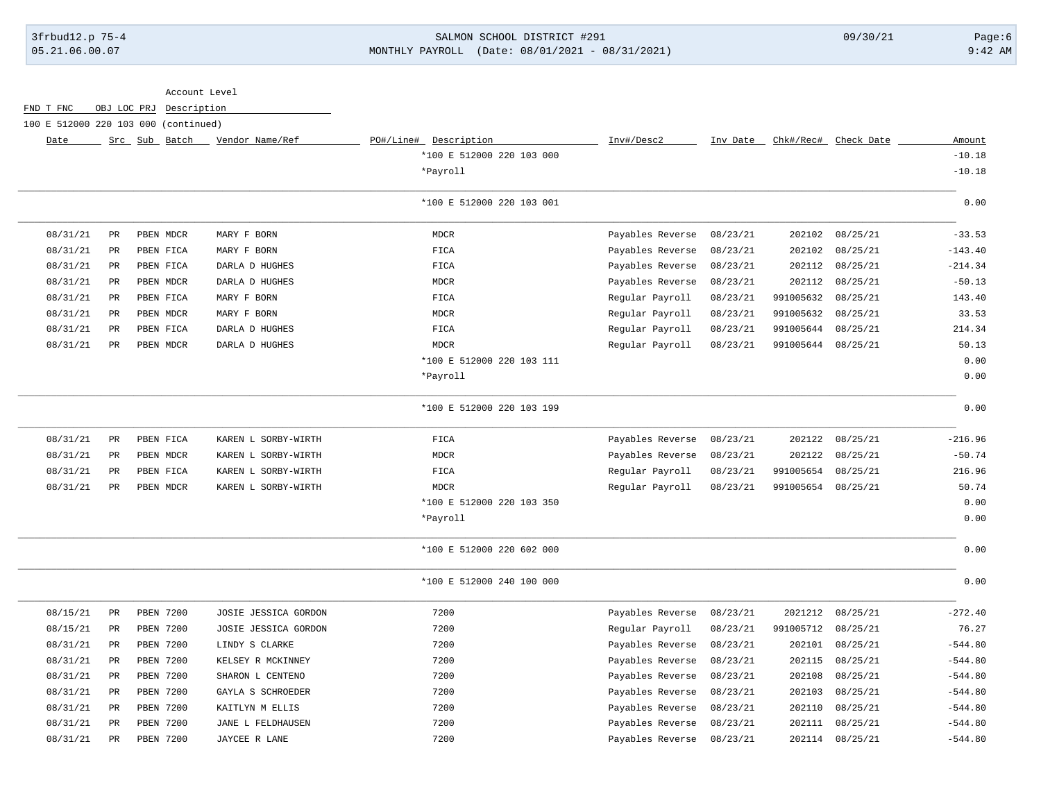### 3frbud12.p 75-4 SALMON SCHOOL DISTRICT #291 09/30/21 Page:6 05.21.06.00.07 MONTHLY PAYROLL (Date: 08/01/2021 - 08/31/2021) 9:42 AM

| Account Level                        |                      |                         |                      |                           |                  |          |           |            |           |
|--------------------------------------|----------------------|-------------------------|----------------------|---------------------------|------------------|----------|-----------|------------|-----------|
| FND T FNC                            |                      | OBJ LOC PRJ Description |                      |                           |                  |          |           |            |           |
| 100 E 512000 220 103 000 (continued) |                      |                         |                      |                           |                  |          |           |            |           |
| Date                                 |                      | Src Sub Batch           | Vendor Name/Ref      | PO#/Line# Description     | Inv#/Desc2       | Inv Date | Chk#/Rec# | Check Date | Amount    |
|                                      |                      |                         |                      | *100 E 512000 220 103 000 |                  |          |           |            | $-10.18$  |
|                                      |                      |                         |                      | *Payroll                  |                  |          |           |            | $-10.18$  |
|                                      |                      |                         |                      | *100 E 512000 220 103 001 |                  |          |           |            | 0.00      |
| 08/31/21                             | PR                   | PBEN MDCR               | MARY F BORN          | <b>MDCR</b>               | Payables Reverse | 08/23/21 | 202102    | 08/25/21   | $-33.53$  |
| 08/31/21                             | PR                   | PBEN FICA               | MARY F BORN          | FICA                      | Payables Reverse | 08/23/21 | 202102    | 08/25/21   | $-143.40$ |
| 08/31/21                             | $\mbox{\textsf{PR}}$ | PBEN FICA               | DARLA D HUGHES       | FICA                      | Payables Reverse | 08/23/21 | 202112    | 08/25/21   | $-214.34$ |
| 08/31/21                             | PR                   | PBEN MDCR               | DARLA D HUGHES       | <b>MDCR</b>               | Payables Reverse | 08/23/21 | 202112    | 08/25/21   | $-50.13$  |
| 08/31/21                             | PR                   | PBEN FICA               | MARY F BORN          | FICA                      | Regular Payroll  | 08/23/21 | 991005632 | 08/25/21   | 143.40    |
| 08/31/21                             | PR                   | PBEN MDCR               | MARY F BORN          | <b>MDCR</b>               | Regular Payroll  | 08/23/21 | 991005632 | 08/25/21   | 33.53     |
| 08/31/21                             | PR                   | PBEN FICA               | DARLA D HUGHES       | FICA                      | Regular Payroll  | 08/23/21 | 991005644 | 08/25/21   | 214.34    |
| 08/31/21                             | PR                   | PBEN MDCR               | DARLA D HUGHES       | <b>MDCR</b>               | Regular Payroll  | 08/23/21 | 991005644 | 08/25/21   | 50.13     |
|                                      |                      |                         |                      | *100 E 512000 220 103 111 |                  |          |           |            | 0.00      |
|                                      |                      |                         |                      | *Payroll                  |                  |          |           |            | 0.00      |
|                                      |                      |                         |                      | *100 E 512000 220 103 199 |                  |          |           |            | 0.00      |
| 08/31/21                             | PR                   | PBEN FICA               | KAREN L SORBY-WIRTH  | FICA                      | Payables Reverse | 08/23/21 | 202122    | 08/25/21   | $-216.96$ |
| 08/31/21                             | PR                   | PBEN MDCR               | KAREN L SORBY-WIRTH  | <b>MDCR</b>               | Payables Reverse | 08/23/21 | 202122    | 08/25/21   | $-50.74$  |
| 08/31/21                             | PR                   | PBEN FICA               | KAREN L SORBY-WIRTH  | FICA                      | Regular Payroll  | 08/23/21 | 991005654 | 08/25/21   | 216.96    |
| 08/31/21                             | PR                   | PBEN MDCR               | KAREN L SORBY-WIRTH  | <b>MDCR</b>               | Regular Payroll  | 08/23/21 | 991005654 | 08/25/21   | 50.74     |
|                                      |                      |                         |                      | *100 E 512000 220 103 350 |                  |          |           |            | 0.00      |
|                                      |                      |                         |                      | *Payroll                  |                  |          |           |            | 0.00      |
|                                      |                      |                         |                      | *100 E 512000 220 602 000 |                  |          |           |            | 0.00      |
|                                      |                      |                         |                      | *100 E 512000 240 100 000 |                  |          |           |            | 0.00      |
| 08/15/21                             | $_{\rm PR}$          | PBEN 7200               | JOSIE JESSICA GORDON | 7200                      | Payables Reverse | 08/23/21 | 2021212   | 08/25/21   | $-272.40$ |
| 08/15/21                             | PR                   | PBEN 7200               | JOSIE JESSICA GORDON | 7200                      | Regular Payroll  | 08/23/21 | 991005712 | 08/25/21   | 76.27     |
| 08/31/21                             | PR                   | PBEN 7200               | LINDY S CLARKE       | 7200                      | Payables Reverse | 08/23/21 | 202101    | 08/25/21   | $-544.80$ |
| 08/31/21                             | PR                   | PBEN 7200               | KELSEY R MCKINNEY    | 7200                      | Payables Reverse | 08/23/21 | 202115    | 08/25/21   | $-544.80$ |
| 08/31/21                             | PR                   | PBEN 7200               | SHARON L CENTENO     | 7200                      | Payables Reverse | 08/23/21 | 202108    | 08/25/21   | $-544.80$ |
| 08/31/21                             | <b>PR</b>            | PBEN 7200               | GAYLA S SCHROEDER    | 7200                      | Payables Reverse | 08/23/21 | 202103    | 08/25/21   | $-544.80$ |
| 08/31/21                             | $\mbox{\textsf{PR}}$ | PBEN 7200               | KAITLYN M ELLIS      | 7200                      | Payables Reverse | 08/23/21 | 202110    | 08/25/21   | $-544.80$ |
| 08/31/21                             | PR                   | <b>PBEN 7200</b>        | JANE L FELDHAUSEN    | 7200                      | Payables Reverse | 08/23/21 | 202111    | 08/25/21   | $-544.80$ |
| 08/31/21                             | $_{\rm PR}$          | <b>PBEN 7200</b>        | JAYCEE R LANE        | 7200                      | Payables Reverse | 08/23/21 | 202114    | 08/25/21   | $-544.80$ |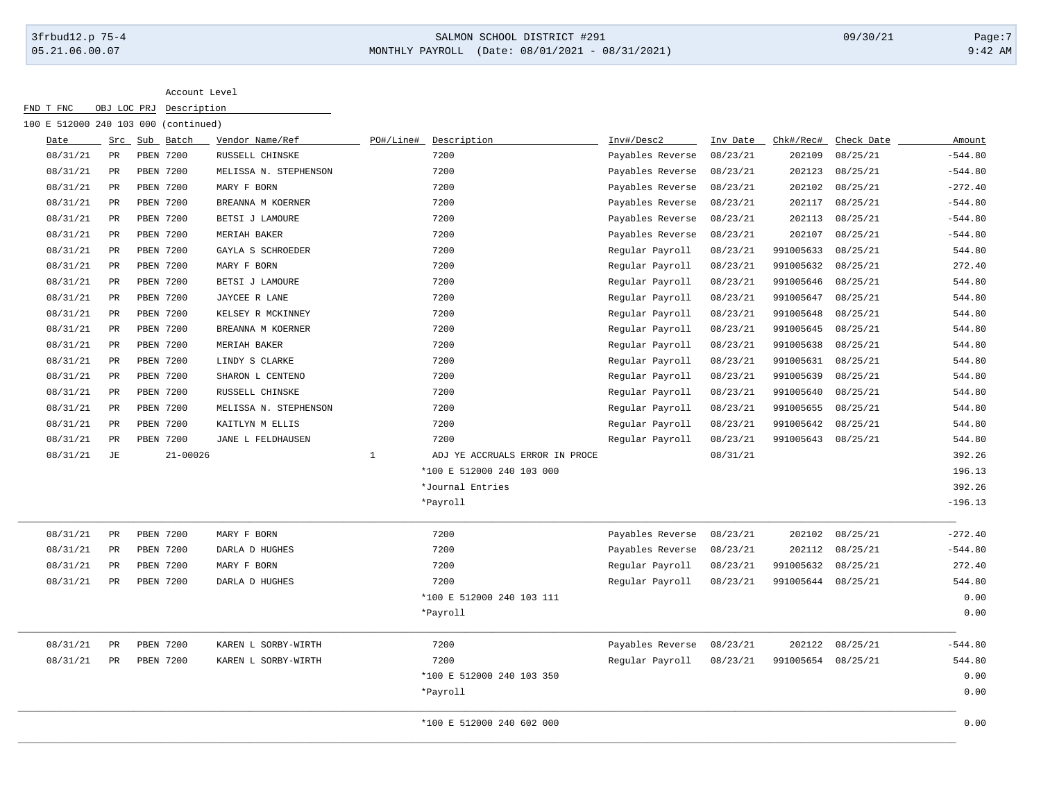# 3frbud12.p 75-4 SALMON SCHOOL DISTRICT #291 09/30/21 Page:7 05.21.06.00.07 MONTHLY PAYROLL (Date: 08/01/2021 - 08/31/2021) 9:42 AM

| 100 E 512000 240 103 000 (continued) |             |               |              |                       |              |                                |                  |          |           |            |           |
|--------------------------------------|-------------|---------------|--------------|-----------------------|--------------|--------------------------------|------------------|----------|-----------|------------|-----------|
| Date                                 |             | Src Sub Batch |              | Vendor Name/Ref       | PO#/Line#    | Description                    | Inv#/Desc2       | Inv Date | Chk#/Rec# | Check Date | Amount    |
| 08/31/21                             | PR          | PBEN 7200     |              | RUSSELL CHINSKE       |              | 7200                           | Payables Reverse | 08/23/21 | 202109    | 08/25/21   | $-544.80$ |
| 08/31/21                             | $_{\rm PR}$ | PBEN 7200     |              | MELISSA N. STEPHENSON |              | 7200                           | Payables Reverse | 08/23/21 | 202123    | 08/25/21   | $-544.80$ |
| 08/31/21                             | PR          | PBEN 7200     |              | MARY F BORN           |              | 7200                           | Payables Reverse | 08/23/21 | 202102    | 08/25/21   | $-272.40$ |
| 08/31/21                             | $_{\rm PR}$ | PBEN 7200     |              | BREANNA M KOERNER     |              | 7200                           | Payables Reverse | 08/23/21 | 202117    | 08/25/21   | $-544.80$ |
| 08/31/21                             | $_{\rm PR}$ | PBEN 7200     |              | BETSI J LAMOURE       |              | 7200                           | Payables Reverse | 08/23/21 | 202113    | 08/25/21   | $-544.80$ |
| 08/31/21                             | $_{\rm PR}$ | PBEN 7200     |              | MERIAH BAKER          |              | 7200                           | Payables Reverse | 08/23/21 | 202107    | 08/25/21   | $-544.80$ |
| 08/31/21                             | $_{\rm PR}$ | PBEN 7200     |              | GAYLA S SCHROEDER     |              | 7200                           | Regular Payroll  | 08/23/21 | 991005633 | 08/25/21   | 544.80    |
| 08/31/21                             | $_{\rm PR}$ | PBEN 7200     |              | MARY F BORN           |              | 7200                           | Regular Payroll  | 08/23/21 | 991005632 | 08/25/21   | 272.40    |
| 08/31/21                             | $_{\rm PR}$ | PBEN 7200     |              | BETSI J LAMOURE       |              | 7200                           | Regular Payroll  | 08/23/21 | 991005646 | 08/25/21   | 544.80    |
| 08/31/21                             | $_{\rm PR}$ | PBEN 7200     |              | JAYCEE R LANE         |              | 7200                           | Regular Payroll  | 08/23/21 | 991005647 | 08/25/21   | 544.80    |
| 08/31/21                             | $_{\rm PR}$ | PBEN 7200     |              | KELSEY R MCKINNEY     |              | 7200                           | Regular Payroll  | 08/23/21 | 991005648 | 08/25/21   | 544.80    |
| 08/31/21                             | PR          | PBEN 7200     |              | BREANNA M KOERNER     |              | 7200                           | Regular Payroll  | 08/23/21 | 991005645 | 08/25/21   | 544.80    |
| 08/31/21                             | $_{\rm PR}$ | PBEN 7200     |              | MERIAH BAKER          |              | 7200                           | Regular Payroll  | 08/23/21 | 991005638 | 08/25/21   | 544.80    |
| 08/31/21                             | $_{\rm PR}$ | PBEN 7200     |              | LINDY S CLARKE        |              | 7200                           | Regular Payroll  | 08/23/21 | 991005631 | 08/25/21   | 544.80    |
| 08/31/21                             | $_{\rm PR}$ | PBEN 7200     |              | SHARON L CENTENO      |              | 7200                           | Regular Payroll  | 08/23/21 | 991005639 | 08/25/21   | 544.80    |
| 08/31/21                             | $_{\rm PR}$ | PBEN 7200     |              | RUSSELL CHINSKE       |              | 7200                           | Regular Payroll  | 08/23/21 | 991005640 | 08/25/21   | 544.80    |
| 08/31/21                             | $_{\rm PR}$ | PBEN 7200     |              | MELISSA N. STEPHENSON |              | 7200                           | Regular Payroll  | 08/23/21 | 991005655 | 08/25/21   | 544.80    |
| 08/31/21                             | $_{\rm PR}$ | PBEN 7200     |              | KAITLYN M ELLIS       |              | 7200                           | Regular Payroll  | 08/23/21 | 991005642 | 08/25/21   | 544.80    |
| 08/31/21                             | $_{\rm PR}$ | PBEN 7200     |              | JANE L FELDHAUSEN     |              | 7200                           | Regular Payroll  | 08/23/21 | 991005643 | 08/25/21   | 544.80    |
| 08/31/21                             | JE          |               | $21 - 00026$ |                       | $\mathbf{1}$ | ADJ YE ACCRUALS ERROR IN PROCE |                  | 08/31/21 |           |            | 392.26    |
|                                      |             |               |              |                       |              | *100 E 512000 240 103 000      |                  |          |           |            | 196.13    |
|                                      |             |               |              |                       |              | *Journal Entries               |                  |          |           |            | 392.26    |
|                                      |             |               |              |                       |              | *Payroll                       |                  |          |           |            | $-196.13$ |
| 08/31/21                             | $_{\rm PR}$ | PBEN 7200     |              | MARY F BORN           |              | 7200                           | Payables Reverse | 08/23/21 | 202102    | 08/25/21   | $-272.40$ |
| 08/31/21                             | $_{\rm PR}$ | PBEN 7200     |              | DARLA D HUGHES        |              | 7200                           | Payables Reverse | 08/23/21 | 202112    | 08/25/21   | $-544.80$ |
| 08/31/21                             | $_{\rm PR}$ | PBEN 7200     |              | MARY F BORN           |              | 7200                           | Regular Payroll  | 08/23/21 | 991005632 | 08/25/21   | 272.40    |
| 08/31/21                             | $_{\rm PR}$ | PBEN 7200     |              | DARLA D HUGHES        |              | 7200                           | Regular Payroll  | 08/23/21 | 991005644 | 08/25/21   | 544.80    |
|                                      |             |               |              |                       |              | *100 E 512000 240 103 111      |                  |          |           |            | 0.00      |
|                                      |             |               |              |                       |              | *Payroll                       |                  |          |           |            | 0.00      |
| 08/31/21                             | PR          | PBEN 7200     |              | KAREN L SORBY-WIRTH   |              | 7200                           | Payables Reverse | 08/23/21 | 202122    | 08/25/21   | $-544.80$ |
| 08/31/21                             | PR          | PBEN 7200     |              | KAREN L SORBY-WIRTH   |              | 7200                           | Regular Payroll  | 08/23/21 | 991005654 | 08/25/21   | 544.80    |
|                                      |             |               |              |                       |              | *100 E 512000 240 103 350      |                  |          |           |            | 0.00      |
|                                      |             |               |              |                       |              | *Payroll                       |                  |          |           |            | 0.00      |
|                                      |             |               |              |                       |              | *100 E 512000 240 602 000      |                  |          |           |            | 0.00      |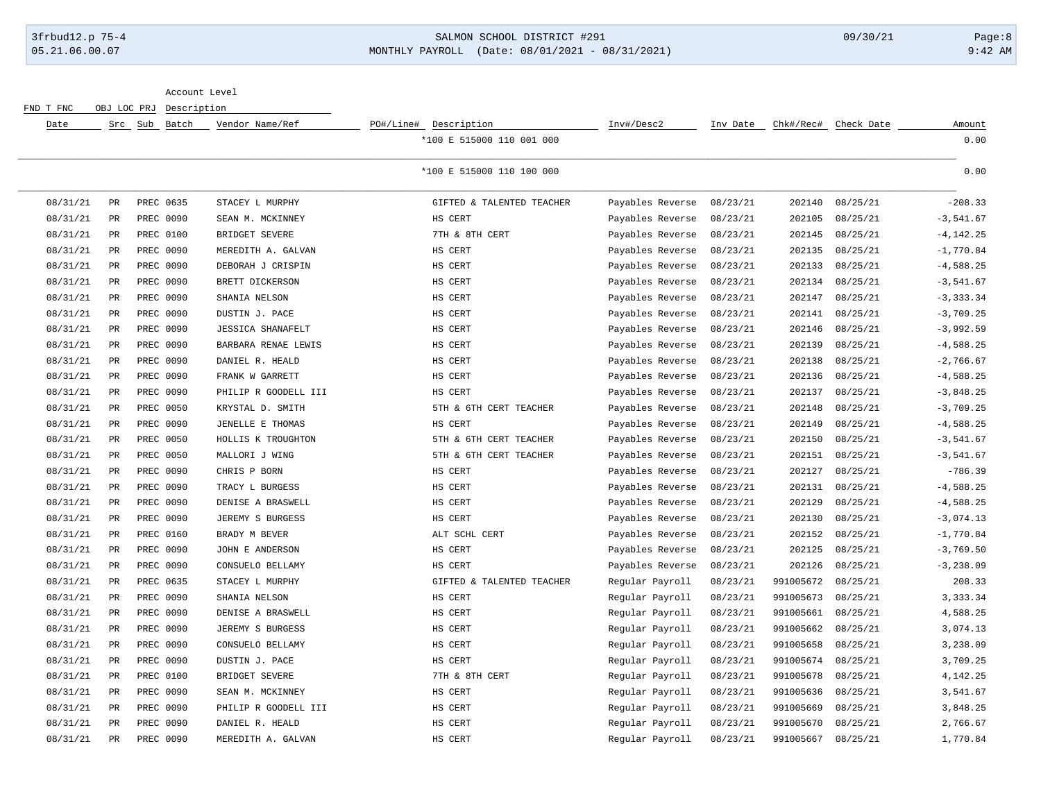### 3frbud12.p 75-4 SALMON SCHOOL DISTRICT #291 09/30/21 Page:8 05.21.06.00.07 MONTHLY PAYROLL (Date: 08/01/2021 - 08/31/2021) 9:42 AM

Account Level

FND T FNC OBJ LOC PRJ Description

| Date     |                 | Src Sub Batch | Vendor Name/Ref          | PO#/Line# Description     | Inv#/Desc2       | Inv Date | Chk#/Rec# | Check Date | Amount       |
|----------|-----------------|---------------|--------------------------|---------------------------|------------------|----------|-----------|------------|--------------|
|          |                 |               |                          | *100 E 515000 110 001 000 |                  |          |           |            | 0.00         |
|          |                 |               |                          | *100 E 515000 110 100 000 |                  |          |           |            | 0.00         |
| 08/31/21 | PR              | PREC 0635     | STACEY L MURPHY          | GIFTED & TALENTED TEACHER | Payables Reverse | 08/23/21 | 202140    | 08/25/21   | $-208.33$    |
| 08/31/21 | $\mbox{\sf PR}$ | PREC 0090     | SEAN M. MCKINNEY         | HS CERT                   | Payables Reverse | 08/23/21 | 202105    | 08/25/21   | $-3,541.67$  |
| 08/31/21 | $_{\rm PR}$     | PREC 0100     | BRIDGET SEVERE           | 7TH & 8TH CERT            | Payables Reverse | 08/23/21 | 202145    | 08/25/21   | $-4, 142.25$ |
| 08/31/21 | $_{\rm PR}$     | PREC 0090     | MEREDITH A. GALVAN       | HS CERT                   | Payables Reverse | 08/23/21 | 202135    | 08/25/21   | $-1,770.84$  |
| 08/31/21 | PR              | PREC 0090     | DEBORAH J CRISPIN        | HS CERT                   | Payables Reverse | 08/23/21 | 202133    | 08/25/21   | $-4,588.25$  |
| 08/31/21 | PR              | PREC 0090     | BRETT DICKERSON          | HS CERT                   | Payables Reverse | 08/23/21 | 202134    | 08/25/21   | $-3,541.67$  |
| 08/31/21 | PR              | PREC 0090     | SHANIA NELSON            | HS CERT                   | Payables Reverse | 08/23/21 | 202147    | 08/25/21   | $-3, 333.34$ |
| 08/31/21 | $\mathtt{PR}$   | PREC 0090     | DUSTIN J. PACE           | HS CERT                   | Payables Reverse | 08/23/21 | 202141    | 08/25/21   | $-3,709.25$  |
| 08/31/21 | PR              | PREC 0090     | <b>JESSICA SHANAFELT</b> | HS CERT                   | Payables Reverse | 08/23/21 | 202146    | 08/25/21   | $-3,992.59$  |
| 08/31/21 | $\mathtt{PR}$   | PREC 0090     | BARBARA RENAE LEWIS      | HS CERT                   | Payables Reverse | 08/23/21 | 202139    | 08/25/21   | $-4,588.25$  |
| 08/31/21 | PR              | PREC 0090     | DANIEL R. HEALD          | HS CERT                   | Payables Reverse | 08/23/21 | 202138    | 08/25/21   | $-2,766.67$  |
| 08/31/21 | $\mathtt{PR}$   | PREC 0090     | FRANK W GARRETT          | HS CERT                   | Payables Reverse | 08/23/21 | 202136    | 08/25/21   | $-4,588.25$  |
| 08/31/21 | PR              | PREC 0090     | PHILIP R GOODELL III     | HS CERT                   | Payables Reverse | 08/23/21 | 202137    | 08/25/21   | $-3,848.25$  |
| 08/31/21 | PR              | PREC 0050     | KRYSTAL D. SMITH         | 5TH & 6TH CERT TEACHER    | Payables Reverse | 08/23/21 | 202148    | 08/25/21   | $-3,709.25$  |
| 08/31/21 | $_{\rm PR}$     | PREC 0090     | JENELLE E THOMAS         | HS CERT                   | Payables Reverse | 08/23/21 | 202149    | 08/25/21   | $-4,588.25$  |
| 08/31/21 | $\mathtt{PR}$   | PREC 0050     | HOLLIS K TROUGHTON       | 5TH & 6TH CERT TEACHER    | Payables Reverse | 08/23/21 | 202150    | 08/25/21   | $-3,541.67$  |
| 08/31/21 | PR              | PREC 0050     | MALLORI J WING           | 5TH & 6TH CERT TEACHER    | Payables Reverse | 08/23/21 | 202151    | 08/25/21   | $-3,541.67$  |
| 08/31/21 | PR              | PREC 0090     | CHRIS P BORN             | HS CERT                   | Payables Reverse | 08/23/21 | 202127    | 08/25/21   | $-786.39$    |
| 08/31/21 | PR              | PREC 0090     | TRACY L BURGESS          | HS CERT                   | Payables Reverse | 08/23/21 | 202131    | 08/25/21   | $-4,588.25$  |
| 08/31/21 | PR              | PREC 0090     | DENISE A BRASWELL        | HS CERT                   | Payables Reverse | 08/23/21 | 202129    | 08/25/21   | $-4,588.25$  |
| 08/31/21 | PR              | PREC 0090     | JEREMY S BURGESS         | HS CERT                   | Payables Reverse | 08/23/21 | 202130    | 08/25/21   | $-3,074.13$  |
| 08/31/21 | PR              | PREC 0160     | BRADY M BEVER            | ALT SCHL CERT             | Payables Reverse | 08/23/21 | 202152    | 08/25/21   | $-1,770.84$  |
| 08/31/21 | $_{\rm PR}$     | PREC 0090     | JOHN E ANDERSON          | HS CERT                   | Payables Reverse | 08/23/21 | 202125    | 08/25/21   | $-3,769.50$  |
| 08/31/21 | PR              | PREC 0090     | CONSUELO BELLAMY         | HS CERT                   | Payables Reverse | 08/23/21 | 202126    | 08/25/21   | $-3, 238.09$ |
| 08/31/21 | PR              | PREC 0635     | STACEY L MURPHY          | GIFTED & TALENTED TEACHER | Regular Payroll  | 08/23/21 | 991005672 | 08/25/21   | 208.33       |
| 08/31/21 | PR              | PREC 0090     | SHANIA NELSON            | HS CERT                   | Regular Payroll  | 08/23/21 | 991005673 | 08/25/21   | 3, 333.34    |
| 08/31/21 | $_{\rm PR}$     | PREC 0090     | DENISE A BRASWELL        | HS CERT                   | Regular Payroll  | 08/23/21 | 991005661 | 08/25/21   | 4,588.25     |
| 08/31/21 | PR              | PREC 0090     | JEREMY S BURGESS         | HS CERT                   | Regular Payroll  | 08/23/21 | 991005662 | 08/25/21   | 3,074.13     |
| 08/31/21 | $_{\rm PR}$     | PREC 0090     | CONSUELO BELLAMY         | HS CERT                   | Regular Payroll  | 08/23/21 | 991005658 | 08/25/21   | 3,238.09     |
| 08/31/21 | PR              | PREC 0090     | DUSTIN J. PACE           | HS CERT                   | Regular Payroll  | 08/23/21 | 991005674 | 08/25/21   | 3,709.25     |
| 08/31/21 | $_{\rm PR}$     | PREC 0100     | BRIDGET SEVERE           | 7TH & 8TH CERT            | Regular Payroll  | 08/23/21 | 991005678 | 08/25/21   | 4,142.25     |
| 08/31/21 | $_{\rm PR}$     | PREC 0090     | SEAN M. MCKINNEY         | HS CERT                   | Regular Payroll  | 08/23/21 | 991005636 | 08/25/21   | 3,541.67     |
| 08/31/21 | $_{\rm PR}$     | PREC 0090     | PHILIP R GOODELL III     | HS CERT                   | Regular Payroll  | 08/23/21 | 991005669 | 08/25/21   | 3,848.25     |
| 08/31/21 | $\mathtt{PR}$   | PREC 0090     | DANIEL R. HEALD          | HS CERT                   | Regular Payroll  | 08/23/21 | 991005670 | 08/25/21   | 2,766.67     |
| 08/31/21 | PR              | PREC 0090     | MEREDITH A. GALVAN       | HS CERT                   | Regular Payroll  | 08/23/21 | 991005667 | 08/25/21   | 1,770.84     |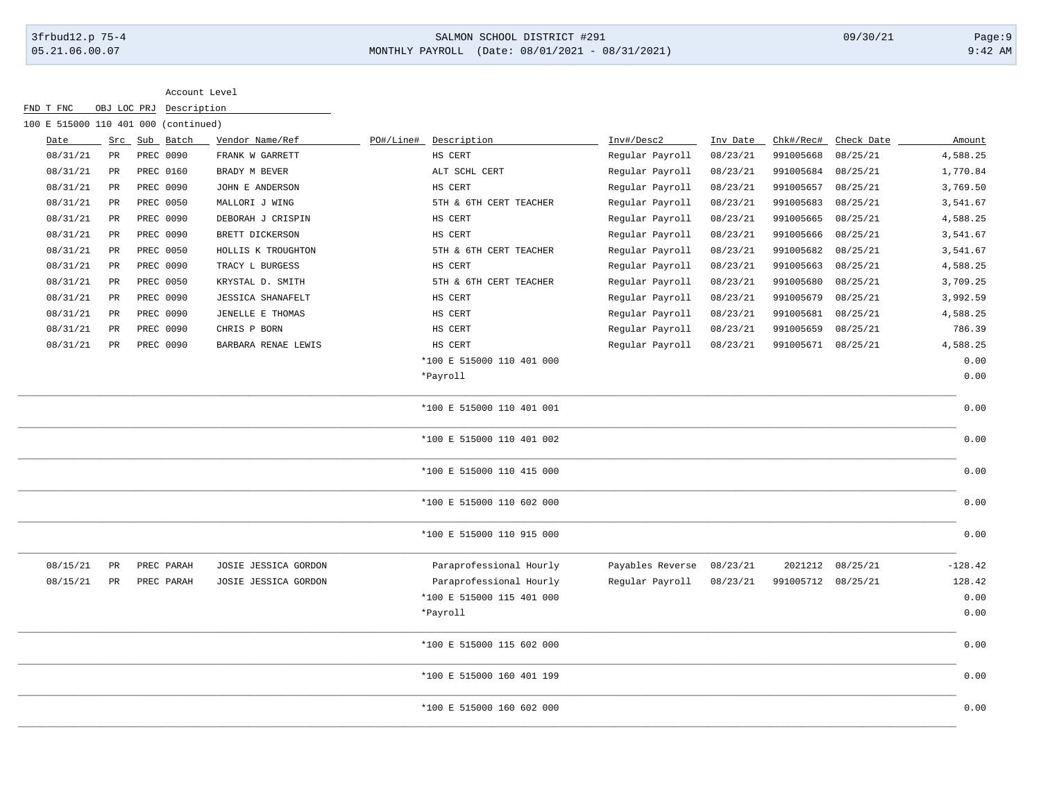# 3frbud12.p 75-4 SALMON SCHOOL DISTRICT #291 09/30/21 Page:9 05.21.06.00.07 MONTHLY PAYROLL (Date: 08/01/2021 - 08/31/2021) 9:42 AM

| 100 E 515000 110 401 000 (continued) |             |               |            |                          |           |                           |                  |          |           |            |           |
|--------------------------------------|-------------|---------------|------------|--------------------------|-----------|---------------------------|------------------|----------|-----------|------------|-----------|
| Date                                 |             | Src Sub Batch |            | Vendor Name/Ref          | PO#/Line# | Description               | Inv#/Desc2       | Inv Date | Chk#/Rec# | Check Date | Amount    |
| 08/31/21                             | PR          |               | PREC 0090  | FRANK W GARRETT          |           | HS CERT                   | Regular Payroll  | 08/23/21 | 991005668 | 08/25/21   | 4,588.25  |
| 08/31/21                             | $_{\rm PR}$ |               | PREC 0160  | BRADY M BEVER            |           | ALT SCHL CERT             | Regular Payroll  | 08/23/21 | 991005684 | 08/25/21   | 1,770.84  |
| 08/31/21                             | PR          |               | PREC 0090  | JOHN E ANDERSON          |           | HS CERT                   | Regular Payroll  | 08/23/21 | 991005657 | 08/25/21   | 3,769.50  |
| 08/31/21                             | PR          |               | PREC 0050  | MALLORI J WING           |           | 5TH & 6TH CERT TEACHER    | Regular Payroll  | 08/23/21 | 991005683 | 08/25/21   | 3,541.67  |
| 08/31/21                             | PR          |               | PREC 0090  | DEBORAH J CRISPIN        |           | HS CERT                   | Regular Payroll  | 08/23/21 | 991005665 | 08/25/21   | 4,588.25  |
| 08/31/21                             | PR          |               | PREC 0090  | BRETT DICKERSON          |           | HS CERT                   | Regular Payroll  | 08/23/21 | 991005666 | 08/25/21   | 3,541.67  |
| 08/31/21                             | PR          |               | PREC 0050  | HOLLIS K TROUGHTON       |           | 5TH & 6TH CERT TEACHER    | Regular Payroll  | 08/23/21 | 991005682 | 08/25/21   | 3,541.67  |
| 08/31/21                             | PR          |               | PREC 0090  | TRACY L BURGESS          |           | HS CERT                   | Regular Payroll  | 08/23/21 | 991005663 | 08/25/21   | 4,588.25  |
| 08/31/21                             | PR          |               | PREC 0050  | KRYSTAL D. SMITH         |           | 5TH & 6TH CERT TEACHER    | Regular Payroll  | 08/23/21 | 991005680 | 08/25/21   | 3,709.25  |
| 08/31/21                             | PR          |               | PREC 0090  | <b>JESSICA SHANAFELT</b> |           | HS CERT                   | Regular Payroll  | 08/23/21 | 991005679 | 08/25/21   | 3,992.59  |
| 08/31/21                             | PR          |               | PREC 0090  | JENELLE E THOMAS         |           | HS CERT                   | Regular Payroll  | 08/23/21 | 991005681 | 08/25/21   | 4,588.25  |
| 08/31/21                             | PR          |               | PREC 0090  | CHRIS P BORN             |           | HS CERT                   | Regular Payroll  | 08/23/21 | 991005659 | 08/25/21   | 786.39    |
| 08/31/21                             | PR          |               | PREC 0090  | BARBARA RENAE LEWIS      |           | HS CERT                   | Regular Payroll  | 08/23/21 | 991005671 | 08/25/21   | 4,588.25  |
|                                      |             |               |            |                          |           | *100 E 515000 110 401 000 |                  |          |           |            | 0.00      |
|                                      |             |               |            |                          |           | *Payroll                  |                  |          |           |            | 0.00      |
|                                      |             |               |            |                          |           | *100 E 515000 110 401 001 |                  |          |           |            | 0.00      |
|                                      |             |               |            |                          |           | *100 E 515000 110 401 002 |                  |          |           |            | 0.00      |
|                                      |             |               |            |                          |           | *100 E 515000 110 415 000 |                  |          |           |            | 0.00      |
|                                      |             |               |            |                          |           | *100 E 515000 110 602 000 |                  |          |           |            | 0.00      |
|                                      |             |               |            |                          |           | *100 E 515000 110 915 000 |                  |          |           |            | 0.00      |
| 08/15/21                             | $_{\rm PR}$ |               | PREC PARAH | JOSIE JESSICA GORDON     |           | Paraprofessional Hourly   | Payables Reverse | 08/23/21 | 2021212   | 08/25/21   | $-128.42$ |
| 08/15/21                             | PR          |               | PREC PARAH | JOSIE JESSICA GORDON     |           | Paraprofessional Hourly   | Regular Payroll  | 08/23/21 | 991005712 | 08/25/21   | 128.42    |
|                                      |             |               |            |                          |           | *100 E 515000 115 401 000 |                  |          |           |            | 0.00      |
|                                      |             |               |            |                          |           | *Payroll                  |                  |          |           |            | 0.00      |
|                                      |             |               |            |                          |           | *100 E 515000 115 602 000 |                  |          |           |            | 0.00      |
|                                      |             |               |            |                          |           | *100 E 515000 160 401 199 |                  |          |           |            | 0.00      |
|                                      |             |               |            |                          |           | *100 E 515000 160 602 000 |                  |          |           |            | 0.00      |
|                                      |             |               |            |                          |           |                           |                  |          |           |            |           |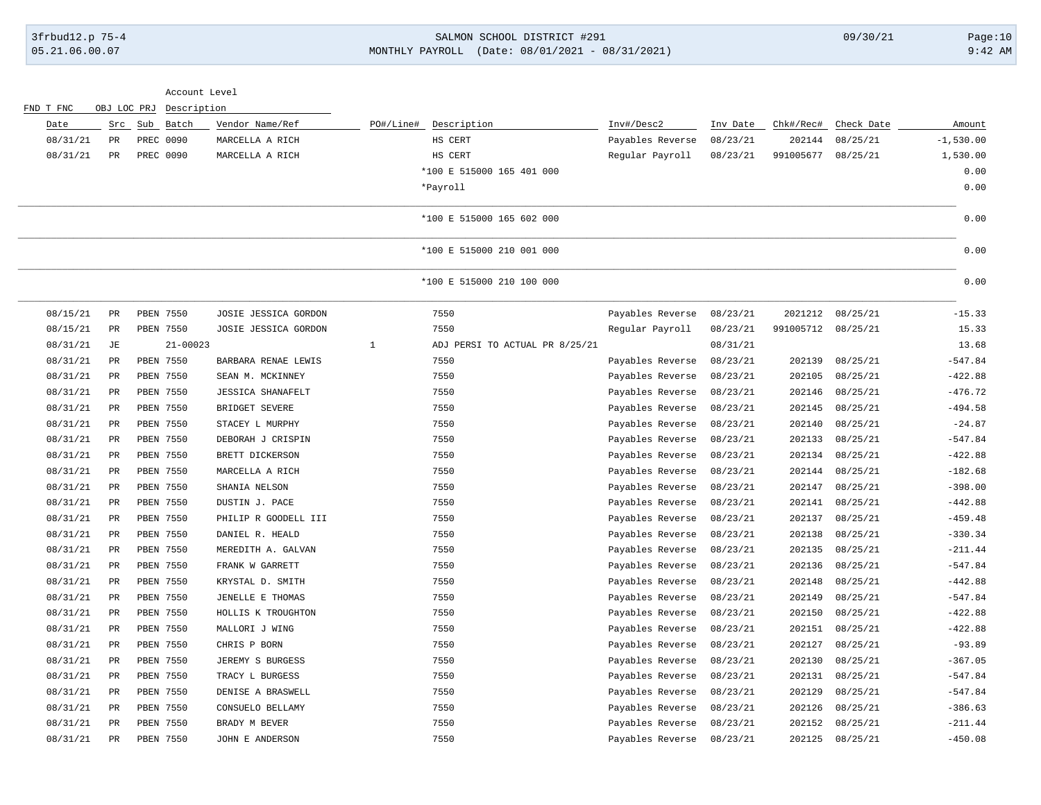# 3frbud12.p 75-4 SALMON SCHOOL DISTRICT #291 09/30/21 Page:10 05.21.06.00.07 MONTHLY PAYROLL (Date: 08/01/2021 - 08/31/2021) 9:42 AM

|           |             |                  | Account Level            |              |                                |                  |          |           |            |             |
|-----------|-------------|------------------|--------------------------|--------------|--------------------------------|------------------|----------|-----------|------------|-------------|
| FND T FNC | OBJ LOC PRJ | Description      |                          |              |                                |                  |          |           |            |             |
| Date      | Src         | Sub<br>Batch     | Vendor Name/Ref          |              | PO#/Line# Description          | Inv#/Desc2       | Inv Date | Chk#/Rec# | Check Date | Amount      |
| 08/31/21  | PR          | PREC 0090        | MARCELLA A RICH          |              | HS CERT                        | Payables Reverse | 08/23/21 | 202144    | 08/25/21   | $-1,530.00$ |
| 08/31/21  | PR          | PREC 0090        | MARCELLA A RICH          |              | HS CERT                        | Regular Payroll  | 08/23/21 | 991005677 | 08/25/21   | 1,530.00    |
|           |             |                  |                          |              | *100 E 515000 165 401 000      |                  |          |           |            | 0.00        |
|           |             |                  |                          |              | *Payroll                       |                  |          |           |            | 0.00        |
|           |             |                  |                          |              | *100 E 515000 165 602 000      |                  |          |           |            | 0.00        |
|           |             |                  |                          |              | *100 E 515000 210 001 000      |                  |          |           |            | 0.00        |
|           |             |                  |                          |              | *100 E 515000 210 100 000      |                  |          |           |            | 0.00        |
| 08/15/21  | PR          | PBEN 7550        | JOSIE JESSICA GORDON     |              | 7550                           | Payables Reverse | 08/23/21 | 2021212   | 08/25/21   | $-15.33$    |
| 08/15/21  | $_{\rm PR}$ | PBEN 7550        | JOSIE JESSICA GORDON     |              | 7550                           | Regular Payroll  | 08/23/21 | 991005712 | 08/25/21   | 15.33       |
| 08/31/21  | JЕ          | $21 - 00023$     |                          | $\mathbf{1}$ | ADJ PERSI TO ACTUAL PR 8/25/21 |                  | 08/31/21 |           |            | 13.68       |
| 08/31/21  | PR          | PBEN 7550        | BARBARA RENAE LEWIS      |              | 7550                           | Payables Reverse | 08/23/21 | 202139    | 08/25/21   | $-547.84$   |
| 08/31/21  | PR          | <b>PBEN 7550</b> | SEAN M. MCKINNEY         |              | 7550                           | Payables Reverse | 08/23/21 | 202105    | 08/25/21   | $-422.88$   |
| 08/31/21  | PR          | PBEN 7550        | <b>JESSICA SHANAFELT</b> |              | 7550                           | Payables Reverse | 08/23/21 | 202146    | 08/25/21   | $-476.72$   |
| 08/31/21  | $_{\rm PR}$ | PBEN 7550        | BRIDGET SEVERE           |              | 7550                           | Payables Reverse | 08/23/21 | 202145    | 08/25/21   | $-494.58$   |
| 08/31/21  | PR          | PBEN 7550        | STACEY L MURPHY          |              | 7550                           | Payables Reverse | 08/23/21 | 202140    | 08/25/21   | $-24.87$    |
| 08/31/21  | PR          | <b>PBEN 7550</b> | DEBORAH J CRISPIN        |              | 7550                           | Payables Reverse | 08/23/21 | 202133    | 08/25/21   | $-547.84$   |
| 08/31/21  | PR          | PBEN 7550        | BRETT DICKERSON          |              | 7550                           | Payables Reverse | 08/23/21 | 202134    | 08/25/21   | $-422.88$   |
| 08/31/21  | PR          | PBEN 7550        | MARCELLA A RICH          |              | 7550                           | Payables Reverse | 08/23/21 | 202144    | 08/25/21   | $-182.68$   |
| 08/31/21  | $_{\rm PR}$ | PBEN 7550        | SHANIA NELSON            |              | 7550                           | Payables Reverse | 08/23/21 | 202147    | 08/25/21   | $-398.00$   |
| 08/31/21  | PR          | PBEN 7550        | DUSTIN J. PACE           |              | 7550                           | Payables Reverse | 08/23/21 | 202141    | 08/25/21   | $-442.88$   |
| 08/31/21  | $_{\rm PR}$ | PBEN 7550        | PHILIP R GOODELL III     |              | 7550                           | Payables Reverse | 08/23/21 | 202137    | 08/25/21   | $-459.48$   |
| 08/31/21  | PR          | PBEN 7550        | DANIEL R. HEALD          |              | 7550                           | Payables Reverse | 08/23/21 | 202138    | 08/25/21   | $-330.34$   |
| 08/31/21  | $_{\rm PR}$ | PBEN 7550        | MEREDITH A. GALVAN       |              | 7550                           | Payables Reverse | 08/23/21 | 202135    | 08/25/21   | $-211.44$   |
| 08/31/21  | $_{\rm PR}$ | PBEN 7550        | FRANK W GARRETT          |              | 7550                           | Payables Reverse | 08/23/21 | 202136    | 08/25/21   | $-547.84$   |
| 08/31/21  | PR          | PBEN 7550        | KRYSTAL D. SMITH         |              | 7550                           | Payables Reverse | 08/23/21 | 202148    | 08/25/21   | $-442.88$   |
| 08/31/21  | PR          | <b>PBEN 7550</b> | JENELLE E THOMAS         |              | 7550                           | Payables Reverse | 08/23/21 | 202149    | 08/25/21   | $-547.84$   |
| 08/31/21  | PR          | <b>PBEN 7550</b> | HOLLIS K TROUGHTON       |              | 7550                           | Payables Reverse | 08/23/21 | 202150    | 08/25/21   | $-422.88$   |
| 08/31/21  | PR          | PBEN 7550        | MALLORI J WING           |              | 7550                           | Payables Reverse | 08/23/21 | 202151    | 08/25/21   | $-422.88$   |
| 08/31/21  | PR          | PBEN 7550        | CHRIS P BORN             |              | 7550                           | Payables Reverse | 08/23/21 | 202127    | 08/25/21   | $-93.89$    |
| 08/31/21  | PR          | PBEN 7550        | JEREMY S BURGESS         |              | 7550                           | Payables Reverse | 08/23/21 | 202130    | 08/25/21   | $-367.05$   |
| 08/31/21  | PR          | PBEN 7550        | TRACY L BURGESS          |              | 7550                           | Payables Reverse | 08/23/21 | 202131    | 08/25/21   | $-547.84$   |
| 08/31/21  | $_{\rm PR}$ | PBEN 7550        | DENISE A BRASWELL        |              | 7550                           | Payables Reverse | 08/23/21 | 202129    | 08/25/21   | $-547.84$   |
| 08/31/21  | PR          | PBEN 7550        | CONSUELO BELLAMY         |              | 7550                           | Payables Reverse | 08/23/21 | 202126    | 08/25/21   | $-386.63$   |
| 08/31/21  | PR          | <b>PBEN 7550</b> | BRADY M BEVER            |              | 7550                           | Payables Reverse | 08/23/21 | 202152    | 08/25/21   | $-211.44$   |
| 08/31/21  | PR          | PBEN 7550        | JOHN E ANDERSON          |              | 7550                           | Payables Reverse | 08/23/21 | 202125    | 08/25/21   | $-450.08$   |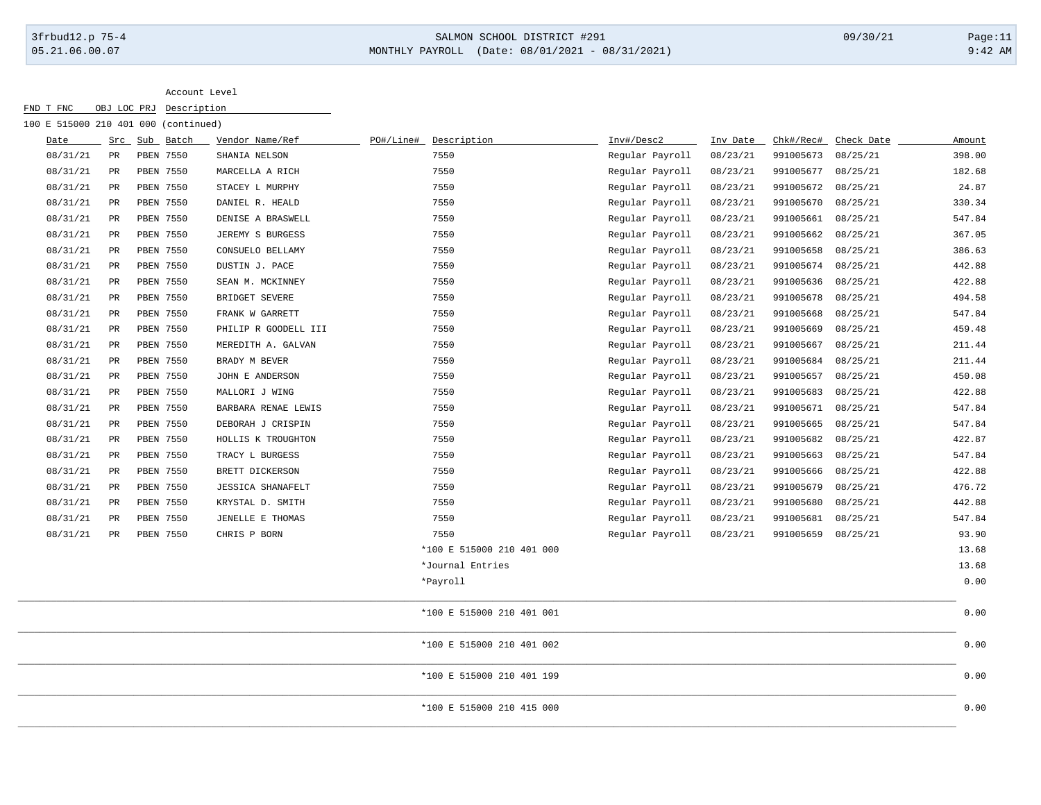# 3frbud12.p 75-4 SALMON SCHOOL DISTRICT #291 09/30/21 Page:11 05.21.06.00.07 MONTHLY PAYROLL (Date: 08/01/2021 - 08/31/2021) 9:42 AM

| 100 E 515000 210 401 000 (continued) |               |               |                          |                           |                 |          |           |            |        |
|--------------------------------------|---------------|---------------|--------------------------|---------------------------|-----------------|----------|-----------|------------|--------|
| Date                                 |               | Src Sub Batch | Vendor Name/Ref          | PO#/Line# Description     | Inv#/Desc2      | Inv Date | Chk#/Rec# | Check Date | Amount |
| 08/31/21                             | PR            | PBEN 7550     | SHANIA NELSON            | 7550                      | Regular Payroll | 08/23/21 | 991005673 | 08/25/21   | 398.00 |
| 08/31/21                             | $\mathtt{PR}$ | PBEN 7550     | MARCELLA A RICH          | 7550                      | Regular Payroll | 08/23/21 | 991005677 | 08/25/21   | 182.68 |
| 08/31/21                             | $_{\rm PR}$   | PBEN 7550     | STACEY L MURPHY          | 7550                      | Regular Payroll | 08/23/21 | 991005672 | 08/25/21   | 24.87  |
| 08/31/21                             | PR            | PBEN 7550     | DANIEL R. HEALD          | 7550                      | Regular Payroll | 08/23/21 | 991005670 | 08/25/21   | 330.34 |
| 08/31/21                             | PR            | PBEN 7550     | DENISE A BRASWELL        | 7550                      | Regular Payroll | 08/23/21 | 991005661 | 08/25/21   | 547.84 |
| 08/31/21                             | $_{\rm PR}$   | PBEN 7550     | JEREMY S BURGESS         | 7550                      | Regular Payroll | 08/23/21 | 991005662 | 08/25/21   | 367.05 |
| 08/31/21                             | $_{\rm PR}$   | PBEN 7550     | CONSUELO BELLAMY         | 7550                      | Regular Payroll | 08/23/21 | 991005658 | 08/25/21   | 386.63 |
| 08/31/21                             | $_{\rm PR}$   | PBEN 7550     | DUSTIN J. PACE           | 7550                      | Regular Payroll | 08/23/21 | 991005674 | 08/25/21   | 442.88 |
| 08/31/21                             | $\mathtt{PR}$ | PBEN 7550     | SEAN M. MCKINNEY         | 7550                      | Regular Payroll | 08/23/21 | 991005636 | 08/25/21   | 422.88 |
| 08/31/21                             | PR            | PBEN 7550     | BRIDGET SEVERE           | 7550                      | Regular Payroll | 08/23/21 | 991005678 | 08/25/21   | 494.58 |
| 08/31/21                             | PR            | PBEN 7550     | FRANK W GARRETT          | 7550                      | Regular Payroll | 08/23/21 | 991005668 | 08/25/21   | 547.84 |
| 08/31/21                             | PR            | PBEN 7550     | PHILIP R GOODELL III     | 7550                      | Regular Payroll | 08/23/21 | 991005669 | 08/25/21   | 459.48 |
| 08/31/21                             | $_{\rm PR}$   | PBEN 7550     | MEREDITH A. GALVAN       | 7550                      | Regular Payroll | 08/23/21 | 991005667 | 08/25/21   | 211.44 |
| 08/31/21                             | $_{\rm PR}$   | PBEN 7550     | BRADY M BEVER            | 7550                      | Regular Payroll | 08/23/21 | 991005684 | 08/25/21   | 211.44 |
| 08/31/21                             | $_{\rm PR}$   | PBEN 7550     | JOHN E ANDERSON          | 7550                      | Regular Payroll | 08/23/21 | 991005657 | 08/25/21   | 450.08 |
| 08/31/21                             | $_{\rm PR}$   | PBEN 7550     | MALLORI J WING           | 7550                      | Regular Payroll | 08/23/21 | 991005683 | 08/25/21   | 422.88 |
| 08/31/21                             | $_{\rm PR}$   | PBEN 7550     | BARBARA RENAE LEWIS      | 7550                      | Regular Payroll | 08/23/21 | 991005671 | 08/25/21   | 547.84 |
| 08/31/21                             | PR            | PBEN 7550     | DEBORAH J CRISPIN        | 7550                      | Regular Payroll | 08/23/21 | 991005665 | 08/25/21   | 547.84 |
| 08/31/21                             | $_{\rm PR}$   | PBEN 7550     | HOLLIS K TROUGHTON       | 7550                      | Regular Payroll | 08/23/21 | 991005682 | 08/25/21   | 422.87 |
| 08/31/21                             | $_{\rm PR}$   | PBEN 7550     | TRACY L BURGESS          | 7550                      | Regular Payroll | 08/23/21 | 991005663 | 08/25/21   | 547.84 |
| 08/31/21                             | $_{\rm PR}$   | PBEN 7550     | BRETT DICKERSON          | 7550                      | Regular Payroll | 08/23/21 | 991005666 | 08/25/21   | 422.88 |
| 08/31/21                             | PR            | PBEN 7550     | <b>JESSICA SHANAFELT</b> | 7550                      | Regular Payroll | 08/23/21 | 991005679 | 08/25/21   | 476.72 |
| 08/31/21                             | PR            | PBEN 7550     | KRYSTAL D. SMITH         | 7550                      | Regular Payroll | 08/23/21 | 991005680 | 08/25/21   | 442.88 |
| 08/31/21                             | PR            | PBEN 7550     | JENELLE E THOMAS         | 7550                      | Regular Payroll | 08/23/21 | 991005681 | 08/25/21   | 547.84 |
| 08/31/21                             | $_{\rm PR}$   | PBEN 7550     | CHRIS P BORN             | 7550                      | Regular Payroll | 08/23/21 | 991005659 | 08/25/21   | 93.90  |
|                                      |               |               |                          | *100 E 515000 210 401 000 |                 |          |           |            | 13.68  |
|                                      |               |               |                          | *Journal Entries          |                 |          |           |            | 13.68  |
|                                      |               |               |                          | *Payroll                  |                 |          |           |            | 0.00   |
|                                      |               |               |                          | *100 E 515000 210 401 001 |                 |          |           |            | 0.00   |
|                                      |               |               |                          | *100 E 515000 210 401 002 |                 |          |           |            | 0.00   |
|                                      |               |               |                          | *100 E 515000 210 401 199 |                 |          |           |            | 0.00   |
|                                      |               |               |                          | *100 E 515000 210 415 000 |                 |          |           |            | 0.00   |
|                                      |               |               |                          |                           |                 |          |           |            |        |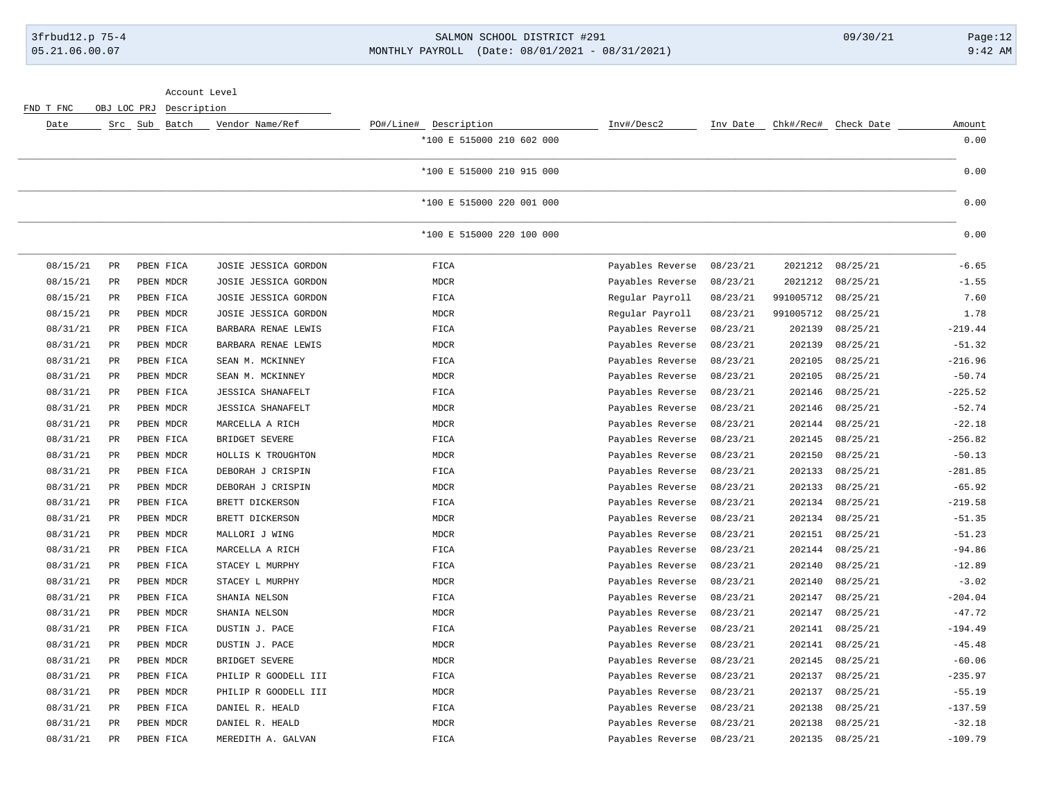### 3frbud12.p 75-4 SALMON SCHOOL DISTRICT #291 09/30/21 Page:12 05.21.06.00.07 MONTHLY PAYROLL (Date: 08/01/2021 - 08/31/2021) 9:42 AM

|           | Account Level<br>OBJ LOC PRJ |         |             |                          |                           |                  |          |           |                      |           |
|-----------|------------------------------|---------|-------------|--------------------------|---------------------------|------------------|----------|-----------|----------------------|-----------|
| FND T FNC |                              |         | Description |                          |                           |                  |          |           |                      |           |
| Date      |                              | Src Sub | Batch       | Vendor Name/Ref          | PO#/Line# Description     | Inv#/Desc2       | Inv Date |           | Chk#/Rec# Check Date | Amount    |
|           |                              |         |             |                          | *100 E 515000 210 602 000 |                  |          |           |                      | 0.00      |
|           |                              |         |             |                          | *100 E 515000 210 915 000 |                  |          |           |                      | 0.00      |
|           |                              |         |             |                          | *100 E 515000 220 001 000 |                  |          |           |                      | 0.00      |
|           |                              |         |             |                          | *100 E 515000 220 100 000 |                  |          |           |                      | 0.00      |
| 08/15/21  | PR                           |         | PBEN FICA   | JOSIE JESSICA GORDON     | FICA                      | Payables Reverse | 08/23/21 | 2021212   | 08/25/21             | $-6.65$   |
| 08/15/21  | $\mbox{\sf PR}$              |         | PBEN MDCR   | JOSIE JESSICA GORDON     | <b>MDCR</b>               | Payables Reverse | 08/23/21 | 2021212   | 08/25/21             | $-1.55$   |
| 08/15/21  | PR                           |         | PBEN FICA   | JOSIE JESSICA GORDON     | FICA                      | Regular Payroll  | 08/23/21 | 991005712 | 08/25/21             | 7.60      |
| 08/15/21  | PR                           |         | PBEN MDCR   | JOSIE JESSICA GORDON     | <b>MDCR</b>               | Regular Payroll  | 08/23/21 | 991005712 | 08/25/21             | 1.78      |
| 08/31/21  | PR                           |         | PBEN FICA   | BARBARA RENAE LEWIS      | FICA                      | Payables Reverse | 08/23/21 | 202139    | 08/25/21             | $-219.44$ |
| 08/31/21  | $_{\rm PR}$                  |         | PBEN MDCR   | BARBARA RENAE LEWIS      | <b>MDCR</b>               | Payables Reverse | 08/23/21 | 202139    | 08/25/21             | $-51.32$  |
| 08/31/21  | $_{\rm PR}$                  |         | PBEN FICA   | SEAN M. MCKINNEY         | FICA                      | Payables Reverse | 08/23/21 | 202105    | 08/25/21             | $-216.96$ |
| 08/31/21  | PR                           |         | PBEN MDCR   | SEAN M. MCKINNEY         | MDCR                      | Payables Reverse | 08/23/21 | 202105    | 08/25/21             | $-50.74$  |
| 08/31/21  | $_{\rm PR}$                  |         | PBEN FICA   | <b>JESSICA SHANAFELT</b> | FICA                      | Payables Reverse | 08/23/21 | 202146    | 08/25/21             | $-225.52$ |
| 08/31/21  | <b>PR</b>                    |         | PBEN MDCR   | <b>JESSICA SHANAFELT</b> | <b>MDCR</b>               | Payables Reverse | 08/23/21 | 202146    | 08/25/21             | $-52.74$  |
| 08/31/21  | $_{\rm PR}$                  |         | PBEN MDCR   | MARCELLA A RICH          | <b>MDCR</b>               | Payables Reverse | 08/23/21 | 202144    | 08/25/21             | $-22.18$  |
| 08/31/21  | PR                           |         | PBEN FICA   | BRIDGET SEVERE           | FICA                      | Payables Reverse | 08/23/21 | 202145    | 08/25/21             | $-256.82$ |
| 08/31/21  | PR                           |         | PBEN MDCR   | HOLLIS K TROUGHTON       | MDCR                      | Payables Reverse | 08/23/21 | 202150    | 08/25/21             | $-50.13$  |
| 08/31/21  | PR                           |         | PBEN FICA   | DEBORAH J CRISPIN        | FICA                      | Payables Reverse | 08/23/21 | 202133    | 08/25/21             | $-281.85$ |
| 08/31/21  | PR                           |         | PBEN MDCR   | DEBORAH J CRISPIN        | <b>MDCR</b>               | Payables Reverse | 08/23/21 | 202133    | 08/25/21             | $-65.92$  |
| 08/31/21  | PR                           |         | PBEN FICA   | BRETT DICKERSON          | FICA                      | Payables Reverse | 08/23/21 | 202134    | 08/25/21             | $-219.58$ |
| 08/31/21  | PR                           |         | PBEN MDCR   | BRETT DICKERSON          | MDCR                      | Payables Reverse | 08/23/21 | 202134    | 08/25/21             | $-51.35$  |
| 08/31/21  | PR                           |         | PBEN MDCR   | MALLORI J WING           | MDCR                      | Payables Reverse | 08/23/21 | 202151    | 08/25/21             | $-51.23$  |
| 08/31/21  | <b>PR</b>                    |         | PBEN FICA   | MARCELLA A RICH          | FICA                      | Payables Reverse | 08/23/21 | 202144    | 08/25/21             | $-94.86$  |
| 08/31/21  | PR                           |         | PBEN FICA   | STACEY L MURPHY          | FICA                      | Payables Reverse | 08/23/21 | 202140    | 08/25/21             | $-12.89$  |
| 08/31/21  | $\mbox{\sf PR}$              |         | PBEN MDCR   | STACEY L MURPHY          | <b>MDCR</b>               | Payables Reverse | 08/23/21 | 202140    | 08/25/21             | $-3.02$   |
| 08/31/21  | $_{\rm PR}$                  |         | PBEN FICA   | SHANIA NELSON            | FICA                      | Payables Reverse | 08/23/21 | 202147    | 08/25/21             | $-204.04$ |
| 08/31/21  | PR                           |         | PBEN MDCR   | SHANIA NELSON            | <b>MDCR</b>               | Payables Reverse | 08/23/21 | 202147    | 08/25/21             | $-47.72$  |
| 08/31/21  | PR                           |         | PBEN FICA   | DUSTIN J. PACE           | FICA                      | Payables Reverse | 08/23/21 | 202141    | 08/25/21             | $-194.49$ |
| 08/31/21  | PR                           |         | PBEN MDCR   | DUSTIN J. PACE           | <b>MDCR</b>               | Payables Reverse | 08/23/21 | 202141    | 08/25/21             | $-45.48$  |
| 08/31/21  | $_{\rm PR}$                  |         | PBEN MDCR   | BRIDGET SEVERE           | MDCR                      | Payables Reverse | 08/23/21 | 202145    | 08/25/21             | $-60.06$  |
| 08/31/21  | PR                           |         | PBEN FICA   | PHILIP R GOODELL III     | FICA                      | Payables Reverse | 08/23/21 | 202137    | 08/25/21             | $-235.97$ |
| 08/31/21  | PR                           |         | PBEN MDCR   | PHILIP R GOODELL III     | MDCR                      | Payables Reverse | 08/23/21 | 202137    | 08/25/21             | $-55.19$  |
| 08/31/21  | $_{\rm PR}$                  |         | PBEN FICA   | DANIEL R. HEALD          | FICA                      | Payables Reverse | 08/23/21 | 202138    | 08/25/21             | $-137.59$ |
| 08/31/21  | $_{\rm PR}$                  |         | PBEN MDCR   | DANIEL R. HEALD          | <b>MDCR</b>               | Payables Reverse | 08/23/21 | 202138    | 08/25/21             | $-32.18$  |
| 08/31/21  | $_{\rm PR}$                  |         | PBEN FICA   | MEREDITH A. GALVAN       | FICA                      | Payables Reverse | 08/23/21 | 202135    | 08/25/21             | $-109.79$ |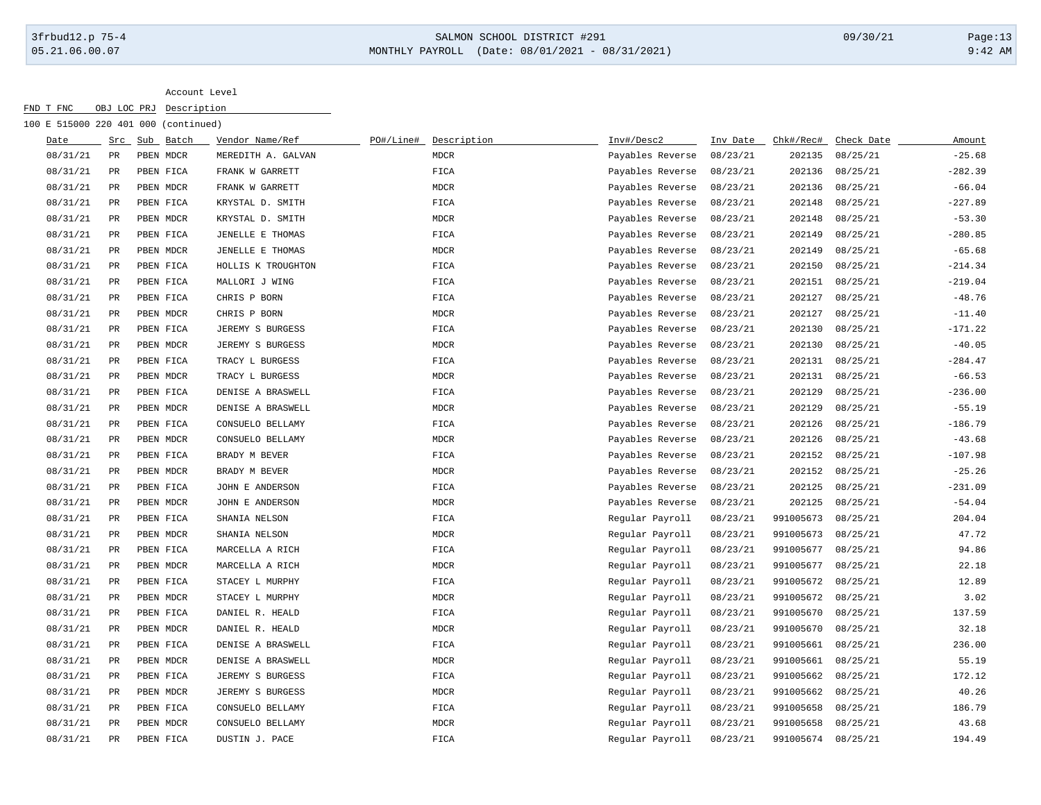## 3frbud12.p 75-4 SALMON SCHOOL DISTRICT #291 09/30/21 Page:13 05.21.06.00.07 MONTHLY PAYROLL (Date: 08/01/2021 - 08/31/2021) 9:42 AM

|          |               | 100 E 515000 220 401 000 (continued) |                    |           |             |                  |          |                    |            |           |
|----------|---------------|--------------------------------------|--------------------|-----------|-------------|------------------|----------|--------------------|------------|-----------|
| Date     |               | Src Sub Batch                        | Vendor Name/Ref    | PO#/Line# | Description | Inv#/Desc2       | Inv Date | Chk#/Rec#          | Check Date | Amount    |
| 08/31/21 | PR            | PBEN MDCR                            | MEREDITH A. GALVAN |           | <b>MDCR</b> | Payables Reverse | 08/23/21 | 202135             | 08/25/21   | $-25.68$  |
| 08/31/21 | $_{\rm PR}$   | PBEN FICA                            | FRANK W GARRETT    |           | FICA        | Payables Reverse | 08/23/21 | 202136             | 08/25/21   | $-282.39$ |
| 08/31/21 | $_{\rm PR}$   | PBEN MDCR                            | FRANK W GARRETT    |           | <b>MDCR</b> | Payables Reverse | 08/23/21 | 202136             | 08/25/21   | $-66.04$  |
| 08/31/21 | $_{\rm PR}$   | PBEN FICA                            | KRYSTAL D. SMITH   |           | FICA        | Payables Reverse | 08/23/21 | 202148             | 08/25/21   | $-227.89$ |
| 08/31/21 | $_{\rm PR}$   | PBEN MDCR                            | KRYSTAL D. SMITH   |           | MDCR        | Payables Reverse | 08/23/21 | 202148             | 08/25/21   | $-53.30$  |
| 08/31/21 | $_{\rm PR}$   | PBEN FICA                            | JENELLE E THOMAS   |           | FICA        | Payables Reverse | 08/23/21 | 202149             | 08/25/21   | $-280.85$ |
| 08/31/21 | $_{\rm PR}$   | PBEN MDCR                            | JENELLE E THOMAS   |           | MDCR        | Payables Reverse | 08/23/21 | 202149             | 08/25/21   | $-65.68$  |
| 08/31/21 | PR            | PBEN FICA                            | HOLLIS K TROUGHTON |           | FICA        | Payables Reverse | 08/23/21 | 202150             | 08/25/21   | $-214.34$ |
| 08/31/21 | PR            | PBEN FICA                            | MALLORI J WING     |           | FICA        | Payables Reverse | 08/23/21 | 202151             | 08/25/21   | $-219.04$ |
| 08/31/21 | PR            | PBEN FICA                            | CHRIS P BORN       |           | FICA        | Payables Reverse | 08/23/21 | 202127             | 08/25/21   | $-48.76$  |
| 08/31/21 | PR            | PBEN MDCR                            | CHRIS P BORN       |           | <b>MDCR</b> | Payables Reverse | 08/23/21 | 202127             | 08/25/21   | $-11.40$  |
| 08/31/21 | PR            | PBEN FICA                            | JEREMY S BURGESS   |           | FICA        | Payables Reverse | 08/23/21 | 202130             | 08/25/21   | $-171.22$ |
| 08/31/21 | PR            | PBEN MDCR                            | JEREMY S BURGESS   |           | <b>MDCR</b> | Payables Reverse | 08/23/21 | 202130             | 08/25/21   | $-40.05$  |
| 08/31/21 | $_{\rm PR}$   | PBEN FICA                            | TRACY L BURGESS    |           | FICA        | Payables Reverse | 08/23/21 | 202131             | 08/25/21   | $-284.47$ |
| 08/31/21 | PR            | PBEN MDCR                            | TRACY L BURGESS    |           | <b>MDCR</b> | Payables Reverse | 08/23/21 | 202131             | 08/25/21   | $-66.53$  |
| 08/31/21 | PR            | PBEN FICA                            | DENISE A BRASWELL  |           | FICA        | Payables Reverse | 08/23/21 | 202129             | 08/25/21   | $-236.00$ |
| 08/31/21 | $_{\rm PR}$   | PBEN MDCR                            | DENISE A BRASWELL  |           | <b>MDCR</b> | Payables Reverse | 08/23/21 | 202129             | 08/25/21   | $-55.19$  |
| 08/31/21 | $_{\rm PR}$   | PBEN FICA                            | CONSUELO BELLAMY   |           | FICA        | Payables Reverse | 08/23/21 | 202126             | 08/25/21   | $-186.79$ |
| 08/31/21 | $_{\rm PR}$   | PBEN MDCR                            | CONSUELO BELLAMY   |           | <b>MDCR</b> | Payables Reverse | 08/23/21 | 202126             | 08/25/21   | $-43.68$  |
| 08/31/21 | $_{\rm PR}$   | PBEN FICA                            | BRADY M BEVER      |           | FICA        | Payables Reverse | 08/23/21 | 202152             | 08/25/21   | $-107.98$ |
| 08/31/21 | PR            | PBEN MDCR                            | BRADY M BEVER      |           | <b>MDCR</b> | Payables Reverse | 08/23/21 | 202152             | 08/25/21   | $-25.26$  |
| 08/31/21 | PR            | PBEN FICA                            | JOHN E ANDERSON    |           | FICA        | Payables Reverse | 08/23/21 | 202125             | 08/25/21   | $-231.09$ |
| 08/31/21 | PR            | PBEN MDCR                            | JOHN E ANDERSON    |           | <b>MDCR</b> | Payables Reverse | 08/23/21 | 202125             | 08/25/21   | $-54.04$  |
| 08/31/21 | PR            | PBEN FICA                            | SHANIA NELSON      |           | FICA        | Regular Payroll  | 08/23/21 | 991005673          | 08/25/21   | 204.04    |
| 08/31/21 | PR            | PBEN MDCR                            | SHANIA NELSON      |           | <b>MDCR</b> | Regular Payroll  | 08/23/21 | 991005673          | 08/25/21   | 47.72     |
| 08/31/21 | PR            | PBEN FICA                            | MARCELLA A RICH    |           | FICA        | Regular Payroll  | 08/23/21 | 991005677          | 08/25/21   | 94.86     |
| 08/31/21 | PR            | PBEN MDCR                            | MARCELLA A RICH    |           | <b>MDCR</b> | Regular Payroll  | 08/23/21 | 991005677          | 08/25/21   | 22.18     |
| 08/31/21 | PR            | PBEN FICA                            | STACEY L MURPHY    |           | FICA        | Regular Payroll  | 08/23/21 | 991005672 08/25/21 |            | 12.89     |
| 08/31/21 | PR            | PBEN MDCR                            | STACEY L MURPHY    |           | <b>MDCR</b> | Regular Payroll  | 08/23/21 | 991005672          | 08/25/21   | 3.02      |
| 08/31/21 | $_{\rm PR}$   | PBEN FICA                            | DANIEL R. HEALD    |           | FICA        | Regular Payroll  | 08/23/21 | 991005670          | 08/25/21   | 137.59    |
| 08/31/21 | PR            | PBEN MDCR                            | DANIEL R. HEALD    |           | <b>MDCR</b> | Regular Payroll  | 08/23/21 | 991005670          | 08/25/21   | 32.18     |
| 08/31/21 | $_{\rm PR}$   | PBEN FICA                            | DENISE A BRASWELL  |           | FICA        | Regular Payroll  | 08/23/21 | 991005661          | 08/25/21   | 236.00    |
| 08/31/21 | PR            | PBEN MDCR                            | DENISE A BRASWELL  |           | <b>MDCR</b> | Regular Payroll  | 08/23/21 | 991005661          | 08/25/21   | 55.19     |
| 08/31/21 | $_{\rm PR}$   | PBEN FICA                            | JEREMY S BURGESS   |           | FICA        | Regular Payroll  | 08/23/21 | 991005662          | 08/25/21   | 172.12    |
| 08/31/21 | $_{\rm PR}$   | PBEN MDCR                            | JEREMY S BURGESS   |           | <b>MDCR</b> | Regular Payroll  | 08/23/21 | 991005662          | 08/25/21   | 40.26     |
| 08/31/21 | PR            | PBEN FICA                            | CONSUELO BELLAMY   |           | FICA        | Regular Payroll  | 08/23/21 | 991005658          | 08/25/21   | 186.79    |
| 08/31/21 | $\mathtt{PR}$ | PBEN MDCR                            | CONSUELO BELLAMY   |           | <b>MDCR</b> | Regular Payroll  | 08/23/21 | 991005658          | 08/25/21   | 43.68     |
| 08/31/21 | $\mathtt{PR}$ | PBEN FICA                            | DUSTIN J. PACE     |           | <b>FICA</b> | Regular Payroll  | 08/23/21 | 991005674          | 08/25/21   | 194.49    |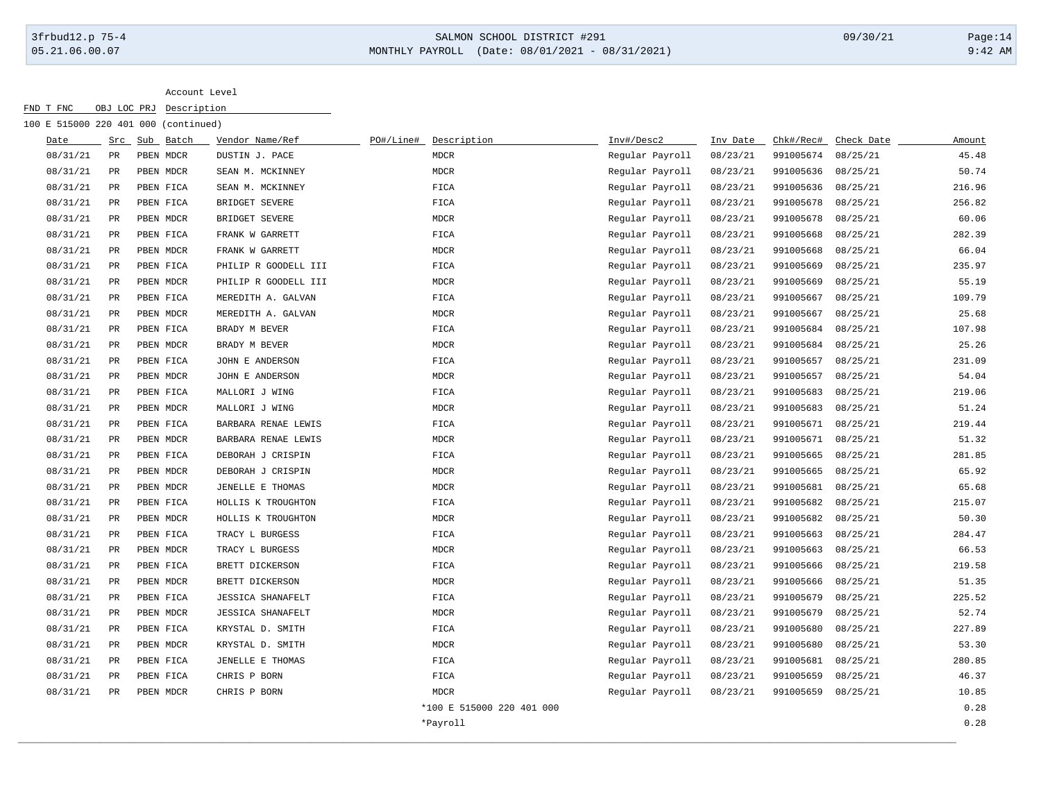## 3frbud12.p 75-4 SALMON SCHOOL DISTRICT #291 09/30/21 Page:14 05.21.06.00.07 MONTHLY PAYROLL (Date: 08/01/2021 - 08/31/2021) 9:42 AM

| Date<br>Src<br>08/31/21<br>PR<br>08/31/21<br>PR<br>08/31/21<br>$_{\rm PR}$<br>08/31/21<br>$_{\rm PR}$<br>08/31/21<br>$_{\rm PR}$<br>08/31/21<br>$_{\rm PR}$<br>08/31/21<br>PR<br>08/31/21<br>PR<br>08/31/21<br>PR<br>08/31/21<br>PR<br>08/31/21<br>PR<br>08/31/21<br>$_{\rm PR}$<br>08/31/21<br>PR<br>08/31/21<br>PR | Sub Batch<br>PBEN MDCR<br>PBEN MDCR<br>PBEN FICA<br>PBEN FICA<br>PBEN MDCR<br>PBEN FICA<br>PBEN MDCR<br>PBEN FICA<br>PBEN MDCR<br>PBEN FICA<br>PBEN MDCR<br>PBEN FICA<br>PBEN MDCR<br>PBEN FICA<br>PBEN MDCR | Vendor Name/Ref<br>DUSTIN J. PACE<br>SEAN M. MCKINNEY<br>SEAN M. MCKINNEY<br>BRIDGET SEVERE<br>BRIDGET SEVERE<br>FRANK W GARRETT<br>FRANK W GARRETT<br>PHILIP R GOODELL III<br>PHILIP R GOODELL III<br>MEREDITH A. GALVAN<br>MEREDITH A. GALVAN<br>BRADY M BEVER<br>BRADY M BEVER<br>JOHN E ANDERSON | PO#/Line#<br>Description<br><b>MDCR</b><br><b>MDCR</b><br>FICA<br>FICA<br>MDCR<br>FICA<br>MDCR<br>FICA<br>MDCR<br>FICA<br>MDCR<br>FICA<br><b>MDCR</b> | Inv#/Desc2<br>Regular Payroll<br>Regular Payroll<br>Regular Payroll<br>Regular Payroll<br>Regular Payroll<br>Regular Payroll<br>Regular Payroll<br>Regular Payroll<br>Regular Payroll<br>Regular Payroll<br>Regular Payroll<br>Regular Payroll | Inv Date<br>08/23/21<br>08/23/21<br>08/23/21<br>08/23/21<br>08/23/21<br>08/23/21<br>08/23/21<br>08/23/21<br>08/23/21<br>08/23/21<br>08/23/21<br>08/23/21 | Chk#/Rec#<br>991005674<br>991005636<br>991005636<br>991005678<br>991005678<br>991005668<br>991005668<br>991005669<br>991005669<br>991005667<br>991005667 | Check Date<br>08/25/21<br>08/25/21<br>08/25/21<br>08/25/21<br>08/25/21<br>08/25/21<br>08/25/21<br>08/25/21<br>08/25/21<br>08/25/21<br>08/25/21 | Amount<br>45.48<br>50.74<br>216.96<br>256.82<br>60.06<br>282.39<br>66.04<br>235.97<br>55.19<br>109.79<br>25.68 |
|----------------------------------------------------------------------------------------------------------------------------------------------------------------------------------------------------------------------------------------------------------------------------------------------------------------------|--------------------------------------------------------------------------------------------------------------------------------------------------------------------------------------------------------------|------------------------------------------------------------------------------------------------------------------------------------------------------------------------------------------------------------------------------------------------------------------------------------------------------|-------------------------------------------------------------------------------------------------------------------------------------------------------|------------------------------------------------------------------------------------------------------------------------------------------------------------------------------------------------------------------------------------------------|----------------------------------------------------------------------------------------------------------------------------------------------------------|----------------------------------------------------------------------------------------------------------------------------------------------------------|------------------------------------------------------------------------------------------------------------------------------------------------|----------------------------------------------------------------------------------------------------------------|
|                                                                                                                                                                                                                                                                                                                      |                                                                                                                                                                                                              |                                                                                                                                                                                                                                                                                                      |                                                                                                                                                       |                                                                                                                                                                                                                                                |                                                                                                                                                          |                                                                                                                                                          |                                                                                                                                                |                                                                                                                |
|                                                                                                                                                                                                                                                                                                                      |                                                                                                                                                                                                              |                                                                                                                                                                                                                                                                                                      |                                                                                                                                                       |                                                                                                                                                                                                                                                |                                                                                                                                                          |                                                                                                                                                          |                                                                                                                                                |                                                                                                                |
|                                                                                                                                                                                                                                                                                                                      |                                                                                                                                                                                                              |                                                                                                                                                                                                                                                                                                      |                                                                                                                                                       |                                                                                                                                                                                                                                                |                                                                                                                                                          |                                                                                                                                                          |                                                                                                                                                |                                                                                                                |
|                                                                                                                                                                                                                                                                                                                      |                                                                                                                                                                                                              |                                                                                                                                                                                                                                                                                                      |                                                                                                                                                       |                                                                                                                                                                                                                                                |                                                                                                                                                          |                                                                                                                                                          |                                                                                                                                                |                                                                                                                |
|                                                                                                                                                                                                                                                                                                                      |                                                                                                                                                                                                              |                                                                                                                                                                                                                                                                                                      |                                                                                                                                                       |                                                                                                                                                                                                                                                |                                                                                                                                                          |                                                                                                                                                          |                                                                                                                                                |                                                                                                                |
|                                                                                                                                                                                                                                                                                                                      |                                                                                                                                                                                                              |                                                                                                                                                                                                                                                                                                      |                                                                                                                                                       |                                                                                                                                                                                                                                                |                                                                                                                                                          |                                                                                                                                                          |                                                                                                                                                |                                                                                                                |
|                                                                                                                                                                                                                                                                                                                      |                                                                                                                                                                                                              |                                                                                                                                                                                                                                                                                                      |                                                                                                                                                       |                                                                                                                                                                                                                                                |                                                                                                                                                          |                                                                                                                                                          |                                                                                                                                                |                                                                                                                |
|                                                                                                                                                                                                                                                                                                                      |                                                                                                                                                                                                              |                                                                                                                                                                                                                                                                                                      |                                                                                                                                                       |                                                                                                                                                                                                                                                |                                                                                                                                                          |                                                                                                                                                          |                                                                                                                                                |                                                                                                                |
|                                                                                                                                                                                                                                                                                                                      |                                                                                                                                                                                                              |                                                                                                                                                                                                                                                                                                      |                                                                                                                                                       |                                                                                                                                                                                                                                                |                                                                                                                                                          |                                                                                                                                                          |                                                                                                                                                |                                                                                                                |
|                                                                                                                                                                                                                                                                                                                      |                                                                                                                                                                                                              |                                                                                                                                                                                                                                                                                                      |                                                                                                                                                       |                                                                                                                                                                                                                                                |                                                                                                                                                          |                                                                                                                                                          |                                                                                                                                                |                                                                                                                |
|                                                                                                                                                                                                                                                                                                                      |                                                                                                                                                                                                              |                                                                                                                                                                                                                                                                                                      |                                                                                                                                                       |                                                                                                                                                                                                                                                |                                                                                                                                                          |                                                                                                                                                          |                                                                                                                                                |                                                                                                                |
|                                                                                                                                                                                                                                                                                                                      |                                                                                                                                                                                                              |                                                                                                                                                                                                                                                                                                      |                                                                                                                                                       |                                                                                                                                                                                                                                                |                                                                                                                                                          |                                                                                                                                                          |                                                                                                                                                |                                                                                                                |
|                                                                                                                                                                                                                                                                                                                      |                                                                                                                                                                                                              |                                                                                                                                                                                                                                                                                                      |                                                                                                                                                       |                                                                                                                                                                                                                                                |                                                                                                                                                          | 991005684                                                                                                                                                | 08/25/21                                                                                                                                       | 107.98                                                                                                         |
|                                                                                                                                                                                                                                                                                                                      |                                                                                                                                                                                                              |                                                                                                                                                                                                                                                                                                      |                                                                                                                                                       | Regular Payroll                                                                                                                                                                                                                                | 08/23/21                                                                                                                                                 | 991005684                                                                                                                                                | 08/25/21                                                                                                                                       | 25.26                                                                                                          |
|                                                                                                                                                                                                                                                                                                                      |                                                                                                                                                                                                              |                                                                                                                                                                                                                                                                                                      | FICA                                                                                                                                                  | Regular Payroll                                                                                                                                                                                                                                | 08/23/21                                                                                                                                                 | 991005657                                                                                                                                                | 08/25/21                                                                                                                                       | 231.09                                                                                                         |
| 08/31/21<br>PR                                                                                                                                                                                                                                                                                                       |                                                                                                                                                                                                              | JOHN E ANDERSON                                                                                                                                                                                                                                                                                      | MDCR                                                                                                                                                  | Regular Payroll                                                                                                                                                                                                                                | 08/23/21                                                                                                                                                 | 991005657                                                                                                                                                | 08/25/21                                                                                                                                       | 54.04                                                                                                          |
| 08/31/21<br>$\mathtt{PR}$                                                                                                                                                                                                                                                                                            | PBEN FICA                                                                                                                                                                                                    | MALLORI J WING                                                                                                                                                                                                                                                                                       | FICA                                                                                                                                                  | Regular Payroll                                                                                                                                                                                                                                | 08/23/21                                                                                                                                                 | 991005683                                                                                                                                                | 08/25/21                                                                                                                                       | 219.06                                                                                                         |
| 08/31/21<br>$_{\rm PR}$                                                                                                                                                                                                                                                                                              | PBEN MDCR                                                                                                                                                                                                    | MALLORI J WING                                                                                                                                                                                                                                                                                       | MDCR                                                                                                                                                  | Regular Payroll                                                                                                                                                                                                                                | 08/23/21                                                                                                                                                 | 991005683                                                                                                                                                | 08/25/21                                                                                                                                       | 51.24                                                                                                          |
| 08/31/21<br>$_{\rm PR}$                                                                                                                                                                                                                                                                                              | PBEN FICA                                                                                                                                                                                                    | BARBARA RENAE LEWIS                                                                                                                                                                                                                                                                                  | FICA                                                                                                                                                  | Regular Payroll                                                                                                                                                                                                                                | 08/23/21                                                                                                                                                 | 991005671                                                                                                                                                | 08/25/21                                                                                                                                       | 219.44                                                                                                         |
| 08/31/21<br>PR                                                                                                                                                                                                                                                                                                       | PBEN MDCR                                                                                                                                                                                                    | BARBARA RENAE LEWIS                                                                                                                                                                                                                                                                                  | <b>MDCR</b>                                                                                                                                           | Regular Payroll                                                                                                                                                                                                                                | 08/23/21                                                                                                                                                 | 991005671                                                                                                                                                | 08/25/21                                                                                                                                       | 51.32                                                                                                          |
| 08/31/21<br>PR                                                                                                                                                                                                                                                                                                       | PBEN FICA                                                                                                                                                                                                    | DEBORAH J CRISPIN                                                                                                                                                                                                                                                                                    | FICA                                                                                                                                                  | Regular Payroll                                                                                                                                                                                                                                | 08/23/21                                                                                                                                                 | 991005665                                                                                                                                                | 08/25/21                                                                                                                                       | 281.85                                                                                                         |
| 08/31/21<br>PR                                                                                                                                                                                                                                                                                                       | PBEN MDCR                                                                                                                                                                                                    | DEBORAH J CRISPIN                                                                                                                                                                                                                                                                                    | MDCR                                                                                                                                                  | Regular Payroll                                                                                                                                                                                                                                | 08/23/21                                                                                                                                                 | 991005665                                                                                                                                                | 08/25/21                                                                                                                                       | 65.92                                                                                                          |
| 08/31/21<br>$_{\rm PR}$                                                                                                                                                                                                                                                                                              | PBEN MDCR                                                                                                                                                                                                    | JENELLE E THOMAS                                                                                                                                                                                                                                                                                     | MDCR                                                                                                                                                  | Regular Payroll                                                                                                                                                                                                                                | 08/23/21                                                                                                                                                 | 991005681                                                                                                                                                | 08/25/21                                                                                                                                       | 65.68                                                                                                          |
| 08/31/21<br>$_{\rm PR}$                                                                                                                                                                                                                                                                                              | PBEN FICA                                                                                                                                                                                                    | HOLLIS K TROUGHTON                                                                                                                                                                                                                                                                                   | FICA                                                                                                                                                  | Regular Payroll                                                                                                                                                                                                                                | 08/23/21                                                                                                                                                 | 991005682                                                                                                                                                | 08/25/21                                                                                                                                       | 215.07                                                                                                         |
| 08/31/21<br>PR                                                                                                                                                                                                                                                                                                       | PBEN MDCR                                                                                                                                                                                                    | HOLLIS K TROUGHTON                                                                                                                                                                                                                                                                                   | MDCR                                                                                                                                                  | Regular Payroll                                                                                                                                                                                                                                | 08/23/21                                                                                                                                                 | 991005682                                                                                                                                                | 08/25/21                                                                                                                                       | 50.30                                                                                                          |
| 08/31/21<br>PR                                                                                                                                                                                                                                                                                                       | PBEN FICA                                                                                                                                                                                                    | TRACY L BURGESS                                                                                                                                                                                                                                                                                      | FICA                                                                                                                                                  | Regular Payroll                                                                                                                                                                                                                                | 08/23/21                                                                                                                                                 | 991005663                                                                                                                                                | 08/25/21                                                                                                                                       | 284.47                                                                                                         |
| 08/31/21<br>PR                                                                                                                                                                                                                                                                                                       | PBEN MDCR                                                                                                                                                                                                    | TRACY L BURGESS                                                                                                                                                                                                                                                                                      | MDCR                                                                                                                                                  | Regular Payroll                                                                                                                                                                                                                                | 08/23/21                                                                                                                                                 | 991005663                                                                                                                                                | 08/25/21                                                                                                                                       | 66.53                                                                                                          |
| 08/31/21<br>PR                                                                                                                                                                                                                                                                                                       | PBEN FICA                                                                                                                                                                                                    | BRETT DICKERSON                                                                                                                                                                                                                                                                                      | FICA                                                                                                                                                  | Regular Payroll                                                                                                                                                                                                                                | 08/23/21                                                                                                                                                 | 991005666                                                                                                                                                | 08/25/21                                                                                                                                       | 219.58                                                                                                         |
| 08/31/21<br>PR                                                                                                                                                                                                                                                                                                       | PBEN MDCR                                                                                                                                                                                                    | BRETT DICKERSON                                                                                                                                                                                                                                                                                      | MDCR                                                                                                                                                  | Regular Payroll                                                                                                                                                                                                                                | 08/23/21                                                                                                                                                 | 991005666                                                                                                                                                | 08/25/21                                                                                                                                       | 51.35                                                                                                          |
| 08/31/21<br>$_{\rm PR}$                                                                                                                                                                                                                                                                                              | PBEN FICA                                                                                                                                                                                                    | <b>JESSICA SHANAFELT</b>                                                                                                                                                                                                                                                                             | FICA                                                                                                                                                  | Regular Payroll                                                                                                                                                                                                                                | 08/23/21                                                                                                                                                 | 991005679                                                                                                                                                | 08/25/21                                                                                                                                       | 225.52                                                                                                         |
| 08/31/21<br>$_{\rm PR}$                                                                                                                                                                                                                                                                                              | PBEN MDCR                                                                                                                                                                                                    | <b>JESSICA SHANAFELT</b>                                                                                                                                                                                                                                                                             | MDCR                                                                                                                                                  | Regular Payroll                                                                                                                                                                                                                                | 08/23/21                                                                                                                                                 | 991005679                                                                                                                                                | 08/25/21                                                                                                                                       | 52.74                                                                                                          |
| 08/31/21<br>PR                                                                                                                                                                                                                                                                                                       | PBEN FICA                                                                                                                                                                                                    | KRYSTAL D. SMITH                                                                                                                                                                                                                                                                                     | FICA                                                                                                                                                  | Regular Payroll                                                                                                                                                                                                                                | 08/23/21                                                                                                                                                 | 991005680                                                                                                                                                | 08/25/21                                                                                                                                       | 227.89                                                                                                         |
| 08/31/21<br>PR                                                                                                                                                                                                                                                                                                       | PBEN MDCR                                                                                                                                                                                                    | KRYSTAL D. SMITH                                                                                                                                                                                                                                                                                     | $\tt MDCR$                                                                                                                                            | Regular Payroll                                                                                                                                                                                                                                | 08/23/21                                                                                                                                                 | 991005680                                                                                                                                                | 08/25/21                                                                                                                                       | 53.30                                                                                                          |
| 08/31/21<br>PR                                                                                                                                                                                                                                                                                                       | PBEN FICA                                                                                                                                                                                                    | JENELLE E THOMAS                                                                                                                                                                                                                                                                                     | FICA                                                                                                                                                  | Regular Payroll                                                                                                                                                                                                                                | 08/23/21                                                                                                                                                 | 991005681                                                                                                                                                | 08/25/21                                                                                                                                       | 280.85                                                                                                         |
| 08/31/21<br>$_{\rm PR}$                                                                                                                                                                                                                                                                                              | PBEN FICA                                                                                                                                                                                                    | CHRIS P BORN                                                                                                                                                                                                                                                                                         | FICA                                                                                                                                                  | Regular Payroll                                                                                                                                                                                                                                | 08/23/21                                                                                                                                                 | 991005659                                                                                                                                                | 08/25/21                                                                                                                                       | 46.37                                                                                                          |
| 08/31/21<br>$_{\rm PR}$                                                                                                                                                                                                                                                                                              | PBEN MDCR                                                                                                                                                                                                    | CHRIS P BORN                                                                                                                                                                                                                                                                                         | MDCR                                                                                                                                                  | Regular Payroll                                                                                                                                                                                                                                | 08/23/21                                                                                                                                                 | 991005659                                                                                                                                                | 08/25/21                                                                                                                                       | 10.85                                                                                                          |
|                                                                                                                                                                                                                                                                                                                      |                                                                                                                                                                                                              |                                                                                                                                                                                                                                                                                                      | *100 E 515000 220 401 000                                                                                                                             |                                                                                                                                                                                                                                                |                                                                                                                                                          |                                                                                                                                                          |                                                                                                                                                | 0.28                                                                                                           |
|                                                                                                                                                                                                                                                                                                                      |                                                                                                                                                                                                              |                                                                                                                                                                                                                                                                                                      | *Payroll                                                                                                                                              |                                                                                                                                                                                                                                                |                                                                                                                                                          |                                                                                                                                                          |                                                                                                                                                | 0.28                                                                                                           |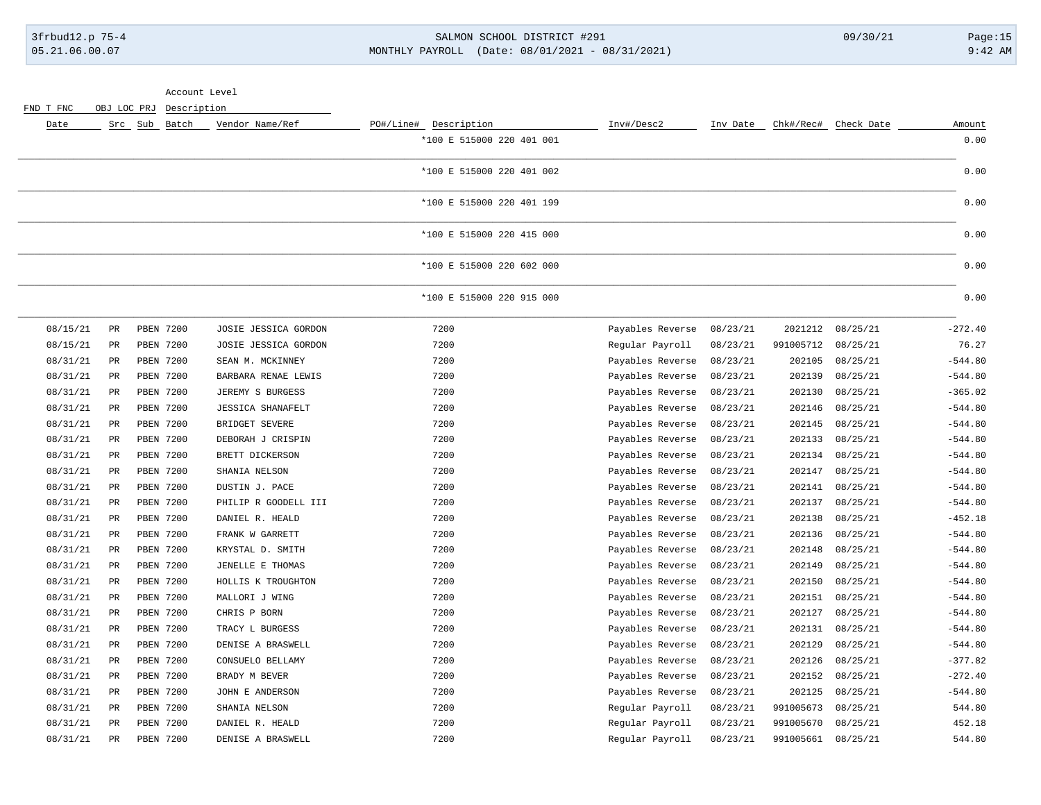### 3frbud12.p 75-4 SALMON SCHOOL DISTRICT #291 09/30/21 Page:15 05.21.06.00.07 MONTHLY PAYROLL (Date: 08/01/2021 - 08/31/2021) 9:42 AM

| Account Level |  |
|---------------|--|
|---------------|--|

FND T FNC OBJ LOC PRJ Description

| Date     | Src           | Sub Batch        | Vendor Name/Ref          | PO#/Line# Description     | Inv#/Desc2       | Inv Date | Chk#/Rec# | Check Date | Amount    |
|----------|---------------|------------------|--------------------------|---------------------------|------------------|----------|-----------|------------|-----------|
|          |               |                  |                          | *100 E 515000 220 401 001 |                  |          |           |            | 0.00      |
|          |               |                  |                          | *100 E 515000 220 401 002 |                  |          |           |            | 0.00      |
|          |               |                  |                          | *100 E 515000 220 401 199 |                  |          |           |            | 0.00      |
|          |               |                  |                          | *100 E 515000 220 415 000 |                  |          |           |            | 0.00      |
|          |               |                  |                          | *100 E 515000 220 602 000 |                  |          |           |            | 0.00      |
|          |               |                  |                          | *100 E 515000 220 915 000 |                  |          |           |            | 0.00      |
| 08/15/21 | PR            | PBEN 7200        | JOSIE JESSICA GORDON     | 7200                      | Payables Reverse | 08/23/21 | 2021212   | 08/25/21   | $-272.40$ |
| 08/15/21 | $_{\rm PR}$   | PBEN 7200        | JOSIE JESSICA GORDON     | 7200                      | Regular Payroll  | 08/23/21 | 991005712 | 08/25/21   | 76.27     |
| 08/31/21 | PR            | PBEN 7200        | SEAN M. MCKINNEY         | 7200                      | Payables Reverse | 08/23/21 | 202105    | 08/25/21   | $-544.80$ |
| 08/31/21 | PR            | PBEN 7200        | BARBARA RENAE LEWIS      | 7200                      | Payables Reverse | 08/23/21 | 202139    | 08/25/21   | $-544.80$ |
| 08/31/21 | PR            | <b>PBEN 7200</b> | JEREMY S BURGESS         | 7200                      | Payables Reverse | 08/23/21 | 202130    | 08/25/21   | $-365.02$ |
| 08/31/21 | PR            | PBEN 7200        | <b>JESSICA SHANAFELT</b> | 7200                      | Payables Reverse | 08/23/21 | 202146    | 08/25/21   | $-544.80$ |
| 08/31/21 | $_{\rm PR}$   | PBEN 7200        | BRIDGET SEVERE           | 7200                      | Payables Reverse | 08/23/21 | 202145    | 08/25/21   | $-544.80$ |
| 08/31/21 | PR            | PBEN 7200        | DEBORAH J CRISPIN        | 7200                      | Payables Reverse | 08/23/21 | 202133    | 08/25/21   | $-544.80$ |
| 08/31/21 | $_{\rm PR}$   | PBEN 7200        | BRETT DICKERSON          | 7200                      | Payables Reverse | 08/23/21 | 202134    | 08/25/21   | $-544.80$ |
| 08/31/21 | $_{\rm PR}$   | PBEN 7200        | SHANIA NELSON            | 7200                      | Payables Reverse | 08/23/21 | 202147    | 08/25/21   | $-544.80$ |
| 08/31/21 | PR            | PBEN 7200        | DUSTIN J. PACE           | 7200                      | Payables Reverse | 08/23/21 | 202141    | 08/25/21   | $-544.80$ |
| 08/31/21 | PR            | PBEN 7200        | PHILIP R GOODELL III     | 7200                      | Payables Reverse | 08/23/21 | 202137    | 08/25/21   | $-544.80$ |
| 08/31/21 | PR            | PBEN 7200        | DANIEL R. HEALD          | 7200                      | Payables Reverse | 08/23/21 | 202138    | 08/25/21   | $-452.18$ |
| 08/31/21 | PR            | PBEN 7200        | FRANK W GARRETT          | 7200                      | Payables Reverse | 08/23/21 | 202136    | 08/25/21   | $-544.80$ |
| 08/31/21 | PR            | <b>PBEN 7200</b> | KRYSTAL D. SMITH         | 7200                      | Payables Reverse | 08/23/21 | 202148    | 08/25/21   | $-544.80$ |
| 08/31/21 | PR            | <b>PBEN 7200</b> | JENELLE E THOMAS         | 7200                      | Payables Reverse | 08/23/21 | 202149    | 08/25/21   | $-544.80$ |
| 08/31/21 | PR            | PBEN 7200        | HOLLIS K TROUGHTON       | 7200                      | Payables Reverse | 08/23/21 | 202150    | 08/25/21   | $-544.80$ |
| 08/31/21 | <b>PR</b>     | PBEN 7200        | MALLORI J WING           | 7200                      | Payables Reverse | 08/23/21 | 202151    | 08/25/21   | $-544.80$ |
| 08/31/21 | $_{\rm PR}$   | PBEN 7200        | CHRIS P BORN             | 7200                      | Payables Reverse | 08/23/21 | 202127    | 08/25/21   | $-544.80$ |
| 08/31/21 | PR            | PBEN 7200        | TRACY L BURGESS          | 7200                      | Payables Reverse | 08/23/21 | 202131    | 08/25/21   | $-544.80$ |
| 08/31/21 | $_{\rm PR}$   | PBEN 7200        | DENISE A BRASWELL        | 7200                      | Payables Reverse | 08/23/21 | 202129    | 08/25/21   | $-544.80$ |
| 08/31/21 | PR            | PBEN 7200        | CONSUELO BELLAMY         | 7200                      | Payables Reverse | 08/23/21 | 202126    | 08/25/21   | $-377.82$ |
| 08/31/21 | PR            | <b>PBEN 7200</b> | BRADY M BEVER            | 7200                      | Payables Reverse | 08/23/21 | 202152    | 08/25/21   | $-272.40$ |
| 08/31/21 | PR            | PBEN 7200        | JOHN E ANDERSON          | 7200                      | Payables Reverse | 08/23/21 | 202125    | 08/25/21   | $-544.80$ |
| 08/31/21 | PR            | <b>PBEN 7200</b> | SHANIA NELSON            | 7200                      | Regular Payroll  | 08/23/21 | 991005673 | 08/25/21   | 544.80    |
| 08/31/21 | $\mathtt{PR}$ | PBEN 7200        | DANIEL R. HEALD          | 7200                      | Regular Payroll  | 08/23/21 | 991005670 | 08/25/21   | 452.18    |
| 08/31/21 | PR            | PBEN 7200        | DENISE A BRASWELL        | 7200                      | Regular Payroll  | 08/23/21 | 991005661 | 08/25/21   | 544.80    |
|          |               |                  |                          |                           |                  |          |           |            |           |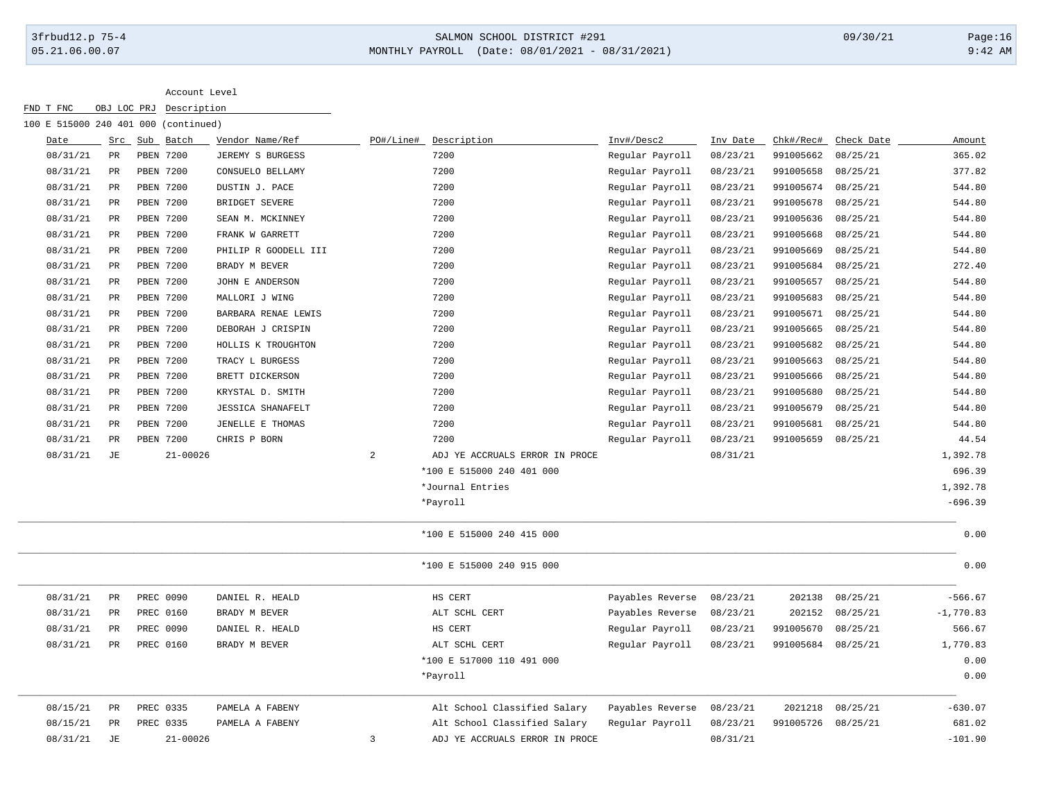# 3frbud12.p 75-4 SALMON SCHOOL DISTRICT #291 09/30/21 Page:16 05.21.06.00.07 MONTHLY PAYROLL (Date: 08/01/2021 - 08/31/2021) 9:42 AM

|      |          |             | 100 E 515000 240 401 000 (continued) |                          |           |                                |                  |          |                    |            |             |
|------|----------|-------------|--------------------------------------|--------------------------|-----------|--------------------------------|------------------|----------|--------------------|------------|-------------|
| Date |          | Src         | Sub Batch                            | Vendor Name/Ref          | PO#/Line# | Description                    | Inv#/Desc2       | Inv Date | Chk#/Rec#          | Check Date | Amount      |
|      | 08/31/21 | PR          | PBEN 7200                            | JEREMY S BURGESS         |           | 7200                           | Regular Payroll  | 08/23/21 | 991005662          | 08/25/21   | 365.02      |
|      | 08/31/21 | PR          | PBEN 7200                            | CONSUELO BELLAMY         |           | 7200                           | Regular Payroll  | 08/23/21 | 991005658          | 08/25/21   | 377.82      |
|      | 08/31/21 | $_{\rm PR}$ | PBEN 7200                            | DUSTIN J. PACE           |           | 7200                           | Regular Payroll  | 08/23/21 | 991005674          | 08/25/21   | 544.80      |
|      | 08/31/21 | $_{\rm PR}$ | PBEN 7200                            | BRIDGET SEVERE           |           | 7200                           | Regular Payroll  | 08/23/21 | 991005678          | 08/25/21   | 544.80      |
|      | 08/31/21 | $_{\rm PR}$ | PBEN 7200                            | SEAN M. MCKINNEY         |           | 7200                           | Regular Payroll  | 08/23/21 | 991005636          | 08/25/21   | 544.80      |
|      | 08/31/21 | $_{\rm PR}$ | PBEN 7200                            | FRANK W GARRETT          |           | 7200                           | Regular Payroll  | 08/23/21 | 991005668          | 08/25/21   | 544.80      |
|      | 08/31/21 | PR          | PBEN 7200                            | PHILIP R GOODELL III     |           | 7200                           | Regular Payroll  | 08/23/21 | 991005669          | 08/25/21   | 544.80      |
|      | 08/31/21 | PR          | PBEN 7200                            | BRADY M BEVER            |           | 7200                           | Regular Payroll  | 08/23/21 | 991005684          | 08/25/21   | 272.40      |
|      | 08/31/21 | PR          | PBEN 7200                            | JOHN E ANDERSON          |           | 7200                           | Regular Payroll  | 08/23/21 | 991005657          | 08/25/21   | 544.80      |
|      | 08/31/21 | PR          | PBEN 7200                            | MALLORI J WING           |           | 7200                           | Regular Payroll  | 08/23/21 | 991005683          | 08/25/21   | 544.80      |
|      | 08/31/21 | PR          | PBEN 7200                            | BARBARA RENAE LEWIS      |           | 7200                           | Regular Payroll  | 08/23/21 | 991005671          | 08/25/21   | 544.80      |
|      | 08/31/21 | $_{\rm PR}$ | PBEN 7200                            | DEBORAH J CRISPIN        |           | 7200                           | Regular Payroll  | 08/23/21 | 991005665          | 08/25/21   | 544.80      |
|      | 08/31/21 | PR          | <b>PBEN 7200</b>                     | HOLLIS K TROUGHTON       |           | 7200                           | Regular Payroll  | 08/23/21 | 991005682          | 08/25/21   | 544.80      |
|      | 08/31/21 | $_{\rm PR}$ | PBEN 7200                            | TRACY L BURGESS          |           | 7200                           | Regular Payroll  | 08/23/21 | 991005663          | 08/25/21   | 544.80      |
|      | 08/31/21 | PR          | PBEN 7200                            | BRETT DICKERSON          |           | 7200                           | Regular Payroll  | 08/23/21 | 991005666          | 08/25/21   | 544.80      |
|      | 08/31/21 | $_{\rm PR}$ | PBEN 7200                            | KRYSTAL D. SMITH         |           | 7200                           | Regular Payroll  | 08/23/21 | 991005680          | 08/25/21   | 544.80      |
|      | 08/31/21 | PR          | PBEN 7200                            | <b>JESSICA SHANAFELT</b> |           | 7200                           | Regular Payroll  | 08/23/21 | 991005679          | 08/25/21   | 544.80      |
|      | 08/31/21 | $_{\rm PR}$ | PBEN 7200                            | JENELLE E THOMAS         |           | 7200                           | Regular Payroll  | 08/23/21 | 991005681          | 08/25/21   | 544.80      |
|      | 08/31/21 | PR          | PBEN 7200                            | CHRIS P BORN             |           | 7200                           | Regular Payroll  | 08/23/21 | 991005659          | 08/25/21   | 44.54       |
|      | 08/31/21 | $\rm{JE}$   | $21 - 00026$                         |                          | 2         | ADJ YE ACCRUALS ERROR IN PROCE |                  | 08/31/21 |                    |            | 1,392.78    |
|      |          |             |                                      |                          |           | *100 E 515000 240 401 000      |                  |          |                    |            | 696.39      |
|      |          |             |                                      |                          |           | *Journal Entries               |                  |          |                    |            | 1,392.78    |
|      |          |             |                                      |                          |           | *Payroll                       |                  |          |                    |            | $-696.39$   |
|      |          |             |                                      |                          |           | *100 E 515000 240 415 000      |                  |          |                    |            | 0.00        |
|      |          |             |                                      |                          |           | *100 E 515000 240 915 000      |                  |          |                    |            | 0.00        |
|      | 08/31/21 | PR          | PREC 0090                            | DANIEL R. HEALD          |           | HS CERT                        | Payables Reverse | 08/23/21 | 202138             | 08/25/21   | $-566.67$   |
|      | 08/31/21 | $_{\rm PR}$ | PREC 0160                            | BRADY M BEVER            |           | ALT SCHL CERT                  | Payables Reverse | 08/23/21 | 202152             | 08/25/21   | $-1,770.83$ |
|      | 08/31/21 | PR          | PREC 0090                            | DANIEL R. HEALD          |           | HS CERT                        | Regular Payroll  | 08/23/21 | 991005670          | 08/25/21   | 566.67      |
|      | 08/31/21 | PR          | PREC 0160                            | BRADY M BEVER            |           | ALT SCHL CERT                  | Regular Payroll  | 08/23/21 | 991005684 08/25/21 |            | 1,770.83    |
|      |          |             |                                      |                          |           | *100 E 517000 110 491 000      |                  |          |                    |            | 0.00        |
|      |          |             |                                      |                          |           | *Payroll                       |                  |          |                    |            | 0.00        |
|      | 08/15/21 | PR          | PREC 0335                            | PAMELA A FABENY          |           | Alt School Classified Salary   | Payables Reverse | 08/23/21 | 2021218            | 08/25/21   | $-630.07$   |
|      | 08/15/21 | PR          | PREC 0335                            | PAMELA A FABENY          |           | Alt School Classified Salary   | Regular Payroll  | 08/23/21 | 991005726 08/25/21 |            | 681.02      |
|      | 08/31/21 | JE          | $21 - 00026$                         |                          | 3         | ADJ YE ACCRUALS ERROR IN PROCE |                  | 08/31/21 |                    |            | $-101.90$   |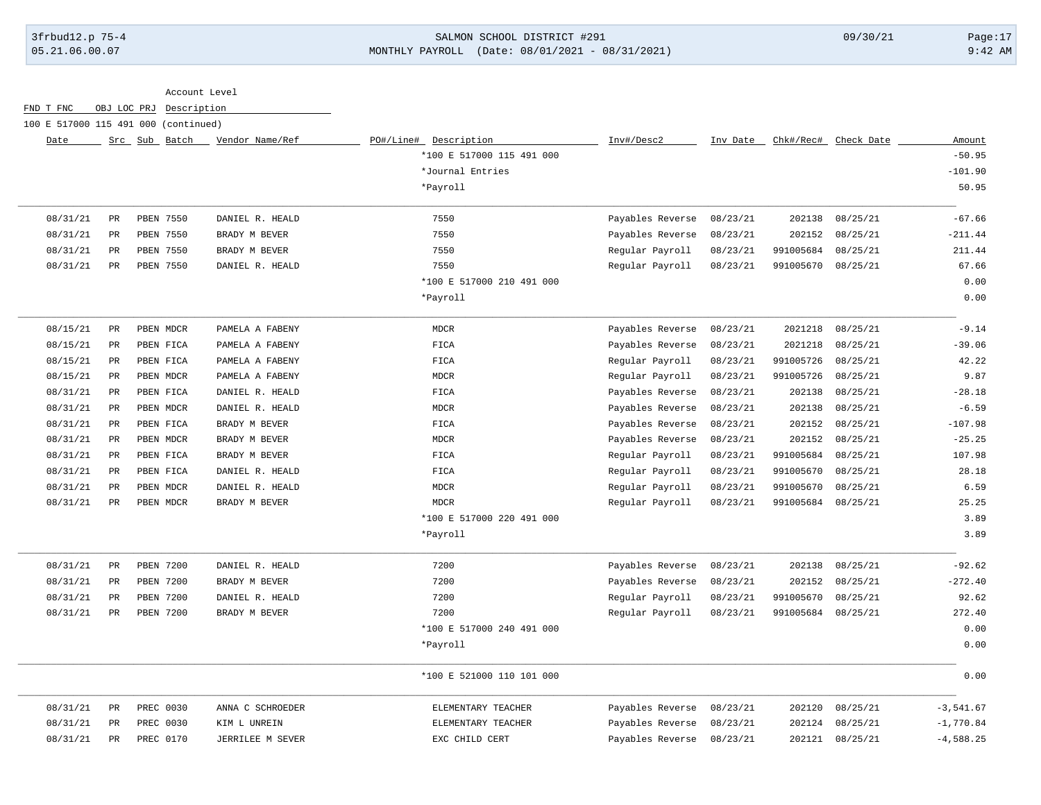## 3frbud12.p 75-4 SALMON SCHOOL DISTRICT #291 09/30/21 Page:17 05.21.06.00.07 MONTHLY PAYROLL (Date: 08/01/2021 - 08/31/2021) 9:42 AM

| FND T FNC | OBJ LOC PRJ     | Description                          |                  |                           |                  |          |           |                      |             |
|-----------|-----------------|--------------------------------------|------------------|---------------------------|------------------|----------|-----------|----------------------|-------------|
|           |                 | 100 E 517000 115 491 000 (continued) |                  |                           |                  |          |           |                      |             |
| Date      |                 | Src Sub Batch                        | Vendor Name/Ref  | PO#/Line# Description     | Inv#/Desc2       | Inv Date |           | Chk#/Rec# Check Date | Amount      |
|           |                 |                                      |                  | *100 E 517000 115 491 000 |                  |          |           |                      | $-50.95$    |
|           |                 |                                      |                  | *Journal Entries          |                  |          |           |                      | $-101.90$   |
|           |                 |                                      |                  | *Payroll                  |                  |          |           |                      | 50.95       |
| 08/31/21  | PR              | PBEN 7550                            | DANIEL R. HEALD  | 7550                      | Payables Reverse | 08/23/21 | 202138    | 08/25/21             | $-67.66$    |
| 08/31/21  | $_{\rm PR}$     | PBEN 7550                            | BRADY M BEVER    | 7550                      | Payables Reverse | 08/23/21 | 202152    | 08/25/21             | $-211.44$   |
| 08/31/21  | $_{\rm PR}$     | PBEN 7550                            | BRADY M BEVER    | 7550                      | Regular Payroll  | 08/23/21 | 991005684 | 08/25/21             | 211.44      |
| 08/31/21  | PR              | PBEN 7550                            | DANIEL R. HEALD  | 7550                      | Regular Payroll  | 08/23/21 | 991005670 | 08/25/21             | 67.66       |
|           |                 |                                      |                  | *100 E 517000 210 491 000 |                  |          |           |                      | 0.00        |
|           |                 |                                      |                  | *Payroll                  |                  |          |           |                      | 0.00        |
| 08/15/21  | PR              | PBEN MDCR                            | PAMELA A FABENY  | <b>MDCR</b>               | Payables Reverse | 08/23/21 | 2021218   | 08/25/21             | $-9.14$     |
| 08/15/21  | $_{\rm PR}$     | PBEN FICA                            | PAMELA A FABENY  | FICA                      | Payables Reverse | 08/23/21 | 2021218   | 08/25/21             | $-39.06$    |
| 08/15/21  | PR              | PBEN FICA                            | PAMELA A FABENY  | FICA                      | Regular Payroll  | 08/23/21 | 991005726 | 08/25/21             | 42.22       |
| 08/15/21  | PR              | PBEN MDCR                            | PAMELA A FABENY  | MDCR                      | Regular Payroll  | 08/23/21 | 991005726 | 08/25/21             | 9.87        |
| 08/31/21  | $\mbox{\sf PR}$ | PBEN FICA                            | DANIEL R. HEALD  | FICA                      | Payables Reverse | 08/23/21 | 202138    | 08/25/21             | $-28.18$    |
| 08/31/21  | $_{\rm PR}$     | PBEN MDCR                            | DANIEL R. HEALD  | $\tt{MDCR}$               | Payables Reverse | 08/23/21 | 202138    | 08/25/21             | $-6.59$     |
| 08/31/21  | $_{\rm PR}$     | PBEN FICA                            | BRADY M BEVER    | FICA                      | Payables Reverse | 08/23/21 | 202152    | 08/25/21             | $-107.98$   |
| 08/31/21  | $_{\rm PR}$     | PBEN MDCR                            | BRADY M BEVER    | MDCR                      | Payables Reverse | 08/23/21 | 202152    | 08/25/21             | $-25.25$    |
| 08/31/21  | $_{\rm PR}$     | PBEN FICA                            | BRADY M BEVER    | FICA                      | Regular Payroll  | 08/23/21 | 991005684 | 08/25/21             | 107.98      |
| 08/31/21  | PR              | PBEN FICA                            | DANIEL R. HEALD  | FICA                      | Regular Payroll  | 08/23/21 | 991005670 | 08/25/21             | 28.18       |
| 08/31/21  | PR              | PBEN MDCR                            | DANIEL R. HEALD  | $\tt MDCR$                | Regular Payroll  | 08/23/21 | 991005670 | 08/25/21             | 6.59        |
| 08/31/21  | $_{\rm PR}$     | PBEN MDCR                            | BRADY M BEVER    | <b>MDCR</b>               | Regular Payroll  | 08/23/21 | 991005684 | 08/25/21             | 25.25       |
|           |                 |                                      |                  | *100 E 517000 220 491 000 |                  |          |           |                      | 3.89        |
|           |                 |                                      |                  | *Payroll                  |                  |          |           |                      | 3.89        |
| 08/31/21  | $\mbox{\sf PR}$ | PBEN 7200                            | DANIEL R. HEALD  | 7200                      | Payables Reverse | 08/23/21 | 202138    | 08/25/21             | $-92.62$    |
| 08/31/21  | $_{\rm PR}$     | PBEN 7200                            | BRADY M BEVER    | 7200                      | Payables Reverse | 08/23/21 | 202152    | 08/25/21             | $-272.40$   |
| 08/31/21  | $_{\rm PR}$     | PBEN 7200                            | DANIEL R. HEALD  | 7200                      | Regular Payroll  | 08/23/21 | 991005670 | 08/25/21             | 92.62       |
| 08/31/21  | PR              | PBEN 7200                            | BRADY M BEVER    | 7200                      | Regular Payroll  | 08/23/21 | 991005684 | 08/25/21             | 272.40      |
|           |                 |                                      |                  | *100 E 517000 240 491 000 |                  |          |           |                      | 0.00        |
|           |                 |                                      |                  | *Payroll                  |                  |          |           |                      | 0.00        |
|           |                 |                                      |                  | *100 E 521000 110 101 000 |                  |          |           |                      | 0.00        |
| 08/31/21  | PR              | PREC 0030                            | ANNA C SCHROEDER | ELEMENTARY TEACHER        | Payables Reverse | 08/23/21 | 202120    | 08/25/21             | $-3,541.67$ |
| 08/31/21  | PR              | PREC 0030                            | KIM L UNREIN     | ELEMENTARY TEACHER        | Payables Reverse | 08/23/21 | 202124    | 08/25/21             | $-1,770.84$ |
| 08/31/21  | PR              | PREC 0170                            | JERRILEE M SEVER | EXC CHILD CERT            | Payables Reverse | 08/23/21 |           | 202121 08/25/21      | $-4,588.25$ |
|           |                 |                                      |                  |                           |                  |          |           |                      |             |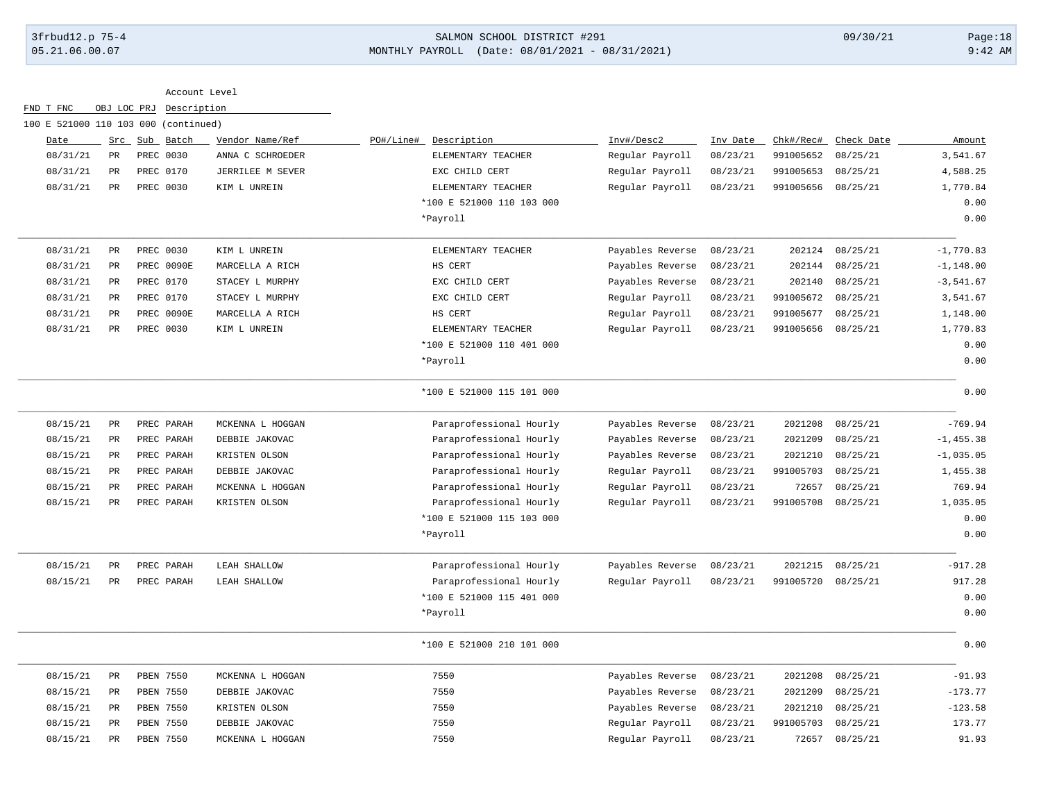# 3frbud12.p 75-4 SALMON SCHOOL DISTRICT #291 09/30/21 Page:18 05.21.06.00.07 MONTHLY PAYROLL (Date: 08/01/2021 - 08/31/2021) 9:42 AM

| Account Level |  |
|---------------|--|
|               |  |

| FND T FNC                            | OBJ LOC PRJ | Description      |                  |           |                           |                  |          |           |            |              |
|--------------------------------------|-------------|------------------|------------------|-----------|---------------------------|------------------|----------|-----------|------------|--------------|
| 100 E 521000 110 103 000 (continued) |             |                  |                  |           |                           |                  |          |           |            |              |
| Date                                 |             | Src Sub Batch    | Vendor Name/Ref  | PO#/Line# | Description               | Inv#/Desc2       | Inv Date | Chk#/Rec# | Check Date | Amount       |
| 08/31/21                             | PR          | PREC 0030        | ANNA C SCHROEDER |           | ELEMENTARY TEACHER        | Regular Payroll  | 08/23/21 | 991005652 | 08/25/21   | 3,541.67     |
| 08/31/21                             | PR          | PREC 0170        | JERRILEE M SEVER |           | EXC CHILD CERT            | Regular Payroll  | 08/23/21 | 991005653 | 08/25/21   | 4,588.25     |
| 08/31/21                             | $_{\rm PR}$ | PREC 0030        | KIM L UNREIN     |           | ELEMENTARY TEACHER        | Regular Payroll  | 08/23/21 | 991005656 | 08/25/21   | 1,770.84     |
|                                      |             |                  |                  |           | *100 E 521000 110 103 000 |                  |          |           |            | 0.00         |
|                                      |             |                  |                  |           | *Payroll                  |                  |          |           |            | 0.00         |
| 08/31/21                             | PR          | PREC 0030        | KIM L UNREIN     |           | ELEMENTARY TEACHER        | Payables Reverse | 08/23/21 | 202124    | 08/25/21   | $-1,770.83$  |
| 08/31/21                             | PR          | PREC 0090E       | MARCELLA A RICH  |           | HS CERT                   | Payables Reverse | 08/23/21 | 202144    | 08/25/21   | $-1, 148.00$ |
| 08/31/21                             | PR          | PREC 0170        | STACEY L MURPHY  |           | EXC CHILD CERT            | Payables Reverse | 08/23/21 | 202140    | 08/25/21   | $-3, 541.67$ |
| 08/31/21                             | PR          | PREC 0170        | STACEY L MURPHY  |           | EXC CHILD CERT            | Regular Payroll  | 08/23/21 | 991005672 | 08/25/21   | 3,541.67     |
| 08/31/21                             | $_{\rm PR}$ | PREC 0090E       | MARCELLA A RICH  |           | HS CERT                   | Regular Payroll  | 08/23/21 | 991005677 | 08/25/21   | 1,148.00     |
| 08/31/21                             | $_{\rm PR}$ | PREC 0030        | KIM L UNREIN     |           | ELEMENTARY TEACHER        | Regular Payroll  | 08/23/21 | 991005656 | 08/25/21   | 1,770.83     |
|                                      |             |                  |                  |           | *100 E 521000 110 401 000 |                  |          |           |            | 0.00         |
|                                      |             |                  |                  |           | *Payroll                  |                  |          |           |            | 0.00         |
|                                      |             |                  |                  |           | *100 E 521000 115 101 000 |                  |          |           |            | 0.00         |
| 08/15/21                             | PR          | PREC PARAH       | MCKENNA L HOGGAN |           | Paraprofessional Hourly   | Payables Reverse | 08/23/21 | 2021208   | 08/25/21   | $-769.94$    |
| 08/15/21                             | PR          | PREC PARAH       | DEBBIE JAKOVAC   |           | Paraprofessional Hourly   | Payables Reverse | 08/23/21 | 2021209   | 08/25/21   | $-1, 455.38$ |
| 08/15/21                             | $_{\rm PR}$ | PREC PARAH       | KRISTEN OLSON    |           | Paraprofessional Hourly   | Payables Reverse | 08/23/21 | 2021210   | 08/25/21   | $-1,035.05$  |
| 08/15/21                             | PR          | PREC PARAH       | DEBBIE JAKOVAC   |           | Paraprofessional Hourly   | Regular Payroll  | 08/23/21 | 991005703 | 08/25/21   | 1,455.38     |
| 08/15/21                             | PR          | PREC PARAH       | MCKENNA L HOGGAN |           | Paraprofessional Hourly   | Regular Payroll  | 08/23/21 | 72657     | 08/25/21   | 769.94       |
| 08/15/21                             | PR          | PREC PARAH       | KRISTEN OLSON    |           | Paraprofessional Hourly   | Regular Payroll  | 08/23/21 | 991005708 | 08/25/21   | 1,035.05     |
|                                      |             |                  |                  |           | *100 E 521000 115 103 000 |                  |          |           |            | 0.00         |
|                                      |             |                  |                  |           | *Payroll                  |                  |          |           |            | 0.00         |
| 08/15/21                             | $_{\rm PR}$ | PREC PARAH       | LEAH SHALLOW     |           | Paraprofessional Hourly   | Payables Reverse | 08/23/21 | 2021215   | 08/25/21   | $-917.28$    |
| 08/15/21                             | PR          | PREC PARAH       | LEAH SHALLOW     |           | Paraprofessional Hourly   | Regular Payroll  | 08/23/21 | 991005720 | 08/25/21   | 917.28       |
|                                      |             |                  |                  |           | *100 E 521000 115 401 000 |                  |          |           |            | 0.00         |
|                                      |             |                  |                  |           | *Payroll                  |                  |          |           |            | 0.00         |
|                                      |             |                  |                  |           | *100 E 521000 210 101 000 |                  |          |           |            | 0.00         |
| 08/15/21                             | PR          | PBEN 7550        | MCKENNA L HOGGAN |           | 7550                      | Payables Reverse | 08/23/21 | 2021208   | 08/25/21   | $-91.93$     |
| 08/15/21                             | PR          | PBEN 7550        | DEBBIE JAKOVAC   |           | 7550                      | Payables Reverse | 08/23/21 | 2021209   | 08/25/21   | $-173.77$    |
| 08/15/21                             | PR          | PBEN 7550        | KRISTEN OLSON    |           | 7550                      | Payables Reverse | 08/23/21 | 2021210   | 08/25/21   | $-123.58$    |
| 08/15/21                             | $_{\rm PR}$ | PBEN 7550        | DEBBIE JAKOVAC   |           | 7550                      | Regular Payroll  | 08/23/21 | 991005703 | 08/25/21   | 173.77       |
| 08/15/21                             | PR          | <b>PBEN 7550</b> | MCKENNA L HOGGAN |           | 7550                      | Regular Payroll  | 08/23/21 | 72657     | 08/25/21   | 91.93        |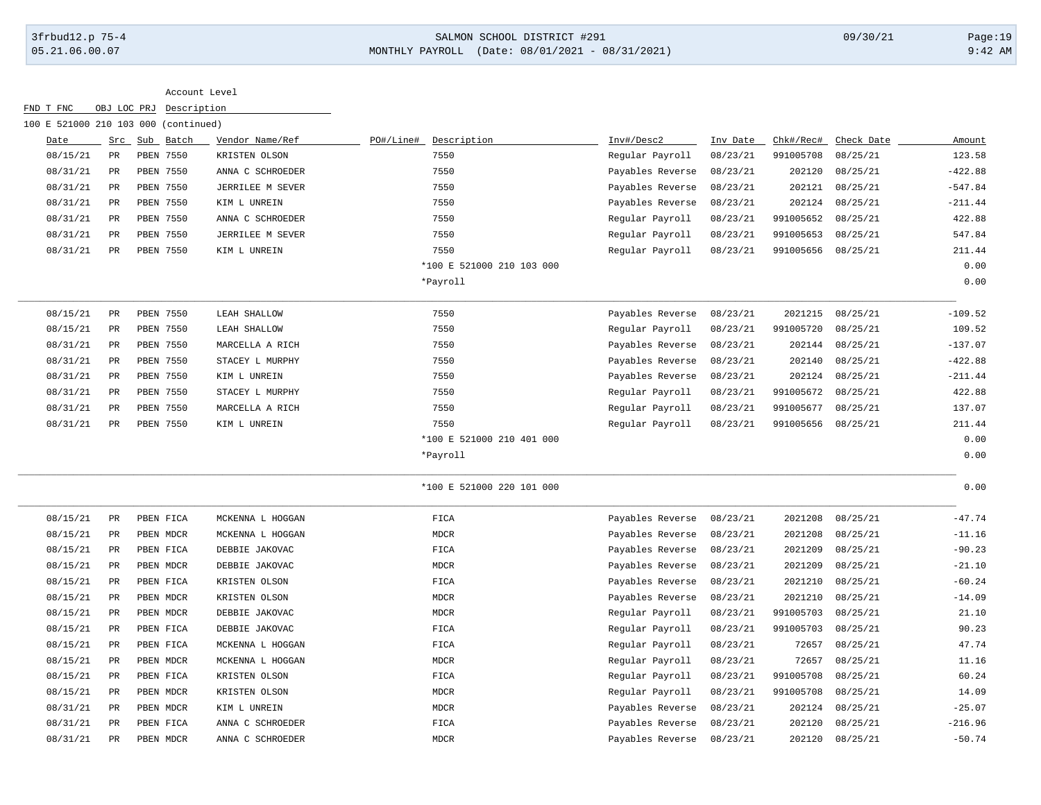### 3frbud12.p 75-4 SALMON SCHOOL DISTRICT #291 09/30/21 Page:19 05.21.06.00.07 MONTHLY PAYROLL (Date: 08/01/2021 - 08/31/2021) 9:42 AM

#### Account Level

| 100 E 521000 210 103 000 (continued) |                 |           |                  |                           |                  |          |           |            |           |
|--------------------------------------|-----------------|-----------|------------------|---------------------------|------------------|----------|-----------|------------|-----------|
| Date                                 | Src             | Sub Batch | Vendor Name/Ref  | PO#/Line#<br>Description  | Inv#/Desc2       | Inv Date | Chk#/Rec# | Check Date | Amount    |
| 08/15/21                             | $\mathtt{PR}$   | PBEN 7550 | KRISTEN OLSON    | 7550                      | Regular Payroll  | 08/23/21 | 991005708 | 08/25/21   | 123.58    |
| 08/31/21                             | PR              | PBEN 7550 | ANNA C SCHROEDER | 7550                      | Payables Reverse | 08/23/21 | 202120    | 08/25/21   | $-422.88$ |
| 08/31/21                             | PR              | PBEN 7550 | JERRILEE M SEVER | 7550                      | Payables Reverse | 08/23/21 | 202121    | 08/25/21   | $-547.84$ |
| 08/31/21                             | PR              | PBEN 7550 | KIM L UNREIN     | 7550                      | Payables Reverse | 08/23/21 | 202124    | 08/25/21   | $-211.44$ |
| 08/31/21                             | PR              | PBEN 7550 | ANNA C SCHROEDER | 7550                      | Regular Payroll  | 08/23/21 | 991005652 | 08/25/21   | 422.88    |
| 08/31/21                             | PR              | PBEN 7550 | JERRILEE M SEVER | 7550                      | Regular Payroll  | 08/23/21 | 991005653 | 08/25/21   | 547.84    |
| 08/31/21                             | PR              | PBEN 7550 | KIM L UNREIN     | 7550                      | Regular Payroll  | 08/23/21 | 991005656 | 08/25/21   | 211.44    |
|                                      |                 |           |                  | *100 E 521000 210 103 000 |                  |          |           |            | 0.00      |
|                                      |                 |           |                  | *Payroll                  |                  |          |           |            | 0.00      |
| 08/15/21                             | $\mbox{\sf PR}$ | PBEN 7550 | LEAH SHALLOW     | 7550                      | Payables Reverse | 08/23/21 | 2021215   | 08/25/21   | $-109.52$ |
| 08/15/21                             | $_{\rm PR}$     | PBEN 7550 | LEAH SHALLOW     | 7550                      | Regular Payroll  | 08/23/21 | 991005720 | 08/25/21   | 109.52    |
| 08/31/21                             | PR              | PBEN 7550 | MARCELLA A RICH  | 7550                      | Payables Reverse | 08/23/21 | 202144    | 08/25/21   | $-137.07$ |
| 08/31/21                             | PR              | PBEN 7550 | STACEY L MURPHY  | 7550                      | Payables Reverse | 08/23/21 | 202140    | 08/25/21   | $-422.88$ |
| 08/31/21                             | $_{\rm PR}$     | PBEN 7550 | KIM L UNREIN     | 7550                      | Payables Reverse | 08/23/21 | 202124    | 08/25/21   | $-211.44$ |
| 08/31/21                             | PR              | PBEN 7550 | STACEY L MURPHY  | 7550                      | Regular Payroll  | 08/23/21 | 991005672 | 08/25/21   | 422.88    |
| 08/31/21                             | $_{\rm PR}$     | PBEN 7550 | MARCELLA A RICH  | 7550                      | Regular Payroll  | 08/23/21 | 991005677 | 08/25/21   | 137.07    |
| 08/31/21                             | PR              | PBEN 7550 | KIM L UNREIN     | 7550                      | Regular Payroll  | 08/23/21 | 991005656 | 08/25/21   | 211.44    |
|                                      |                 |           |                  | *100 E 521000 210 401 000 |                  |          |           |            | 0.00      |
|                                      |                 |           |                  | *Payroll                  |                  |          |           |            | 0.00      |
|                                      |                 |           |                  | *100 E 521000 220 101 000 |                  |          |           |            | 0.00      |
| 08/15/21                             | PR              | PBEN FICA | MCKENNA L HOGGAN | FICA                      | Payables Reverse | 08/23/21 | 2021208   | 08/25/21   | $-47.74$  |
| 08/15/21                             | PR              | PBEN MDCR | MCKENNA L HOGGAN | $\tt MDCR$                | Payables Reverse | 08/23/21 | 2021208   | 08/25/21   | $-11.16$  |
| 08/15/21                             | $_{\rm PR}$     | PBEN FICA | DEBBIE JAKOVAC   | FICA                      | Payables Reverse | 08/23/21 | 2021209   | 08/25/21   | $-90.23$  |
| 08/15/21                             | PR              | PBEN MDCR | DEBBIE JAKOVAC   | <b>MDCR</b>               | Payables Reverse | 08/23/21 | 2021209   | 08/25/21   | $-21.10$  |
| 08/15/21                             | PR              | PBEN FICA | KRISTEN OLSON    | FICA                      | Payables Reverse | 08/23/21 | 2021210   | 08/25/21   | $-60.24$  |
| 08/15/21                             | PR              | PBEN MDCR | KRISTEN OLSON    | <b>MDCR</b>               | Payables Reverse | 08/23/21 | 2021210   | 08/25/21   | $-14.09$  |
| 08/15/21                             | PR              | PBEN MDCR | DEBBIE JAKOVAC   | <b>MDCR</b>               | Regular Payroll  | 08/23/21 | 991005703 | 08/25/21   | 21.10     |
| 08/15/21                             | PR              | PBEN FICA | DEBBIE JAKOVAC   | FICA                      | Regular Payroll  | 08/23/21 | 991005703 | 08/25/21   | 90.23     |
| 08/15/21                             | $_{\rm PR}$     | PBEN FICA | MCKENNA L HOGGAN | FICA                      | Regular Payroll  | 08/23/21 | 72657     | 08/25/21   | 47.74     |
| 08/15/21                             | PR              | PBEN MDCR | MCKENNA L HOGGAN | MDCR                      | Regular Payroll  | 08/23/21 | 72657     | 08/25/21   | 11.16     |
| 08/15/21                             | PR              | PBEN FICA | KRISTEN OLSON    | FICA                      | Regular Payroll  | 08/23/21 | 991005708 | 08/25/21   | 60.24     |
| 08/15/21                             | PR              | PBEN MDCR | KRISTEN OLSON    | <b>MDCR</b>               | Regular Payroll  | 08/23/21 | 991005708 | 08/25/21   | 14.09     |

08/31/21 PR PBEN MDCR KIM LUNREIN 1999 MDCR MDCR Payables Reverse 08/23/21 202124 08/25/21 -25.07 08/31/21 PR PBEN FICA ANNA C SCHROEDER FICA FICA Payables Reverse 08/23/21 202120 08/25/21 -216.96 08/31/21 PR PBEN MDCR ANNA C SCHROEDER MDCR Payables Reverse 08/23/21 202120 08/25/21 -50.74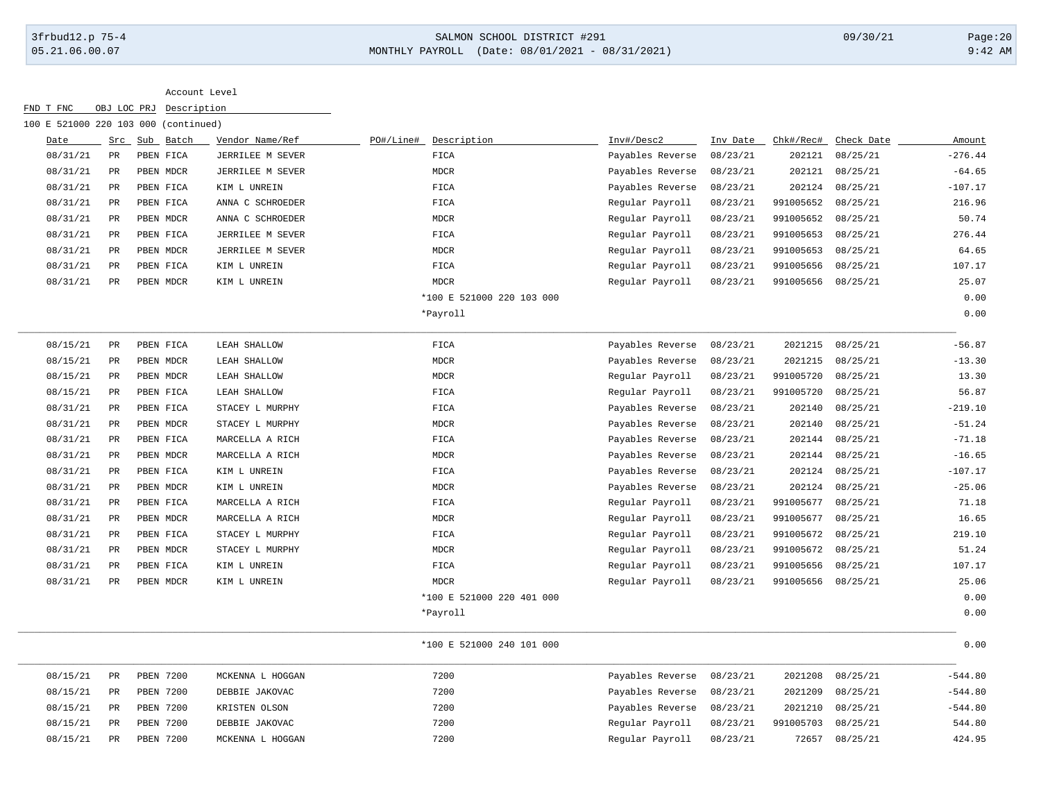## 3frbud12.p 75-4 SALMON SCHOOL DISTRICT #291 09/30/21 Page:20 05.21.06.00.07 MONTHLY PAYROLL (Date: 08/01/2021 - 08/31/2021) 9:42 AM

| Src Sub Batch<br>PR<br>PBEN FICA<br>PR<br>PBEN MDCR<br>PR<br>PBEN FICA<br>PR<br>PBEN FICA<br>PR<br>PBEN MDCR<br>PR<br>PBEN FICA<br>PR<br>PBEN MDCR<br>PR<br>PBEN FICA<br>PR<br>PBEN MDCR | Vendor Name/Ref<br>JERRILEE M SEVER<br>JERRILEE M SEVER<br>KIM L UNREIN<br>ANNA C SCHROEDER<br>ANNA C SCHROEDER<br>JERRILEE M SEVER<br>JERRILEE M SEVER<br>KIM L UNREIN<br>KIM L UNREIN | Description<br>PO#/Line#<br>FICA<br><b>MDCR</b><br>FICA<br>FICA<br>MDCR<br>FICA<br><b>MDCR</b><br>FICA<br><b>MDCR</b> | Inv#/Desc2<br>Payables Reverse<br>Payables Reverse<br>Payables Reverse<br>Regular Payroll<br>Regular Payroll<br>Regular Payroll<br>Regular Payroll<br>Regular Payroll | Inv Date<br>08/23/21<br>08/23/21<br>08/23/21<br>08/23/21<br>08/23/21<br>08/23/21<br>08/23/21<br>08/23/21 | Chk#/Rec#<br>202121<br>202121<br>202124<br>991005652<br>991005652<br>991005653<br>991005653 | Check Date<br>08/25/21<br>08/25/21<br>08/25/21<br>08/25/21<br>08/25/21<br>08/25/21<br>08/25/21 | Amount<br>$-276.44$<br>$-64.65$<br>$-107.17$<br>216.96<br>50.74<br>276.44<br>64.65 |
|------------------------------------------------------------------------------------------------------------------------------------------------------------------------------------------|-----------------------------------------------------------------------------------------------------------------------------------------------------------------------------------------|-----------------------------------------------------------------------------------------------------------------------|-----------------------------------------------------------------------------------------------------------------------------------------------------------------------|----------------------------------------------------------------------------------------------------------|---------------------------------------------------------------------------------------------|------------------------------------------------------------------------------------------------|------------------------------------------------------------------------------------|
|                                                                                                                                                                                          |                                                                                                                                                                                         |                                                                                                                       |                                                                                                                                                                       |                                                                                                          |                                                                                             |                                                                                                |                                                                                    |
|                                                                                                                                                                                          |                                                                                                                                                                                         |                                                                                                                       |                                                                                                                                                                       |                                                                                                          |                                                                                             |                                                                                                |                                                                                    |
|                                                                                                                                                                                          |                                                                                                                                                                                         |                                                                                                                       |                                                                                                                                                                       |                                                                                                          |                                                                                             |                                                                                                |                                                                                    |
|                                                                                                                                                                                          |                                                                                                                                                                                         |                                                                                                                       |                                                                                                                                                                       |                                                                                                          |                                                                                             |                                                                                                |                                                                                    |
|                                                                                                                                                                                          |                                                                                                                                                                                         |                                                                                                                       |                                                                                                                                                                       |                                                                                                          |                                                                                             |                                                                                                |                                                                                    |
|                                                                                                                                                                                          |                                                                                                                                                                                         |                                                                                                                       |                                                                                                                                                                       |                                                                                                          |                                                                                             |                                                                                                |                                                                                    |
|                                                                                                                                                                                          |                                                                                                                                                                                         |                                                                                                                       |                                                                                                                                                                       |                                                                                                          |                                                                                             |                                                                                                |                                                                                    |
|                                                                                                                                                                                          |                                                                                                                                                                                         |                                                                                                                       |                                                                                                                                                                       |                                                                                                          |                                                                                             |                                                                                                |                                                                                    |
|                                                                                                                                                                                          |                                                                                                                                                                                         |                                                                                                                       |                                                                                                                                                                       |                                                                                                          | 991005656                                                                                   | 08/25/21                                                                                       | 107.17                                                                             |
|                                                                                                                                                                                          |                                                                                                                                                                                         |                                                                                                                       | Regular Payroll                                                                                                                                                       | 08/23/21                                                                                                 | 991005656                                                                                   | 08/25/21                                                                                       | 25.07                                                                              |
|                                                                                                                                                                                          |                                                                                                                                                                                         | *100 E 521000 220 103 000                                                                                             |                                                                                                                                                                       |                                                                                                          |                                                                                             |                                                                                                | 0.00                                                                               |
|                                                                                                                                                                                          |                                                                                                                                                                                         | *Payroll                                                                                                              |                                                                                                                                                                       |                                                                                                          |                                                                                             |                                                                                                | 0.00                                                                               |
| PR<br>PBEN FICA                                                                                                                                                                          | LEAH SHALLOW                                                                                                                                                                            | FICA                                                                                                                  | Payables Reverse                                                                                                                                                      | 08/23/21                                                                                                 | 2021215                                                                                     | 08/25/21                                                                                       | $-56.87$                                                                           |
| PR<br>PBEN MDCR                                                                                                                                                                          | LEAH SHALLOW                                                                                                                                                                            | <b>MDCR</b>                                                                                                           | Payables Reverse                                                                                                                                                      | 08/23/21                                                                                                 | 2021215                                                                                     | 08/25/21                                                                                       | $-13.30$                                                                           |
| PR<br>PBEN MDCR                                                                                                                                                                          | LEAH SHALLOW                                                                                                                                                                            | <b>MDCR</b>                                                                                                           | Regular Payroll                                                                                                                                                       | 08/23/21                                                                                                 | 991005720                                                                                   | 08/25/21                                                                                       | 13.30                                                                              |
| PR<br>PBEN FICA                                                                                                                                                                          | LEAH SHALLOW                                                                                                                                                                            | FICA                                                                                                                  | Regular Payroll                                                                                                                                                       | 08/23/21                                                                                                 | 991005720                                                                                   | 08/25/21                                                                                       | 56.87                                                                              |
| PR<br>PBEN FICA                                                                                                                                                                          | STACEY L MURPHY                                                                                                                                                                         | FICA                                                                                                                  | Payables Reverse                                                                                                                                                      | 08/23/21                                                                                                 | 202140                                                                                      | 08/25/21                                                                                       | $-219.10$                                                                          |
| PR<br>PBEN MDCR                                                                                                                                                                          | STACEY L MURPHY                                                                                                                                                                         | <b>MDCR</b>                                                                                                           | Payables Reverse                                                                                                                                                      | 08/23/21                                                                                                 | 202140                                                                                      | 08/25/21                                                                                       | $-51.24$                                                                           |
| PR<br>PBEN FICA                                                                                                                                                                          | MARCELLA A RICH                                                                                                                                                                         | FICA                                                                                                                  | Payables Reverse                                                                                                                                                      | 08/23/21                                                                                                 | 202144                                                                                      | 08/25/21                                                                                       | $-71.18$                                                                           |
| PR<br>PBEN MDCR                                                                                                                                                                          | MARCELLA A RICH                                                                                                                                                                         | <b>MDCR</b>                                                                                                           | Payables Reverse                                                                                                                                                      | 08/23/21                                                                                                 | 202144                                                                                      | 08/25/21                                                                                       | $-16.65$                                                                           |
| $_{\rm PR}$<br>PBEN FICA                                                                                                                                                                 | KIM L UNREIN                                                                                                                                                                            | FICA                                                                                                                  | Payables Reverse                                                                                                                                                      | 08/23/21                                                                                                 | 202124                                                                                      | 08/25/21                                                                                       | $-107.17$                                                                          |
| PR<br>PBEN MDCR                                                                                                                                                                          | KIM L UNREIN                                                                                                                                                                            | <b>MDCR</b>                                                                                                           | Payables Reverse                                                                                                                                                      | 08/23/21                                                                                                 | 202124                                                                                      | 08/25/21                                                                                       | $-25.06$                                                                           |
| PR<br>PBEN FICA                                                                                                                                                                          | MARCELLA A RICH                                                                                                                                                                         | FICA                                                                                                                  | Regular Payroll                                                                                                                                                       | 08/23/21                                                                                                 | 991005677                                                                                   | 08/25/21                                                                                       | 71.18                                                                              |
| PR<br>PBEN MDCR                                                                                                                                                                          | MARCELLA A RICH                                                                                                                                                                         | MDCR                                                                                                                  | Regular Payroll                                                                                                                                                       | 08/23/21                                                                                                 | 991005677                                                                                   | 08/25/21                                                                                       | 16.65                                                                              |
| <b>PR</b><br>PBEN FICA                                                                                                                                                                   | STACEY L MURPHY                                                                                                                                                                         | FICA                                                                                                                  | Regular Payroll                                                                                                                                                       | 08/23/21                                                                                                 | 991005672                                                                                   | 08/25/21                                                                                       | 219.10                                                                             |
| PR<br>PBEN MDCR                                                                                                                                                                          | STACEY L MURPHY                                                                                                                                                                         | <b>MDCR</b>                                                                                                           | Regular Payroll                                                                                                                                                       | 08/23/21                                                                                                 | 991005672                                                                                   | 08/25/21                                                                                       | 51.24                                                                              |
| PR<br>PBEN FICA                                                                                                                                                                          | KIM L UNREIN                                                                                                                                                                            | FICA                                                                                                                  | Regular Payroll                                                                                                                                                       | 08/23/21                                                                                                 | 991005656                                                                                   | 08/25/21                                                                                       | 107.17                                                                             |
| PR<br>PBEN MDCR                                                                                                                                                                          | KIM L UNREIN                                                                                                                                                                            | <b>MDCR</b>                                                                                                           | Regular Payroll                                                                                                                                                       | 08/23/21                                                                                                 | 991005656                                                                                   | 08/25/21                                                                                       | 25.06                                                                              |
|                                                                                                                                                                                          |                                                                                                                                                                                         | *100 E 521000 220 401 000                                                                                             |                                                                                                                                                                       |                                                                                                          |                                                                                             |                                                                                                | 0.00                                                                               |
|                                                                                                                                                                                          |                                                                                                                                                                                         | *Payroll                                                                                                              |                                                                                                                                                                       |                                                                                                          |                                                                                             |                                                                                                | 0.00                                                                               |
|                                                                                                                                                                                          |                                                                                                                                                                                         | *100 E 521000 240 101 000                                                                                             |                                                                                                                                                                       |                                                                                                          |                                                                                             |                                                                                                | 0.00                                                                               |
|                                                                                                                                                                                          |                                                                                                                                                                                         |                                                                                                                       |                                                                                                                                                                       |                                                                                                          |                                                                                             |                                                                                                |                                                                                    |

| 08/15/21 | <b>PR</b> | <b>PBEN 7200</b> | MCKENNA L HOGGAN | 7200 | Payables Reverse 08/23/21 |          | 2021208            | 08/25/21         | $-544.80$ |
|----------|-----------|------------------|------------------|------|---------------------------|----------|--------------------|------------------|-----------|
| 08/15/21 | PR        | <b>PBEN 7200</b> | DEBBIE JAKOVAC   | 7200 | Payables Reverse 08/23/21 |          | 2021209            | 08/25/21         | $-544.80$ |
| 08/15/21 | PR        | <b>PBEN 7200</b> | KRISTEN OLSON    | 7200 | Payables Reverse 08/23/21 |          |                    | 2021210 08/25/21 | $-544.80$ |
| 08/15/21 | PR        | <b>PBEN 7200</b> | DEBBIE JAKOVAC   | 7200 | Reqular Payroll           | 08/23/21 | 991005703 08/25/21 |                  | 544.80    |
| 08/15/21 | <b>PR</b> | PBEN 7200        | MCKENNA L HOGGAN | 7200 | Reqular Payroll           | 08/23/21 | 72657              | 08/25/21         | 424.95    |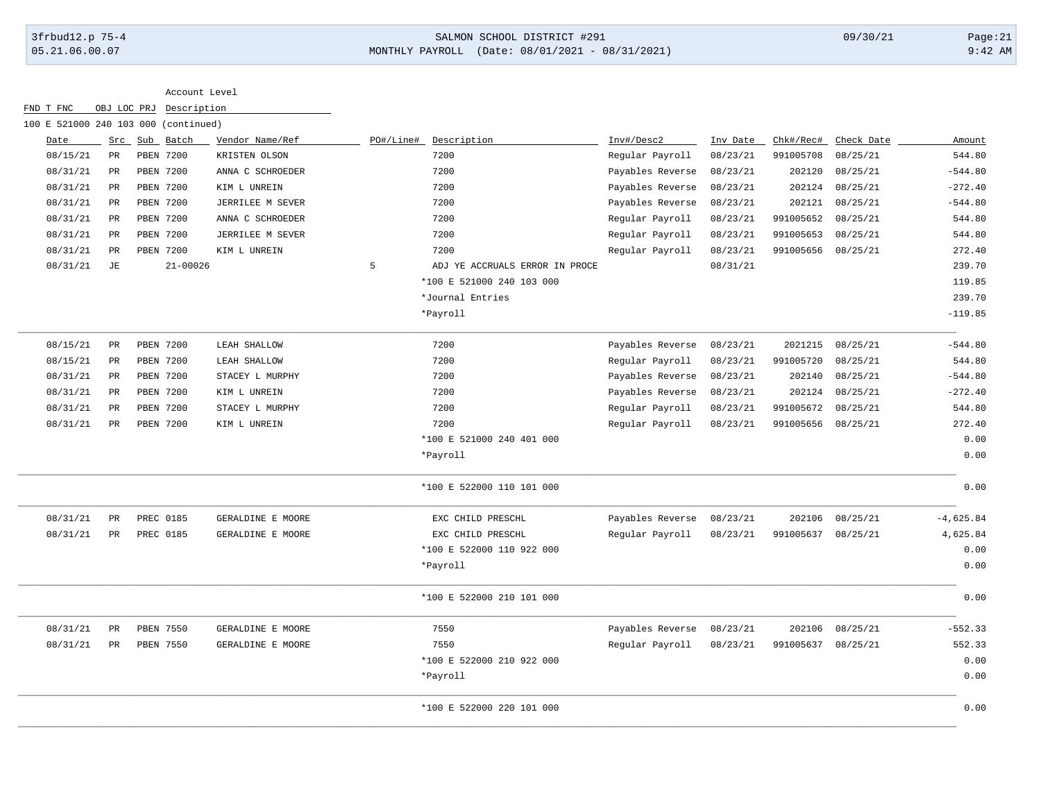# 3frbud12.p 75-4 SALMON SCHOOL DISTRICT #291 09/30/21 Page:21 05.21.06.00.07 MONTHLY PAYROLL (Date: 08/01/2021 - 08/31/2021) 9:42 AM

| Date     |                 | Src Sub Batch    |              | Vendor Name/Ref   | PO#/Line# | Description                    | Inv#/Desc2       | Inv Date | Chk#/Rec# | Check Date | Amount      |
|----------|-----------------|------------------|--------------|-------------------|-----------|--------------------------------|------------------|----------|-----------|------------|-------------|
| 08/15/21 | $\mathtt{PR}$   | PBEN 7200        |              | KRISTEN OLSON     |           | 7200                           | Regular Payroll  | 08/23/21 | 991005708 | 08/25/21   | 544.80      |
| 08/31/21 | $_{\rm PR}$     | <b>PBEN 7200</b> |              | ANNA C SCHROEDER  |           | 7200                           | Payables Reverse | 08/23/21 | 202120    | 08/25/21   | $-544.80$   |
| 08/31/21 | $_{\rm PR}$     | <b>PBEN 7200</b> |              | KIM L UNREIN      |           | 7200                           | Payables Reverse | 08/23/21 | 202124    | 08/25/21   | $-272.40$   |
| 08/31/21 | PR              | PBEN 7200        |              | JERRILEE M SEVER  |           | 7200                           | Payables Reverse | 08/23/21 | 202121    | 08/25/21   | $-544.80$   |
| 08/31/21 | PR              | PBEN 7200        |              | ANNA C SCHROEDER  |           | 7200                           | Regular Payroll  | 08/23/21 | 991005652 | 08/25/21   | 544.80      |
| 08/31/21 | $_{\rm PR}$     | PBEN 7200        |              | JERRILEE M SEVER  |           | 7200                           | Regular Payroll  | 08/23/21 | 991005653 | 08/25/21   | 544.80      |
| 08/31/21 | PR              | PBEN 7200        |              | KIM L UNREIN      |           | 7200                           | Regular Payroll  | 08/23/21 | 991005656 | 08/25/21   | 272.40      |
| 08/31/21 | JE              |                  | $21 - 00026$ |                   | 5         | ADJ YE ACCRUALS ERROR IN PROCE |                  | 08/31/21 |           |            | 239.70      |
|          |                 |                  |              |                   |           | *100 E 521000 240 103 000      |                  |          |           |            | 119.85      |
|          |                 |                  |              |                   |           | *Journal Entries               |                  |          |           |            | 239.70      |
|          |                 |                  |              |                   |           | *Payroll                       |                  |          |           |            | $-119.85$   |
| 08/15/21 | $_{\rm PR}$     | <b>PBEN 7200</b> |              | LEAH SHALLOW      |           | 7200                           | Payables Reverse | 08/23/21 | 2021215   | 08/25/21   | $-544.80$   |
| 08/15/21 | $\mbox{\sf PR}$ | PBEN 7200        |              | LEAH SHALLOW      |           | 7200                           | Regular Payroll  | 08/23/21 | 991005720 | 08/25/21   | 544.80      |
| 08/31/21 | $_{\rm PR}$     | <b>PBEN 7200</b> |              | STACEY L MURPHY   |           | 7200                           | Payables Reverse | 08/23/21 | 202140    | 08/25/21   | $-544.80$   |
| 08/31/21 | $_{\rm PR}$     | PBEN 7200        |              | KIM L UNREIN      |           | 7200                           | Payables Reverse | 08/23/21 | 202124    | 08/25/21   | $-272.40$   |
| 08/31/21 | $_{\rm PR}$     | <b>PBEN 7200</b> |              | STACEY L MURPHY   |           | 7200                           | Regular Payroll  | 08/23/21 | 991005672 | 08/25/21   | 544.80      |
| 08/31/21 | PR              | PBEN 7200        |              | KIM L UNREIN      |           | 7200                           | Regular Payroll  | 08/23/21 | 991005656 | 08/25/21   | 272.40      |
|          |                 |                  |              |                   |           | *100 E 521000 240 401 000      |                  |          |           |            | 0.00        |
|          |                 |                  |              |                   |           | *Payroll                       |                  |          |           |            | 0.00        |
|          |                 |                  |              |                   |           | *100 E 522000 110 101 000      |                  |          |           |            | 0.00        |
| 08/31/21 | $\mbox{\sf PR}$ | PREC 0185        |              | GERALDINE E MOORE |           | EXC CHILD PRESCHL              | Payables Reverse | 08/23/21 | 202106    | 08/25/21   | $-4,625.84$ |
| 08/31/21 | $_{\rm PR}$     | PREC 0185        |              | GERALDINE E MOORE |           | EXC CHILD PRESCHL              | Regular Payroll  | 08/23/21 | 991005637 | 08/25/21   | 4,625.84    |
|          |                 |                  |              |                   |           | *100 E 522000 110 922 000      |                  |          |           |            | 0.00        |
|          |                 |                  |              |                   |           | *Payroll                       |                  |          |           |            | 0.00        |
|          |                 |                  |              |                   |           | *100 E 522000 210 101 000      |                  |          |           |            | 0.00        |
| 08/31/21 | PR              | PBEN 7550        |              | GERALDINE E MOORE |           | 7550                           | Payables Reverse | 08/23/21 | 202106    | 08/25/21   | $-552.33$   |
| 08/31/21 | PR              | PBEN 7550        |              | GERALDINE E MOORE |           | 7550                           | Regular Payroll  | 08/23/21 | 991005637 | 08/25/21   | 552.33      |
|          |                 |                  |              |                   |           | *100 E 522000 210 922 000      |                  |          |           |            | 0.00        |
|          |                 |                  |              |                   |           | *Payroll                       |                  |          |           |            | 0.00        |
|          |                 |                  |              |                   |           | *100 E 522000 220 101 000      |                  |          |           |            | 0.00        |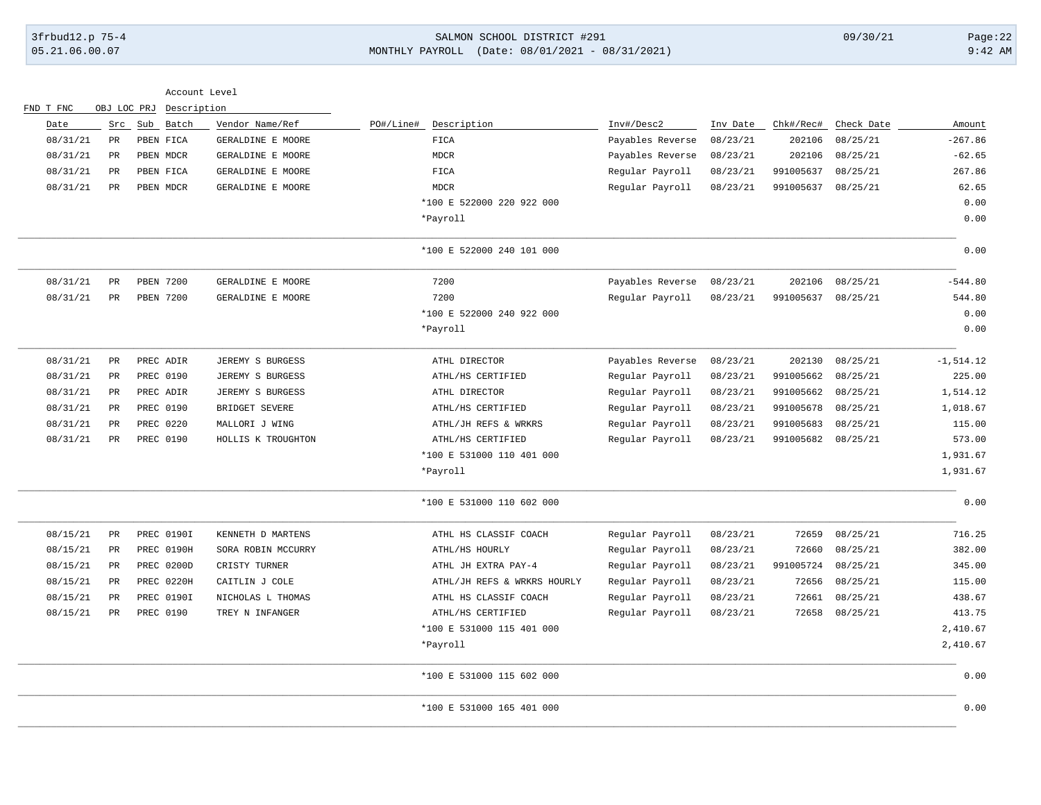# 3frbud12.p 75-4 SALMON SCHOOL DISTRICT #291 09/30/21 Page:22 05.21.06.00.07 MONTHLY PAYROLL (Date: 08/01/2021 - 08/31/2021) 9:42 AM

|              |            |           |          |                  |                             |                         | Description |           | OBJ LOC PRJ     | FND T FNC |
|--------------|------------|-----------|----------|------------------|-----------------------------|-------------------------|-------------|-----------|-----------------|-----------|
| Amount       | Check Date | Chk#/Rec# | Inv Date | Inv#/Desc2       | PO#/Line#<br>Description    | Vendor Name/Ref         | Sub Batch   |           | Src             | Date      |
| $-267.86$    | 08/25/21   | 202106    | 08/23/21 | Payables Reverse | FIGA                        | GERALDINE E MOORE       |             | PBEN FICA | PR              | 08/31/21  |
| $-62.65$     | 08/25/21   | 202106    | 08/23/21 | Payables Reverse | $\tt MDCR$                  | GERALDINE E MOORE       |             | PBEN MDCR | $_{\rm PR}$     | 08/31/21  |
| 267.86       | 08/25/21   | 991005637 | 08/23/21 | Regular Payroll  | FICA                        | GERALDINE E MOORE       |             | PBEN FICA | $\mbox{\sf PR}$ | 08/31/21  |
| 62.65        | 08/25/21   | 991005637 | 08/23/21 | Regular Payroll  | <b>MDCR</b>                 | GERALDINE E MOORE       |             | PBEN MDCR | $_{\rm PR}$     | 08/31/21  |
| 0.00         |            |           |          |                  | *100 E 522000 220 922 000   |                         |             |           |                 |           |
| 0.00         |            |           |          |                  | *Payroll                    |                         |             |           |                 |           |
| 0.00         |            |           |          |                  | *100 E 522000 240 101 000   |                         |             |           |                 |           |
| $-544.80$    | 08/25/21   | 202106    | 08/23/21 | Payables Reverse | 7200                        | GERALDINE E MOORE       |             | PBEN 7200 | PR              | 08/31/21  |
| 544.80       | 08/25/21   | 991005637 | 08/23/21 | Regular Payroll  | 7200                        | GERALDINE E MOORE       |             | PBEN 7200 | PR              | 08/31/21  |
| 0.00         |            |           |          |                  | *100 E 522000 240 922 000   |                         |             |           |                 |           |
| 0.00         |            |           |          |                  | *Payroll                    |                         |             |           |                 |           |
| $-1, 514.12$ | 08/25/21   | 202130    | 08/23/21 | Payables Reverse | ATHL DIRECTOR               | JEREMY S BURGESS        |             | PREC ADIR | PR              | 08/31/21  |
| 225.00       | 08/25/21   | 991005662 | 08/23/21 | Regular Payroll  | ATHL/HS CERTIFIED           | <b>JEREMY S BURGESS</b> |             | PREC 0190 | PR              | 08/31/21  |
| 1,514.12     | 08/25/21   | 991005662 | 08/23/21 | Regular Payroll  | ATHL DIRECTOR               | JEREMY S BURGESS        |             | PREC ADIR | $_{\rm PR}$     | 08/31/21  |
| 1,018.67     | 08/25/21   | 991005678 | 08/23/21 | Regular Payroll  | ATHL/HS CERTIFIED           | BRIDGET SEVERE          |             | PREC 0190 | $_{\rm PR}$     | 08/31/21  |
| 115.00       | 08/25/21   | 991005683 | 08/23/21 | Regular Payroll  | ATHL/JH REFS & WRKRS        | MALLORI J WING          |             | PREC 0220 | $_{\rm PR}$     | 08/31/21  |
| 573.00       | 08/25/21   | 991005682 | 08/23/21 | Regular Payroll  | ATHL/HS CERTIFIED           | HOLLIS K TROUGHTON      |             | PREC 0190 | PR              | 08/31/21  |
| 1,931.67     |            |           |          |                  | *100 E 531000 110 401 000   |                         |             |           |                 |           |
| 1,931.67     |            |           |          |                  | *Payroll                    |                         |             |           |                 |           |
| 0.00         |            |           |          |                  | *100 E 531000 110 602 000   |                         |             |           |                 |           |
| 716.25       | 08/25/21   | 72659     | 08/23/21 | Regular Payroll  | ATHL HS CLASSIF COACH       | KENNETH D MARTENS       | PREC 01901  |           | $_{\rm PR}$     | 08/15/21  |
| 382.00       | 08/25/21   | 72660     | 08/23/21 | Regular Payroll  | ATHL/HS HOURLY              | SORA ROBIN MCCURRY      | PREC 0190H  |           | PR              | 08/15/21  |
| 345.00       | 08/25/21   | 991005724 | 08/23/21 | Regular Payroll  | ATHL JH EXTRA PAY-4         | CRISTY TURNER           | PREC 0200D  |           | PR              | 08/15/21  |
| 115.00       | 08/25/21   | 72656     | 08/23/21 | Regular Payroll  | ATHL/JH REFS & WRKRS HOURLY | CAITLIN J COLE          | PREC 0220H  |           | PR              | 08/15/21  |
| 438.67       | 08/25/21   | 72661     | 08/23/21 | Regular Payroll  | ATHL HS CLASSIF COACH       | NICHOLAS L THOMAS       | PREC 01901  |           | $_{\rm PR}$     | 08/15/21  |
| 413.75       | 08/25/21   | 72658     | 08/23/21 | Regular Payroll  | ATHL/HS CERTIFIED           | TREY N INFANGER         |             | PREC 0190 | $_{\rm PR}$     | 08/15/21  |
| 2,410.67     |            |           |          |                  | *100 E 531000 115 401 000   |                         |             |           |                 |           |
| 2,410.67     |            |           |          |                  | *Payroll                    |                         |             |           |                 |           |
| 0.00         |            |           |          |                  | *100 E 531000 115 602 000   |                         |             |           |                 |           |
| 0.00         |            |           |          |                  | *100 E 531000 165 401 000   |                         |             |           |                 |           |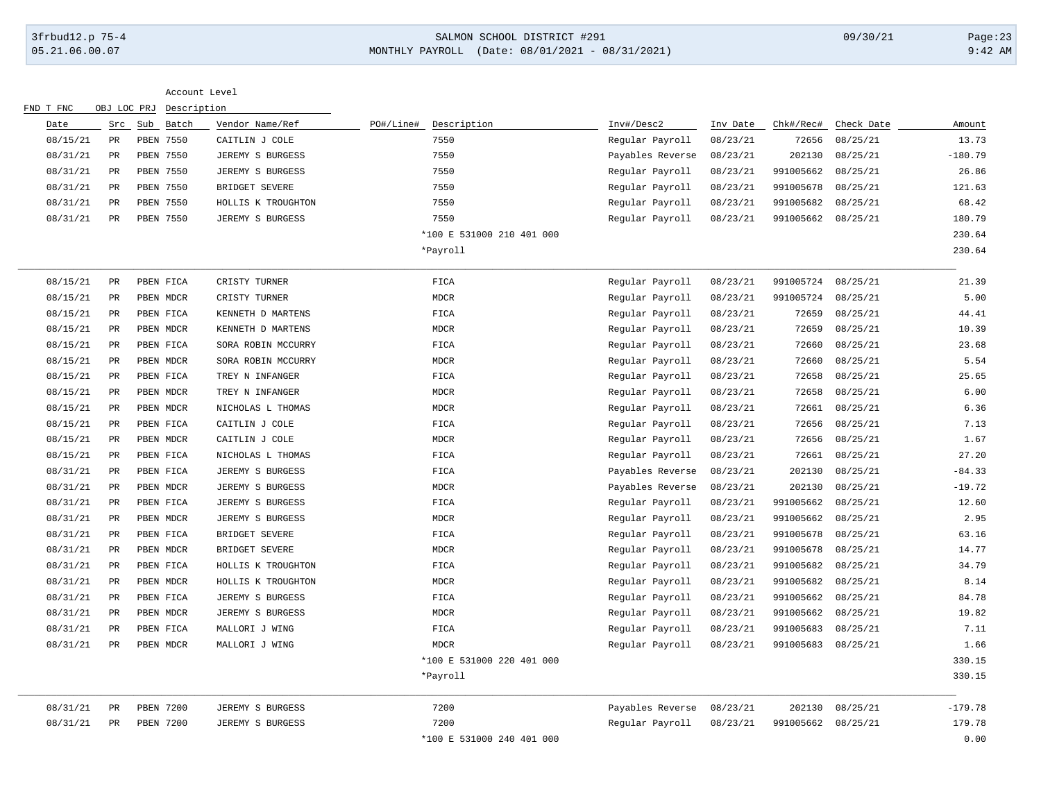### 3frbud12.p 75-4 SALMON SCHOOL DISTRICT #291 09/30/21 Page:23 05.21.06.00.07 MONTHLY PAYROLL (Date: 08/01/2021 - 08/31/2021) 9:42 AM

| FND T FNC |                 | OBJ LOC PRJ   | Description |                    |           |                           |                  |          |           |            |           |
|-----------|-----------------|---------------|-------------|--------------------|-----------|---------------------------|------------------|----------|-----------|------------|-----------|
| Date      |                 | Src Sub Batch |             | Vendor Name/Ref    | PO#/Line# | Description               | Inv#/Desc2       | Inv Date | Chk#/Rec# | Check Date | Amount    |
| 08/15/21  | PR              |               | PBEN 7550   | CAITLIN J COLE     |           | 7550                      | Regular Payroll  | 08/23/21 | 72656     | 08/25/21   | 13.73     |
| 08/31/21  | PR              |               | PBEN 7550   | JEREMY S BURGESS   |           | 7550                      | Payables Reverse | 08/23/21 | 202130    | 08/25/21   | $-180.79$ |
| 08/31/21  | PR              |               | PBEN 7550   | JEREMY S BURGESS   |           | 7550                      | Regular Payroll  | 08/23/21 | 991005662 | 08/25/21   | 26.86     |
| 08/31/21  | $_{\rm PR}$     |               | PBEN 7550   | BRIDGET SEVERE     |           | 7550                      | Regular Payroll  | 08/23/21 | 991005678 | 08/25/21   | 121.63    |
| 08/31/21  | $\mbox{\sf PR}$ |               | PBEN 7550   | HOLLIS K TROUGHTON |           | 7550                      | Regular Payroll  | 08/23/21 | 991005682 | 08/25/21   | 68.42     |
| 08/31/21  | $_{\rm PR}$     |               | PBEN 7550   | JEREMY S BURGESS   |           | 7550                      | Regular Payroll  | 08/23/21 | 991005662 | 08/25/21   | 180.79    |
|           |                 |               |             |                    |           | *100 E 531000 210 401 000 |                  |          |           |            | 230.64    |
|           |                 |               |             |                    |           | *Payroll                  |                  |          |           |            | 230.64    |
| 08/15/21  | $_{\rm PR}$     |               | PBEN FICA   | CRISTY TURNER      |           | FICA                      | Regular Payroll  | 08/23/21 | 991005724 | 08/25/21   | 21.39     |
| 08/15/21  | $_{\rm PR}$     |               | PBEN MDCR   | CRISTY TURNER      |           | <b>MDCR</b>               | Regular Payroll  | 08/23/21 | 991005724 | 08/25/21   | 5.00      |
| 08/15/21  | PR              |               | PBEN FICA   | KENNETH D MARTENS  |           | FICA                      | Regular Payroll  | 08/23/21 | 72659     | 08/25/21   | 44.41     |
| 08/15/21  | PR              |               | PBEN MDCR   | KENNETH D MARTENS  |           | <b>MDCR</b>               | Regular Payroll  | 08/23/21 | 72659     | 08/25/21   | 10.39     |
| 08/15/21  | PR              |               | PBEN FICA   | SORA ROBIN MCCURRY |           | FICA                      | Regular Payroll  | 08/23/21 | 72660     | 08/25/21   | 23.68     |
| 08/15/21  | PR              |               | PBEN MDCR   | SORA ROBIN MCCURRY |           | <b>MDCR</b>               | Regular Payroll  | 08/23/21 | 72660     | 08/25/21   | 5.54      |
| 08/15/21  | $_{\rm PR}$     |               | PBEN FICA   | TREY N INFANGER    |           | FICA                      | Regular Payroll  | 08/23/21 | 72658     | 08/25/21   | 25.65     |
| 08/15/21  | PR              |               | PBEN MDCR   | TREY N INFANGER    |           | <b>MDCR</b>               | Regular Payroll  | 08/23/21 | 72658     | 08/25/21   | 6.00      |
| 08/15/21  | $_{\rm PR}$     |               | PBEN MDCR   | NICHOLAS L THOMAS  |           | <b>MDCR</b>               | Regular Payroll  | 08/23/21 | 72661     | 08/25/21   | 6.36      |
| 08/15/21  | PR              |               | PBEN FICA   | CAITLIN J COLE     |           | FICA                      | Regular Payroll  | 08/23/21 | 72656     | 08/25/21   | 7.13      |
| 08/15/21  | PR              |               | PBEN MDCR   | CAITLIN J COLE     |           | <b>MDCR</b>               | Regular Payroll  | 08/23/21 | 72656     | 08/25/21   | 1.67      |
| 08/15/21  | PR              |               | PBEN FICA   | NICHOLAS L THOMAS  |           | FICA                      | Regular Payroll  | 08/23/21 | 72661     | 08/25/21   | 27.20     |
| 08/31/21  | PR              |               | PBEN FICA   | JEREMY S BURGESS   |           | FICA                      | Payables Reverse | 08/23/21 | 202130    | 08/25/21   | $-84.33$  |
| 08/31/21  | $_{\rm PR}$     |               | PBEN MDCR   | JEREMY S BURGESS   |           | <b>MDCR</b>               | Payables Reverse | 08/23/21 | 202130    | 08/25/21   | $-19.72$  |
| 08/31/21  | $_{\rm PR}$     |               | PBEN FICA   | JEREMY S BURGESS   |           | FICA                      | Regular Payroll  | 08/23/21 | 991005662 | 08/25/21   | 12.60     |
| 08/31/21  | PR              |               | PBEN MDCR   | JEREMY S BURGESS   |           | <b>MDCR</b>               | Regular Payroll  | 08/23/21 | 991005662 | 08/25/21   | 2.95      |
| 08/31/21  | PR              |               | PBEN FICA   | BRIDGET SEVERE     |           | FICA                      | Regular Payroll  | 08/23/21 | 991005678 | 08/25/21   | 63.16     |
| 08/31/21  | PR              |               | PBEN MDCR   | BRIDGET SEVERE     |           | <b>MDCR</b>               | Regular Payroll  | 08/23/21 | 991005678 | 08/25/21   | 14.77     |
| 08/31/21  | $_{\rm PR}$     |               | PBEN FICA   | HOLLIS K TROUGHTON |           | ${\tt FICA}$              | Regular Payroll  | 08/23/21 | 991005682 | 08/25/21   | 34.79     |
| 08/31/21  | $\mbox{\sf PR}$ |               | PBEN MDCR   | HOLLIS K TROUGHTON |           | <b>MDCR</b>               | Regular Payroll  | 08/23/21 | 991005682 | 08/25/21   | 8.14      |
| 08/31/21  | PR              |               | PBEN FICA   | JEREMY S BURGESS   |           | FICA                      | Regular Payroll  | 08/23/21 | 991005662 | 08/25/21   | 84.78     |
| 08/31/21  | PR              |               | PBEN MDCR   | JEREMY S BURGESS   |           | <b>MDCR</b>               | Regular Payroll  | 08/23/21 | 991005662 | 08/25/21   | 19.82     |
| 08/31/21  | PR              |               | PBEN FICA   | MALLORI J WING     |           | FICA                      | Regular Payroll  | 08/23/21 | 991005683 | 08/25/21   | 7.11      |
| 08/31/21  | $_{\rm PR}$     |               | PBEN MDCR   | MALLORI J WING     |           | <b>MDCR</b>               | Regular Payroll  | 08/23/21 | 991005683 | 08/25/21   | 1.66      |
|           |                 |               |             |                    |           | *100 E 531000 220 401 000 |                  |          |           |            | 330.15    |
|           |                 |               |             |                    |           | *Payroll                  |                  |          |           |            | 330.15    |
| 08/31/21  | PR              |               | PBEN 7200   | JEREMY S BURGESS   |           | 7200                      | Payables Reverse | 08/23/21 | 202130    | 08/25/21   | $-179.78$ |
| 08/31/21  | PR              |               | PBEN 7200   | JEREMY S BURGESS   |           | 7200                      | Regular Payroll  | 08/23/21 | 991005662 | 08/25/21   | 179.78    |
|           |                 |               |             |                    |           | *100 E 531000 240 401 000 |                  |          |           |            | 0.00      |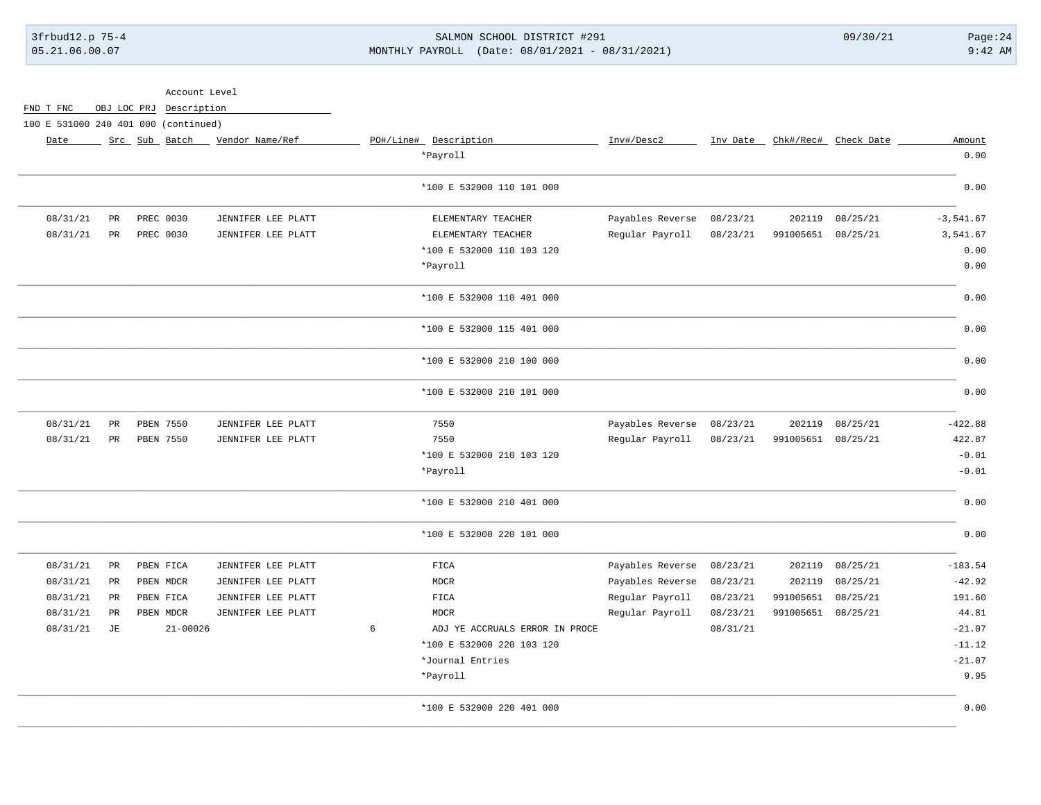# 3frbud12.p 75-4 SALMON SCHOOL DISTRICT #291 09/30/21 Page:24 05.21.06.00.07 MONTHLY PAYROLL (Date: 08/01/2021 - 08/31/2021) 9:42 AM

|             |          |                               |          |                  |                                     |                                 | Account Level           |           |             |                                      |
|-------------|----------|-------------------------------|----------|------------------|-------------------------------------|---------------------------------|-------------------------|-----------|-------------|--------------------------------------|
|             |          |                               |          |                  |                                     |                                 | OBJ LOC PRJ Description |           |             | FND T FNC                            |
|             |          |                               |          |                  |                                     |                                 |                         |           |             | 100 E 531000 240 401 000 (continued) |
| Amount      |          | Inv Date Chk#/Rec# Check Date |          | Inv#/Desc2       | PO#/Line# Description               | Src Sub Batch _ Vendor Name/Ref |                         |           |             | Date                                 |
| 0.00        |          |                               |          |                  | *Payroll                            |                                 |                         |           |             |                                      |
| 0.00        |          |                               |          |                  | *100 E 532000 110 101 000           |                                 |                         |           |             |                                      |
| $-3,541.67$ | 08/25/21 | 202119                        | 08/23/21 | Payables Reverse | ELEMENTARY TEACHER                  | JENNIFER LEE PLATT              |                         | PREC 0030 | PR          | 08/31/21                             |
| 3,541.67    | 08/25/21 | 991005651                     | 08/23/21 | Regular Payroll  | ELEMENTARY TEACHER                  | JENNIFER LEE PLATT              |                         | PREC 0030 | $_{\rm PR}$ | 08/31/21                             |
| 0.00        |          |                               |          |                  | *100 E 532000 110 103 120           |                                 |                         |           |             |                                      |
| 0.00        |          |                               |          |                  | *Payroll                            |                                 |                         |           |             |                                      |
| 0.00        |          |                               |          |                  | *100 E 532000 110 401 000           |                                 |                         |           |             |                                      |
| 0.00        |          |                               |          |                  | *100 E 532000 115 401 000           |                                 |                         |           |             |                                      |
| 0.00        |          |                               |          |                  | *100 E 532000 210 100 000           |                                 |                         |           |             |                                      |
| 0.00        |          |                               |          |                  | *100 E 532000 210 101 000           |                                 |                         |           |             |                                      |
| $-422.88$   | 08/25/21 | 202119                        | 08/23/21 | Payables Reverse | 7550                                | JENNIFER LEE PLATT              |                         | PBEN 7550 | PR          | 08/31/21                             |
| 422.87      | 08/25/21 | 991005651                     | 08/23/21 | Regular Payroll  | 7550                                | JENNIFER LEE PLATT              |                         | PBEN 7550 | PR          | 08/31/21                             |
| $-0.01$     |          |                               |          |                  | *100 E 532000 210 103 120           |                                 |                         |           |             |                                      |
| $-0.01$     |          |                               |          |                  | *Payroll                            |                                 |                         |           |             |                                      |
| 0.00        |          |                               |          |                  | *100 E 532000 210 401 000           |                                 |                         |           |             |                                      |
| 0.00        |          |                               |          |                  | *100 E 532000 220 101 000           |                                 |                         |           |             |                                      |
| $-183.54$   | 08/25/21 | 202119                        | 08/23/21 | Payables Reverse | ${\tt FICA}$                        | JENNIFER LEE PLATT              |                         | PBEN FICA | $_{\rm PR}$ | 08/31/21                             |
| $-42.92$    | 08/25/21 | 202119                        | 08/23/21 | Payables Reverse | <b>MDCR</b>                         | JENNIFER LEE PLATT              |                         | PBEN MDCR | PR          | 08/31/21                             |
| 191.60      | 08/25/21 | 991005651                     | 08/23/21 | Regular Payroll  | FICA                                | JENNIFER LEE PLATT              |                         | PBEN FICA | PR          | 08/31/21                             |
| 44.81       | 08/25/21 | 991005651                     | 08/23/21 | Regular Payroll  | <b>MDCR</b>                         | JENNIFER LEE PLATT              |                         | PBEN MDCR | PR          | 08/31/21                             |
| $-21.07$    |          |                               | 08/31/21 |                  | 6<br>ADJ YE ACCRUALS ERROR IN PROCE |                                 | $21 - 00026$            |           | JE          | 08/31/21                             |
| $-11.12$    |          |                               |          |                  | *100 E 532000 220 103 120           |                                 |                         |           |             |                                      |
| $-21.07$    |          |                               |          |                  | *Journal Entries                    |                                 |                         |           |             |                                      |
| 9.95        |          |                               |          |                  | *Payroll                            |                                 |                         |           |             |                                      |
| 0.00        |          |                               |          |                  | *100 E 532000 220 401 000           |                                 |                         |           |             |                                      |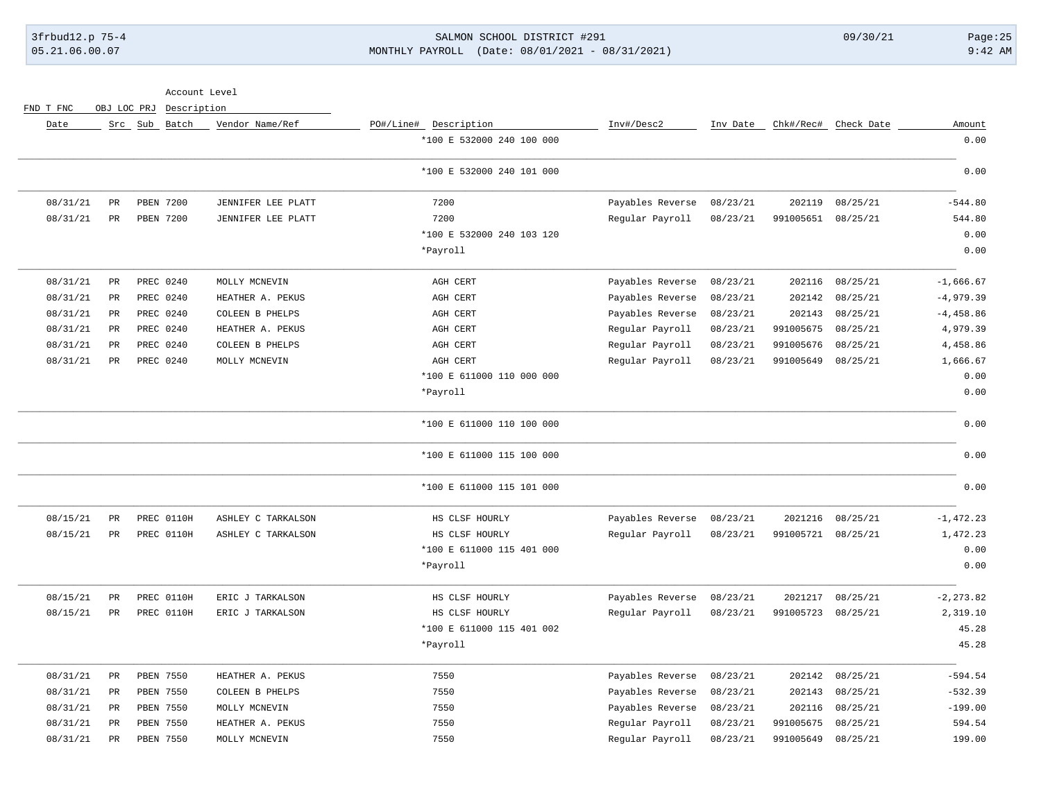## 3frbud12.p 75-4 SALMON SCHOOL DISTRICT #291 09/30/21 Page:25 05.21.06.00.07 MONTHLY PAYROLL (Date: 08/01/2021 - 08/31/2021) 9:42 AM

Account Level

FND T FNC OBJ LOC PRJ Description

| Amount       | Check Date | Chk#/Rec# | Inv Date | Inv#/Desc2       | PO#/Line# Description     | Vendor Name/Ref    | Src Sub Batch |                 | Date     |
|--------------|------------|-----------|----------|------------------|---------------------------|--------------------|---------------|-----------------|----------|
| 0.00         |            |           |          |                  | *100 E 532000 240 100 000 |                    |               |                 |          |
| 0.00         |            |           |          |                  | *100 E 532000 240 101 000 |                    |               |                 |          |
| $-544.80$    | 08/25/21   | 202119    | 08/23/21 | Payables Reverse | 7200                      | JENNIFER LEE PLATT | PBEN 7200     | $_{\rm PR}$     | 08/31/21 |
| 544.80       | 08/25/21   | 991005651 | 08/23/21 | Regular Payroll  | 7200                      | JENNIFER LEE PLATT | PBEN 7200     | PR              | 08/31/21 |
| 0.00         |            |           |          |                  | *100 E 532000 240 103 120 |                    |               |                 |          |
| 0.00         |            |           |          |                  | *Payroll                  |                    |               |                 |          |
| $-1,666.67$  | 08/25/21   | 202116    | 08/23/21 | Payables Reverse | AGH CERT                  | MOLLY MCNEVIN      | PREC 0240     | $\mbox{\sf PR}$ | 08/31/21 |
| $-4,979.39$  | 08/25/21   | 202142    | 08/23/21 | Payables Reverse | AGH CERT                  | HEATHER A. PEKUS   | PREC 0240     | PR              | 08/31/21 |
| $-4,458.86$  | 08/25/21   | 202143    | 08/23/21 | Payables Reverse | AGH CERT                  | COLEEN B PHELPS    | PREC 0240     | $\mbox{\sf PR}$ | 08/31/21 |
| 4,979.39     | 08/25/21   | 991005675 | 08/23/21 | Regular Payroll  | AGH CERT                  | HEATHER A. PEKUS   | PREC 0240     | $_{\rm PR}$     | 08/31/21 |
| 4,458.86     | 08/25/21   | 991005676 | 08/23/21 | Regular Payroll  | AGH CERT                  | COLEEN B PHELPS    | PREC 0240     | $\mathtt{PR}$   | 08/31/21 |
| 1,666.67     | 08/25/21   | 991005649 | 08/23/21 | Regular Payroll  | AGH CERT                  | MOLLY MCNEVIN      | PREC 0240     | PR              | 08/31/21 |
| 0.00         |            |           |          |                  | *100 E 611000 110 000 000 |                    |               |                 |          |
| 0.00         |            |           |          |                  | *Payroll                  |                    |               |                 |          |
| 0.00         |            |           |          |                  | *100 E 611000 110 100 000 |                    |               |                 |          |
| 0.00         |            |           |          |                  | *100 E 611000 115 100 000 |                    |               |                 |          |
| 0.00         |            |           |          |                  | *100 E 611000 115 101 000 |                    |               |                 |          |
| $-1,472.23$  | 08/25/21   | 2021216   | 08/23/21 | Payables Reverse | HS CLSF HOURLY            | ASHLEY C TARKALSON | PREC 0110H    | $_{\rm PR}$     | 08/15/21 |
| 1,472.23     | 08/25/21   | 991005721 | 08/23/21 | Regular Payroll  | HS CLSF HOURLY            | ASHLEY C TARKALSON | PREC 0110H    | PR              | 08/15/21 |
| 0.00         |            |           |          |                  | *100 E 611000 115 401 000 |                    |               |                 |          |
| 0.00         |            |           |          |                  | *Payroll                  |                    |               |                 |          |
| $-2, 273.82$ | 08/25/21   | 2021217   | 08/23/21 | Payables Reverse | HS CLSF HOURLY            | ERIC J TARKALSON   | PREC 0110H    | PR              | 08/15/21 |
| 2,319.10     | 08/25/21   | 991005723 | 08/23/21 | Regular Payroll  | HS CLSF HOURLY            | ERIC J TARKALSON   | PREC 0110H    | PR              | 08/15/21 |
| 45.28        |            |           |          |                  | *100 E 611000 115 401 002 |                    |               |                 |          |
| 45.28        |            |           |          |                  | *Payroll                  |                    |               |                 |          |
| $-594.54$    | 08/25/21   | 202142    | 08/23/21 | Payables Reverse | 7550                      | HEATHER A. PEKUS   | PBEN 7550     | $_{\rm PR}$     | 08/31/21 |
| $-532.39$    | 08/25/21   | 202143    | 08/23/21 | Payables Reverse | 7550                      | COLEEN B PHELPS    | PBEN 7550     | $_{\rm PR}$     | 08/31/21 |
| $-199.00$    | 08/25/21   | 202116    | 08/23/21 | Payables Reverse | 7550                      | MOLLY MCNEVIN      | PBEN 7550     | $_{\rm PR}$     | 08/31/21 |
| 594.54       | 08/25/21   | 991005675 | 08/23/21 | Regular Payroll  | 7550                      | HEATHER A. PEKUS   | PBEN 7550     | $\mathtt{PR}$   | 08/31/21 |
| 199.00       | 08/25/21   | 991005649 | 08/23/21 | Regular Payroll  | 7550                      | MOLLY MCNEVIN      | PBEN 7550     | PR              | 08/31/21 |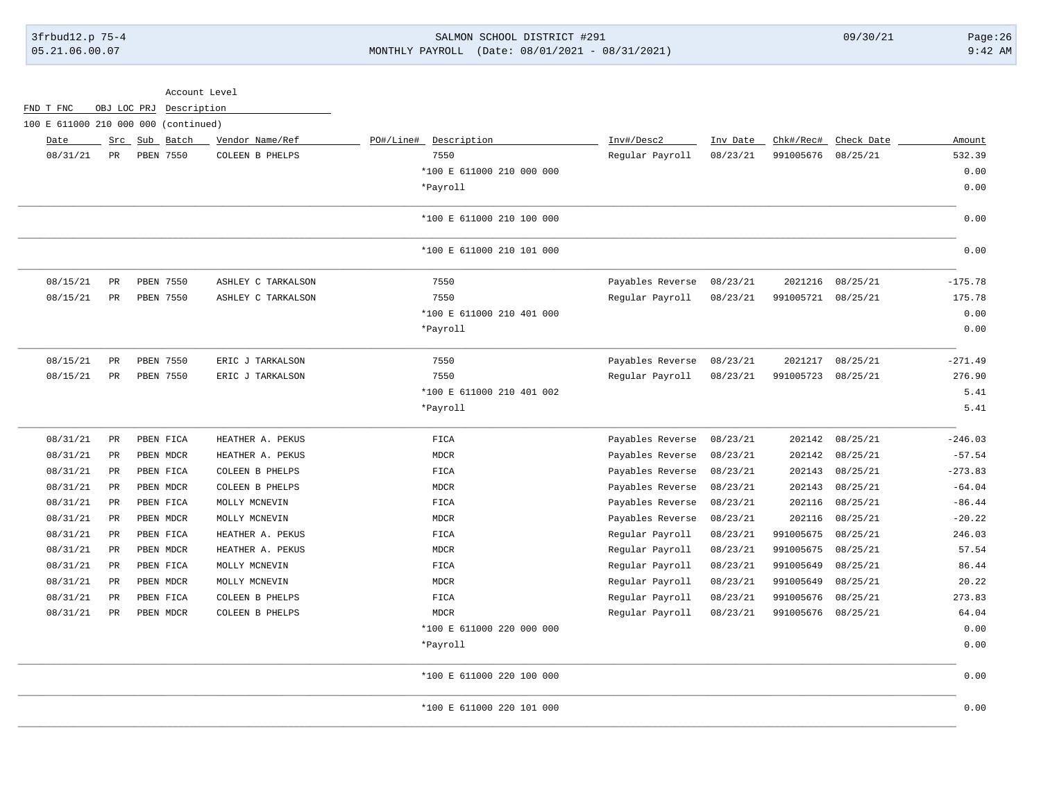# 3frbud12.p 75-4 SALMON SCHOOL DISTRICT #291 09/30/21 Page:26 05.21.06.00.07 MONTHLY PAYROLL (Date: 08/01/2021 - 08/31/2021) 9:42 AM

| Account Level                        |                 |             |               |                    |                           |                  |          |           |            |           |
|--------------------------------------|-----------------|-------------|---------------|--------------------|---------------------------|------------------|----------|-----------|------------|-----------|
| FND T FNC                            |                 | OBJ LOC PRJ |               | Description        |                           |                  |          |           |            |           |
| 100 E 611000 210 000 000 (continued) |                 |             |               |                    |                           |                  |          |           |            |           |
| Date                                 |                 |             | Src Sub Batch | Vendor Name/Ref    | PO#/Line# Description     | Inv#/Desc2       | Inv Date | Chk#/Rec# | Check Date | Amount    |
| 08/31/21                             | PR              |             | PBEN 7550     | COLEEN B PHELPS    | 7550                      | Regular Payroll  | 08/23/21 | 991005676 | 08/25/21   | 532.39    |
|                                      |                 |             |               |                    | *100 E 611000 210 000 000 |                  |          |           |            | 0.00      |
|                                      |                 |             |               |                    | *Payroll                  |                  |          |           |            | 0.00      |
|                                      |                 |             |               |                    | *100 E 611000 210 100 000 |                  |          |           |            | 0.00      |
|                                      |                 |             |               |                    | *100 E 611000 210 101 000 |                  |          |           |            | 0.00      |
| 08/15/21                             | $_{\rm PR}$     |             | PBEN 7550     | ASHLEY C TARKALSON | 7550                      | Payables Reverse | 08/23/21 | 2021216   | 08/25/21   | $-175.78$ |
| 08/15/21                             | PR              |             | PBEN 7550     | ASHLEY C TARKALSON | 7550                      | Regular Payroll  | 08/23/21 | 991005721 | 08/25/21   | 175.78    |
|                                      |                 |             |               |                    | *100 E 611000 210 401 000 |                  |          |           |            | 0.00      |
|                                      |                 |             |               |                    | *Payroll                  |                  |          |           |            | 0.00      |
| 08/15/21                             | PR              |             | PBEN 7550     | ERIC J TARKALSON   | 7550                      | Payables Reverse | 08/23/21 | 2021217   | 08/25/21   | $-271.49$ |
| 08/15/21                             | PR              |             | PBEN 7550     | ERIC J TARKALSON   | 7550                      | Regular Payroll  | 08/23/21 | 991005723 | 08/25/21   | 276.90    |
|                                      |                 |             |               |                    | *100 E 611000 210 401 002 |                  |          |           |            | 5.41      |
|                                      |                 |             |               |                    | *Payroll                  |                  |          |           |            | 5.41      |
| 08/31/21                             | $_{\rm PR}$     |             | PBEN FICA     | HEATHER A. PEKUS   | FICA                      | Payables Reverse | 08/23/21 | 202142    | 08/25/21   | $-246.03$ |
| 08/31/21                             | PR              |             | PBEN MDCR     | HEATHER A. PEKUS   | <b>MDCR</b>               | Payables Reverse | 08/23/21 | 202142    | 08/25/21   | $-57.54$  |
| 08/31/21                             | $\mbox{\sf PR}$ |             | PBEN FICA     | COLEEN B PHELPS    | FICA                      | Payables Reverse | 08/23/21 | 202143    | 08/25/21   | $-273.83$ |
| 08/31/21                             | PR              |             | PBEN MDCR     | COLEEN B PHELPS    | <b>MDCR</b>               | Payables Reverse | 08/23/21 | 202143    | 08/25/21   | $-64.04$  |
| 08/31/21                             | $_{\rm PR}$     |             | PBEN FICA     | MOLLY MCNEVIN      | FICA                      | Payables Reverse | 08/23/21 | 202116    | 08/25/21   | $-86.44$  |
| 08/31/21                             | $_{\rm PR}$     |             | PBEN MDCR     | MOLLY MCNEVIN      | <b>MDCR</b>               | Payables Reverse | 08/23/21 | 202116    | 08/25/21   | $-20.22$  |
| 08/31/21                             | PR              |             | PBEN FICA     | HEATHER A. PEKUS   | FICA                      | Regular Payroll  | 08/23/21 | 991005675 | 08/25/21   | 246.03    |
| 08/31/21                             | $_{\rm PR}$     |             | PBEN MDCR     | HEATHER A. PEKUS   | <b>MDCR</b>               | Regular Payroll  | 08/23/21 | 991005675 | 08/25/21   | 57.54     |
| 08/31/21                             | PR              |             | PBEN FICA     | MOLLY MCNEVIN      | FICA                      | Regular Payroll  | 08/23/21 | 991005649 | 08/25/21   | 86.44     |
| 08/31/21                             | PR              |             | PBEN MDCR     | MOLLY MCNEVIN      | <b>MDCR</b>               | Regular Payroll  | 08/23/21 | 991005649 | 08/25/21   | 20.22     |
| 08/31/21                             | PR              |             | PBEN FICA     | COLEEN B PHELPS    | FICA                      | Regular Payroll  | 08/23/21 | 991005676 | 08/25/21   | 273.83    |
| 08/31/21                             | PR              |             | PBEN MDCR     | COLEEN B PHELPS    | <b>MDCR</b>               | Regular Payroll  | 08/23/21 | 991005676 | 08/25/21   | 64.04     |
|                                      |                 |             |               |                    | *100 E 611000 220 000 000 |                  |          |           |            | 0.00      |
|                                      |                 |             |               |                    | *Payroll                  |                  |          |           |            | 0.00      |
|                                      |                 |             |               |                    | *100 E 611000 220 100 000 |                  |          |           |            | 0.00      |
|                                      |                 |             |               |                    | *100 E 611000 220 101 000 |                  |          |           |            | 0.00      |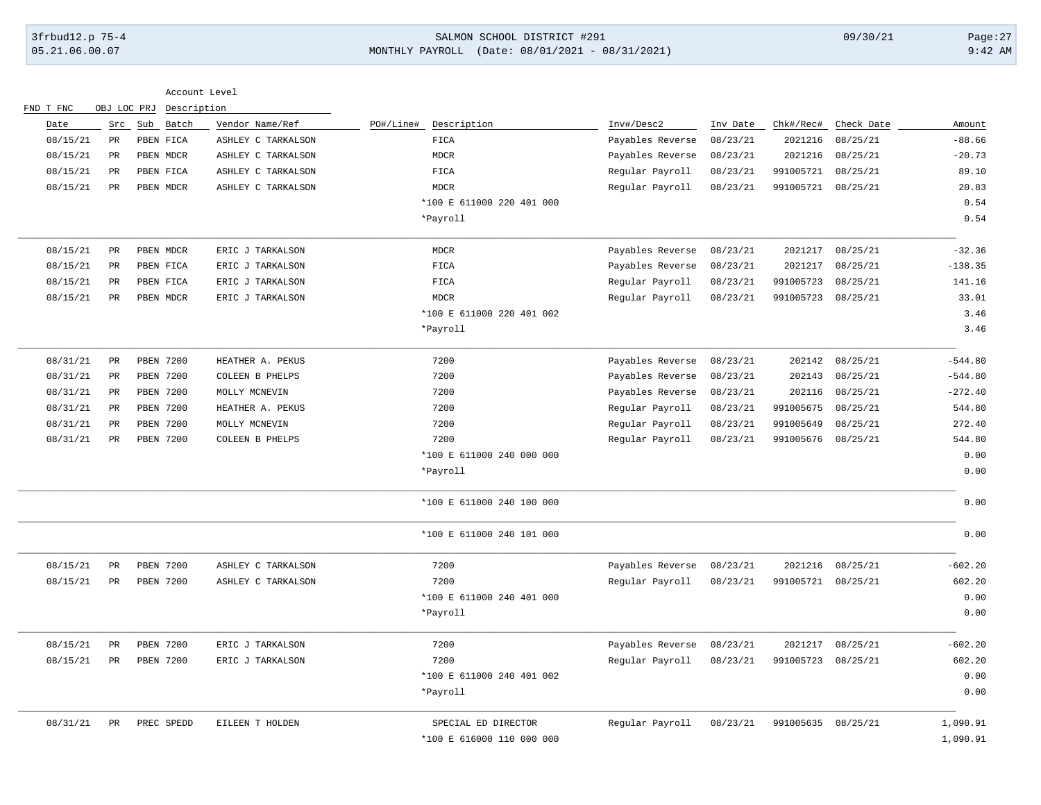# 3frbud12.p 75-4 SALMON SCHOOL DISTRICT #291 09/30/21 Page:27 05.21.06.00.07 MONTHLY PAYROLL (Date: 08/01/2021 - 08/31/2021) 9:42 AM

| FND T FNC |                 | Account Level<br>OBJ LOC PRJ Description |                    |                           |                  |          |           |            |           |
|-----------|-----------------|------------------------------------------|--------------------|---------------------------|------------------|----------|-----------|------------|-----------|
| Date      | Src             | Sub Batch                                | Vendor Name/Ref    | PO#/Line#<br>Description  | Inv#/Desc2       | Inv Date | Chk#/Rec# | Check Date | Amount    |
| 08/15/21  | PR              | PBEN FICA                                | ASHLEY C TARKALSON | <b>FICA</b>               | Payables Reverse | 08/23/21 | 2021216   | 08/25/21   | $-88.66$  |
| 08/15/21  | $_{\rm PR}$     | PBEN MDCR                                | ASHLEY C TARKALSON | <b>MDCR</b>               | Payables Reverse | 08/23/21 | 2021216   | 08/25/21   | $-20.73$  |
| 08/15/21  | PR              | PBEN FICA                                | ASHLEY C TARKALSON | FICA                      | Regular Payroll  | 08/23/21 | 991005721 | 08/25/21   | 89.10     |
| 08/15/21  | PR              | PBEN MDCR                                | ASHLEY C TARKALSON | <b>MDCR</b>               | Regular Payroll  | 08/23/21 | 991005721 | 08/25/21   | 20.83     |
|           |                 |                                          |                    | *100 E 611000 220 401 000 |                  |          |           |            | 0.54      |
|           |                 |                                          |                    | *Payroll                  |                  |          |           |            | 0.54      |
| 08/15/21  | PR              | PBEN MDCR                                | ERIC J TARKALSON   | <b>MDCR</b>               | Payables Reverse | 08/23/21 | 2021217   | 08/25/21   | $-32.36$  |
| 08/15/21  | $\mathtt{PR}$   | PBEN FICA                                | ERIC J TARKALSON   | FICA                      | Payables Reverse | 08/23/21 | 2021217   | 08/25/21   | $-138.35$ |
| 08/15/21  | PR              | PBEN FICA                                | ERIC J TARKALSON   | FICA                      | Regular Payroll  | 08/23/21 | 991005723 | 08/25/21   | 141.16    |
| 08/15/21  | $_{\rm PR}$     | PBEN MDCR                                | ERIC J TARKALSON   | <b>MDCR</b>               | Regular Payroll  | 08/23/21 | 991005723 | 08/25/21   | 33.01     |
|           |                 |                                          |                    | *100 E 611000 220 401 002 |                  |          |           |            | 3.46      |
|           |                 |                                          |                    | *Payroll                  |                  |          |           |            | 3.46      |
| 08/31/21  | PR              | PBEN 7200                                | HEATHER A. PEKUS   | 7200                      | Payables Reverse | 08/23/21 | 202142    | 08/25/21   | $-544.80$ |
| 08/31/21  | $_{\rm PR}$     | PBEN 7200                                | COLEEN B PHELPS    | 7200                      | Payables Reverse | 08/23/21 | 202143    | 08/25/21   | $-544.80$ |
| 08/31/21  | $\mbox{\sf PR}$ | <b>PBEN 7200</b>                         | MOLLY MCNEVIN      | 7200                      | Payables Reverse | 08/23/21 | 202116    | 08/25/21   | $-272.40$ |
| 08/31/21  | PR              | PBEN 7200                                | HEATHER A. PEKUS   | 7200                      | Regular Payroll  | 08/23/21 | 991005675 | 08/25/21   | 544.80    |
| 08/31/21  | $\mathtt{PR}$   | PBEN 7200                                | MOLLY MCNEVIN      | 7200                      | Regular Payroll  | 08/23/21 | 991005649 | 08/25/21   | 272.40    |
| 08/31/21  | $_{\rm PR}$     | <b>PBEN 7200</b>                         | COLEEN B PHELPS    | 7200                      | Regular Payroll  | 08/23/21 | 991005676 | 08/25/21   | 544.80    |
|           |                 |                                          |                    | *100 E 611000 240 000 000 |                  |          |           |            | 0.00      |
|           |                 |                                          |                    | *Payroll                  |                  |          |           |            | 0.00      |
|           |                 |                                          |                    | *100 E 611000 240 100 000 |                  |          |           |            | 0.00      |
|           |                 |                                          |                    | *100 E 611000 240 101 000 |                  |          |           |            | 0.00      |
| 08/15/21  | $\mathtt{PR}$   | PBEN 7200                                | ASHLEY C TARKALSON | 7200                      | Payables Reverse | 08/23/21 | 2021216   | 08/25/21   | $-602.20$ |
| 08/15/21  | $_{\rm PR}$     | PBEN 7200                                | ASHLEY C TARKALSON | 7200                      | Regular Payroll  | 08/23/21 | 991005721 | 08/25/21   | 602.20    |
|           |                 |                                          |                    | *100 E 611000 240 401 000 |                  |          |           |            | 0.00      |
|           |                 |                                          |                    | *Payroll                  |                  |          |           |            | 0.00      |
| 08/15/21  | $_{\rm PR}$     | PBEN 7200                                | ERIC J TARKALSON   | 7200                      | Payables Reverse | 08/23/21 | 2021217   | 08/25/21   | $-602.20$ |
| 08/15/21  | PR              | <b>PBEN 7200</b>                         | ERIC J TARKALSON   | 7200                      | Regular Payroll  | 08/23/21 | 991005723 | 08/25/21   | 602.20    |
|           |                 |                                          |                    | *100 E 611000 240 401 002 |                  |          |           |            | 0.00      |
|           |                 |                                          |                    | *Payroll                  |                  |          |           |            | 0.00      |
| 08/31/21  | $_{\rm PR}$     | PREC SPEDD                               | EILEEN T HOLDEN    | SPECIAL ED DIRECTOR       | Regular Payroll  | 08/23/21 | 991005635 | 08/25/21   | 1,090.91  |
|           |                 |                                          |                    | *100 E 616000 110 000 000 |                  |          |           |            | 1,090.91  |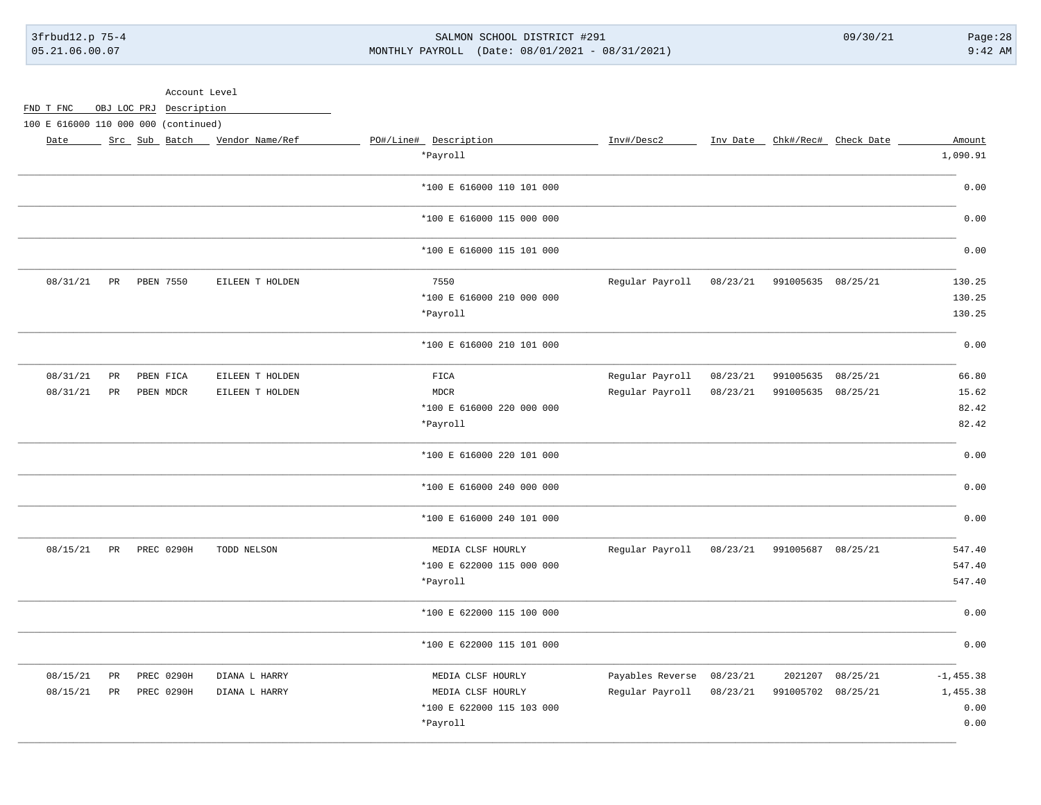### SALMON SCHOOL DISTRICT #291 MONTHLY PAYROLL (Date: 08/01/2021 - 08/31/2021)

 $09/30/21$ 

 $Page:28$  $9:42$  AM

|                                      |                      | Account Level           |                                 |                           |                           |          |                    |                               |              |
|--------------------------------------|----------------------|-------------------------|---------------------------------|---------------------------|---------------------------|----------|--------------------|-------------------------------|--------------|
| FND T FNC                            |                      | OBJ LOC PRJ Description |                                 |                           |                           |          |                    |                               |              |
| 100 E 616000 110 000 000 (continued) |                      |                         |                                 |                           |                           |          |                    |                               |              |
| Date                                 |                      |                         | Src Sub Batch _ Vendor Name/Ref | PO#/Line# Description     | Inv#/Desc2                |          |                    | Inv Date Chk#/Rec# Check Date | Amount       |
|                                      |                      |                         |                                 | *Payroll                  |                           |          |                    |                               | 1,090.91     |
|                                      |                      |                         |                                 | *100 E 616000 110 101 000 |                           |          |                    |                               | 0.00         |
|                                      |                      |                         |                                 | *100 E 616000 115 000 000 |                           |          |                    |                               | 0.00         |
|                                      |                      |                         |                                 | *100 E 616000 115 101 000 |                           |          |                    |                               | 0.00         |
| 08/31/21                             | PR                   | PBEN 7550               | EILEEN T HOLDEN                 | 7550                      | Regular Payroll           | 08/23/21 | 991005635 08/25/21 |                               | 130.25       |
|                                      |                      |                         |                                 | *100 E 616000 210 000 000 |                           |          |                    |                               | 130.25       |
|                                      |                      |                         |                                 | *Payroll                  |                           |          |                    |                               | 130.25       |
|                                      |                      |                         |                                 | *100 E 616000 210 101 000 |                           |          |                    |                               | 0.00         |
| 08/31/21                             | $_{\rm PR}$          | PBEN FICA               | EILEEN T HOLDEN                 | $_{\tt FICA}$             | Regular Payroll           | 08/23/21 | 991005635          | 08/25/21                      | 66.80        |
| 08/31/21                             | $_{\rm PR}$          | PBEN MDCR               | EILEEN T HOLDEN                 | <b>MDCR</b>               | Regular Payroll           | 08/23/21 | 991005635 08/25/21 |                               | 15.62        |
|                                      |                      |                         |                                 | *100 E 616000 220 000 000 |                           |          |                    |                               | 82.42        |
|                                      |                      |                         |                                 | *Payroll                  |                           |          |                    |                               | 82.42        |
|                                      |                      |                         |                                 | *100 E 616000 220 101 000 |                           |          |                    |                               | 0.00         |
|                                      |                      |                         |                                 | *100 E 616000 240 000 000 |                           |          |                    |                               | 0.00         |
|                                      |                      |                         |                                 | *100 E 616000 240 101 000 |                           |          |                    |                               | 0.00         |
| 08/15/21                             | $\mbox{\texttt{PR}}$ | PREC 0290H              | TODD NELSON                     | MEDIA CLSF HOURLY         | Regular Payroll           | 08/23/21 | 991005687 08/25/21 |                               | 547.40       |
|                                      |                      |                         |                                 | *100 E 622000 115 000 000 |                           |          |                    |                               | 547.40       |
|                                      |                      |                         |                                 | *Payroll                  |                           |          |                    |                               | 547.40       |
|                                      |                      |                         |                                 | *100 E 622000 115 100 000 |                           |          |                    |                               | 0.00         |
|                                      |                      |                         |                                 | *100 E 622000 115 101 000 |                           |          |                    |                               | 0.00         |
| 08/15/21                             | PR                   | <b>PREC 0290H</b>       | DIANA L HARRY                   | MEDIA CLSF HOURLY         | Payables Reverse 08/23/21 |          |                    | 2021207 08/25/21              | $-1, 455.38$ |
| 08/15/21                             | PR                   | PREC 0290H              | DIANA L HARRY                   | MEDIA CLSF HOURLY         | Regular Payroll           | 08/23/21 | 991005702 08/25/21 |                               | 1,455.38     |
|                                      |                      |                         |                                 | *100 E 622000 115 103 000 |                           |          |                    |                               | 0.00         |
|                                      |                      |                         |                                 | *Payroll                  |                           |          |                    |                               | 0.00         |
|                                      |                      |                         |                                 |                           |                           |          |                    |                               |              |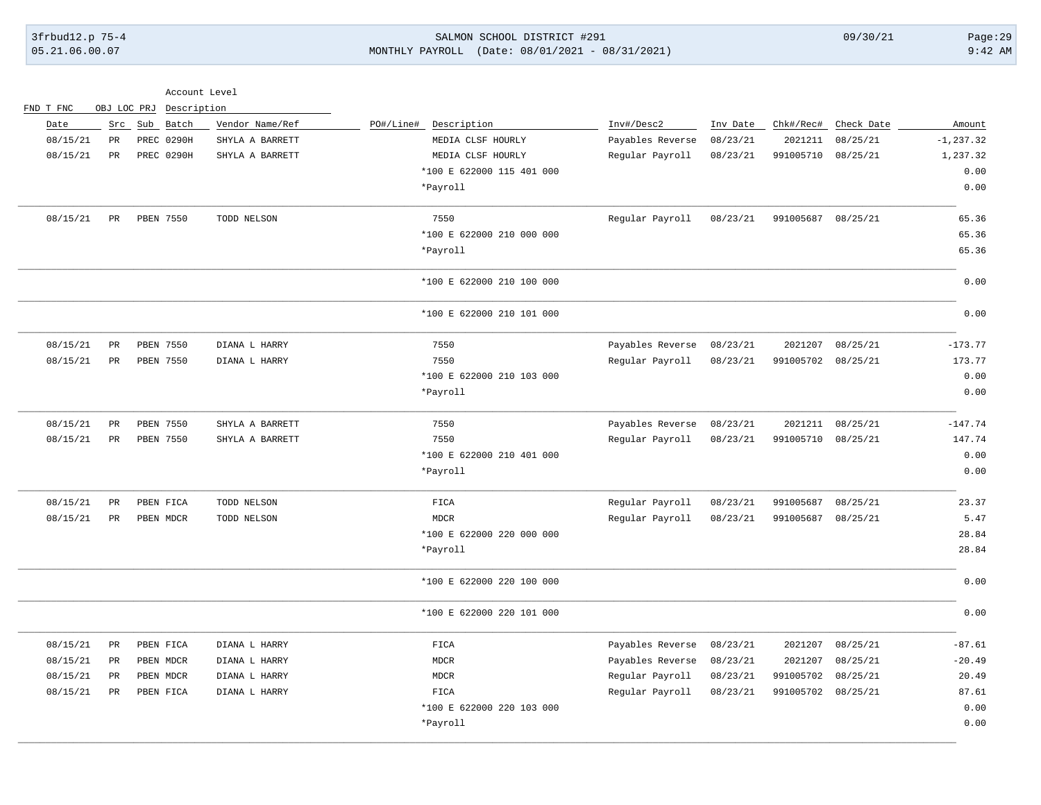## 3frbud12.p 75-4 SALMON SCHOOL DISTRICT #291 09/30/21 Page:29 05.21.06.00.07 MONTHLY PAYROLL (Date: 08/01/2021 - 08/31/2021) 9:42 AM

| FND T FNC | OBJ LOC PRJ | Description       |                 |                           |                  |          |                    |                  |              |
|-----------|-------------|-------------------|-----------------|---------------------------|------------------|----------|--------------------|------------------|--------------|
| Date      | Src         | Sub Batch         | Vendor Name/Ref | PO#/Line#<br>Description  | Inv#/Desc2       | Inv Date | Chk#/Rec#          | Check Date       | Amount       |
| 08/15/21  | PR          | <b>PREC 0290H</b> | SHYLA A BARRETT | MEDIA CLSF HOURLY         | Payables Reverse | 08/23/21 | 2021211            | 08/25/21         | $-1, 237.32$ |
| 08/15/21  | PR          | <b>PREC 0290H</b> | SHYLA A BARRETT | MEDIA CLSF HOURLY         | Regular Payroll  | 08/23/21 | 991005710          | 08/25/21         | 1,237.32     |
|           |             |                   |                 | *100 E 622000 115 401 000 |                  |          |                    |                  | 0.00         |
|           |             |                   |                 | *Payroll                  |                  |          |                    |                  | 0.00         |
| 08/15/21  | $_{\rm PR}$ | PBEN 7550         | TODD NELSON     | 7550                      | Regular Payroll  | 08/23/21 | 991005687 08/25/21 |                  | 65.36        |
|           |             |                   |                 | *100 E 622000 210 000 000 |                  |          |                    |                  | 65.36        |
|           |             |                   |                 | *Payroll                  |                  |          |                    |                  | 65.36        |
|           |             |                   |                 | *100 E 622000 210 100 000 |                  |          |                    |                  | 0.00         |
|           |             |                   |                 | *100 E 622000 210 101 000 |                  |          |                    |                  | 0.00         |
| 08/15/21  | PR          | PBEN 7550         | DIANA L HARRY   | 7550                      | Payables Reverse | 08/23/21 | 2021207            | 08/25/21         | $-173.77$    |
| 08/15/21  | PR          | PBEN 7550         | DIANA L HARRY   | 7550                      | Regular Payroll  | 08/23/21 | 991005702          | 08/25/21         | 173.77       |
|           |             |                   |                 | *100 E 622000 210 103 000 |                  |          |                    |                  | 0.00         |
|           |             |                   |                 | *Payroll                  |                  |          |                    |                  | 0.00         |
| 08/15/21  | PR          | PBEN 7550         | SHYLA A BARRETT | 7550                      | Payables Reverse | 08/23/21 |                    | 2021211 08/25/21 | $-147.74$    |
| 08/15/21  | PR          | PBEN 7550         | SHYLA A BARRETT | 7550                      | Regular Payroll  | 08/23/21 | 991005710          | 08/25/21         | 147.74       |
|           |             |                   |                 | *100 E 622000 210 401 000 |                  |          |                    |                  | 0.00         |
|           |             |                   |                 | *Payroll                  |                  |          |                    |                  | 0.00         |
| 08/15/21  | PR          | PBEN FICA         | TODD NELSON     | FICA                      | Regular Payroll  | 08/23/21 | 991005687          | 08/25/21         | 23.37        |
| 08/15/21  | PR          | PBEN MDCR         | TODD NELSON     | <b>MDCR</b>               | Regular Payroll  | 08/23/21 | 991005687 08/25/21 |                  | 5.47         |
|           |             |                   |                 | *100 E 622000 220 000 000 |                  |          |                    |                  | 28.84        |
|           |             |                   |                 | *Payroll                  |                  |          |                    |                  | 28.84        |
|           |             |                   |                 | *100 E 622000 220 100 000 |                  |          |                    |                  | 0.00         |
|           |             |                   |                 | *100 E 622000 220 101 000 |                  |          |                    |                  | 0.00         |
| 08/15/21  | $_{\rm PR}$ | PBEN FICA         | DIANA L HARRY   | FICA                      | Payables Reverse | 08/23/21 | 2021207            | 08/25/21         | $-87.61$     |
| 08/15/21  | PR          | PBEN MDCR         | DIANA L HARRY   | <b>MDCR</b>               | Payables Reverse | 08/23/21 | 2021207            | 08/25/21         | $-20.49$     |
| 08/15/21  | PR          | PBEN MDCR         | DIANA L HARRY   | <b>MDCR</b>               | Regular Payroll  | 08/23/21 | 991005702          | 08/25/21         | 20.49        |
| 08/15/21  | PR          | PBEN FICA         | DIANA L HARRY   | FICA                      | Regular Payroll  | 08/23/21 | 991005702 08/25/21 |                  | 87.61        |
|           |             |                   |                 | *100 E 622000 220 103 000 |                  |          |                    |                  | 0.00         |
|           |             |                   |                 | *Payroll                  |                  |          |                    |                  | 0.00         |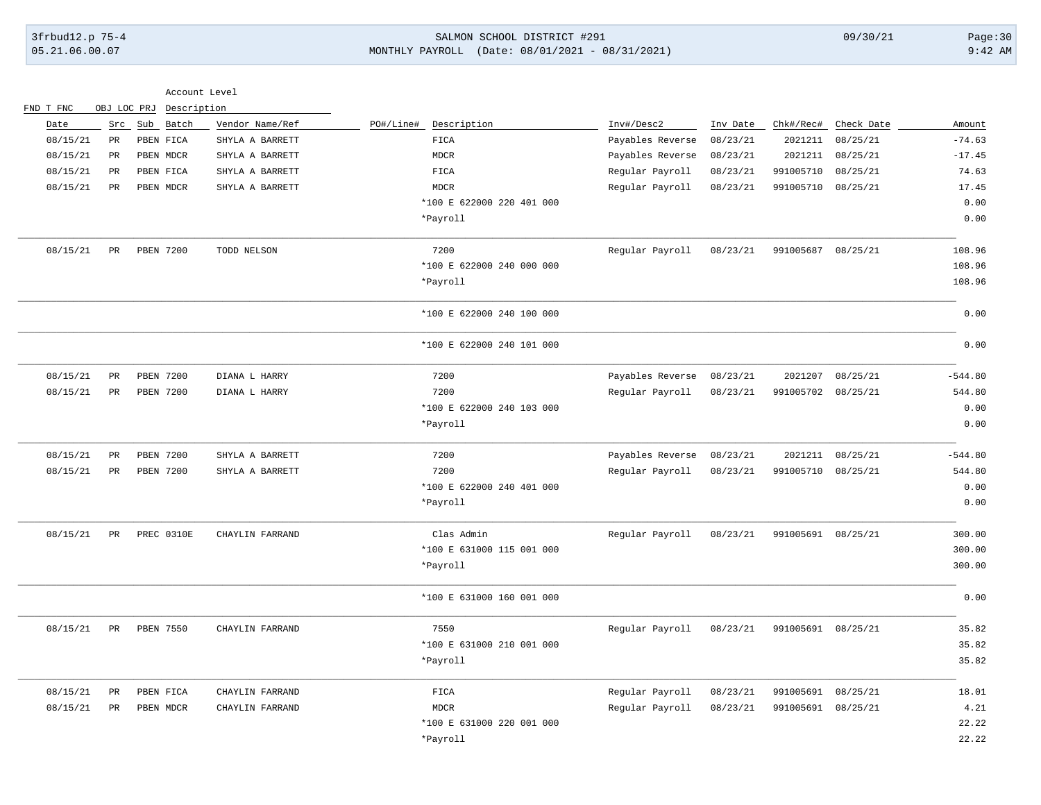# 3frbud12.p 75-4 SALMON SCHOOL DISTRICT #291 09/30/21 Page:30 05.21.06.00.07 MONTHLY PAYROLL (Date: 08/01/2021 - 08/31/2021) 9:42 AM

|           |                      |                  | Account Level   |                           |                  |          |                    |                      |           |
|-----------|----------------------|------------------|-----------------|---------------------------|------------------|----------|--------------------|----------------------|-----------|
| FND T FNC | OBJ LOC PRJ          |                  | Description     |                           |                  |          |                    |                      |           |
| Date      | Src                  | Sub Batch        | Vendor Name/Ref | PO#/Line# Description     | Inv#/Desc2       | Inv Date |                    | Chk#/Rec# Check Date | Amount    |
| 08/15/21  | $\mathtt{PR}$        | PBEN FICA        | SHYLA A BARRETT | FIGA                      | Payables Reverse | 08/23/21 | 2021211            | 08/25/21             | $-74.63$  |
| 08/15/21  | PR                   | PBEN MDCR        | SHYLA A BARRETT | <b>MDCR</b>               | Payables Reverse | 08/23/21 | 2021211            | 08/25/21             | $-17.45$  |
| 08/15/21  | $_{\rm PR}$          | PBEN FICA        | SHYLA A BARRETT | ${\tt FICA}$              | Regular Payroll  | 08/23/21 | 991005710          | 08/25/21             | 74.63     |
| 08/15/21  | <b>PR</b>            | PBEN MDCR        | SHYLA A BARRETT | <b>MDCR</b>               | Regular Payroll  | 08/23/21 | 991005710 08/25/21 |                      | 17.45     |
|           |                      |                  |                 | *100 E 622000 220 401 000 |                  |          |                    |                      | 0.00      |
|           |                      |                  |                 | *Payroll                  |                  |          |                    |                      | 0.00      |
| 08/15/21  | <b>PR</b>            | <b>PBEN 7200</b> | TODD NELSON     | 7200                      | Regular Payroll  | 08/23/21 | 991005687 08/25/21 |                      | 108.96    |
|           |                      |                  |                 | *100 E 622000 240 000 000 |                  |          |                    |                      | 108.96    |
|           |                      |                  |                 | *Payroll                  |                  |          |                    |                      | 108.96    |
|           |                      |                  |                 | *100 E 622000 240 100 000 |                  |          |                    |                      | 0.00      |
|           |                      |                  |                 | *100 E 622000 240 101 000 |                  |          |                    |                      | 0.00      |
| 08/15/21  | PR                   | PBEN 7200        | DIANA L HARRY   | 7200                      | Payables Reverse | 08/23/21 | 2021207            | 08/25/21             | $-544.80$ |
| 08/15/21  | $_{\rm PR}$          | PBEN 7200        | DIANA L HARRY   | 7200                      | Regular Payroll  | 08/23/21 | 991005702 08/25/21 |                      | 544.80    |
|           |                      |                  |                 | *100 E 622000 240 103 000 |                  |          |                    |                      | 0.00      |
|           |                      |                  |                 | *Payroll                  |                  |          |                    |                      | 0.00      |
| 08/15/21  | $_{\rm PR}$          | PBEN 7200        | SHYLA A BARRETT | 7200                      | Payables Reverse | 08/23/21 |                    | 2021211 08/25/21     | $-544.80$ |
| 08/15/21  | PR                   | PBEN 7200        | SHYLA A BARRETT | 7200                      | Regular Payroll  | 08/23/21 | 991005710 08/25/21 |                      | 544.80    |
|           |                      |                  |                 | *100 E 622000 240 401 000 |                  |          |                    |                      | 0.00      |
|           |                      |                  |                 | *Payroll                  |                  |          |                    |                      | 0.00      |
| 08/15/21  | $\mbox{\texttt{PR}}$ | PREC 0310E       | CHAYLIN FARRAND | Clas Admin                | Regular Payroll  | 08/23/21 | 991005691 08/25/21 |                      | 300.00    |
|           |                      |                  |                 | *100 E 631000 115 001 000 |                  |          |                    |                      | 300.00    |
|           |                      |                  |                 | *Payroll                  |                  |          |                    |                      | 300.00    |
|           |                      |                  |                 | *100 E 631000 160 001 000 |                  |          |                    |                      | 0.00      |
| 08/15/21  | PR                   | <b>PBEN 7550</b> | CHAYLIN FARRAND | 7550                      | Regular Payroll  | 08/23/21 | 991005691 08/25/21 |                      | 35.82     |
|           |                      |                  |                 | *100 E 631000 210 001 000 |                  |          |                    |                      | 35.82     |
|           |                      |                  |                 | *Payroll                  |                  |          |                    |                      | 35.82     |
| 08/15/21  | $_{\rm PR}$          | PBEN FICA        | CHAYLIN FARRAND | ${\tt FICA}$              | Regular Payroll  | 08/23/21 | 991005691          | 08/25/21             | 18.01     |
| 08/15/21  | PR                   | PBEN MDCR        | CHAYLIN FARRAND | <b>MDCR</b>               | Regular Payroll  | 08/23/21 | 991005691 08/25/21 |                      | 4.21      |
|           |                      |                  |                 | *100 E 631000 220 001 000 |                  |          |                    |                      | 22.22     |
|           |                      |                  |                 | *Payroll                  |                  |          |                    |                      | 22.22     |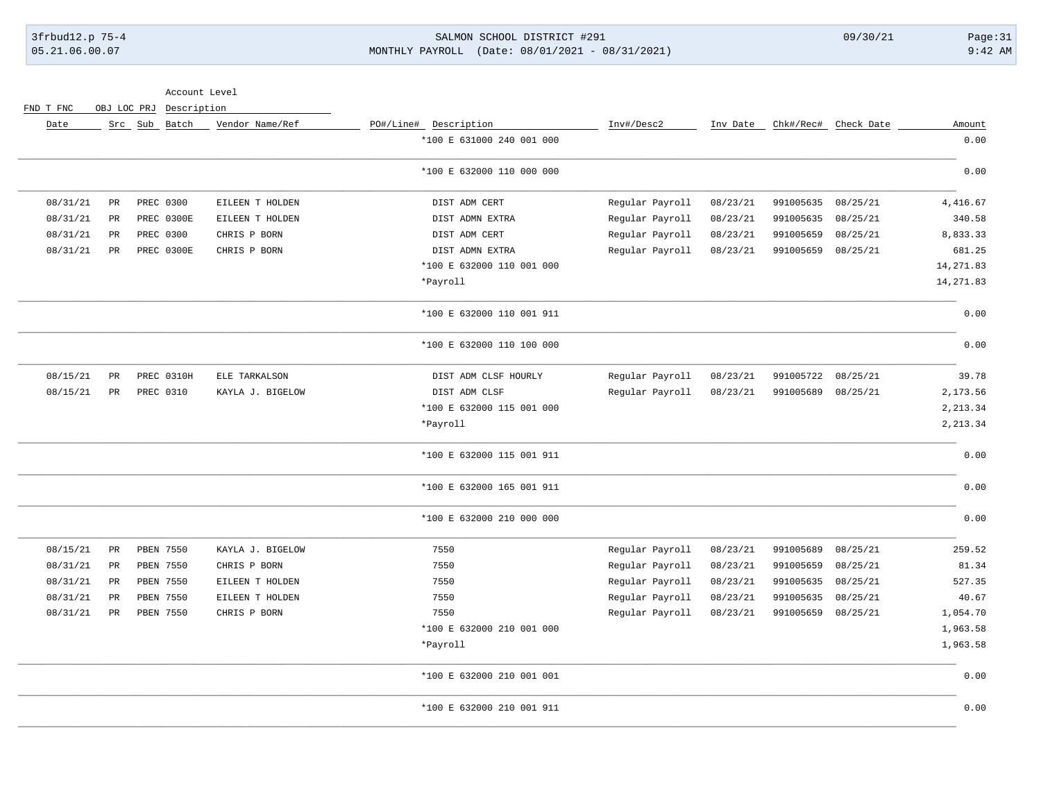## 3frbud12.p 75-4 SALMON SCHOOL DISTRICT #291 09/30/21 Page:31 05.21.06.00.07 MONTHLY PAYROLL (Date: 08/01/2021 - 08/31/2021) 9:42 AM

Account Level

FND T FNC OBJ LOC PRJ Description

| Amount     | Check Date | Chk#/Rec# | Inv Date | Inv#/Desc2      | PO#/Line# Description     | Vendor Name/Ref  |            | Src Sub Batch |             | Date     |
|------------|------------|-----------|----------|-----------------|---------------------------|------------------|------------|---------------|-------------|----------|
| 0.00       |            |           |          |                 | *100 E 631000 240 001 000 |                  |            |               |             |          |
| 0.00       |            |           |          |                 | *100 E 632000 110 000 000 |                  |            |               |             |          |
| 4, 416.67  | 08/25/21   | 991005635 | 08/23/21 | Regular Payroll | DIST ADM CERT             | EILEEN T HOLDEN  |            | PREC 0300     | $_{\rm PR}$ | 08/31/21 |
| 340.58     | 08/25/21   | 991005635 | 08/23/21 | Regular Payroll | DIST ADMN EXTRA           | EILEEN T HOLDEN  | PREC 0300E |               | $_{\rm PR}$ | 08/31/21 |
| 8,833.33   | 08/25/21   | 991005659 | 08/23/21 | Regular Payroll | DIST ADM CERT             | CHRIS P BORN     |            | PREC 0300     | PR          | 08/31/21 |
| 681.25     | 08/25/21   | 991005659 | 08/23/21 | Regular Payroll | DIST ADMN EXTRA           | CHRIS P BORN     | PREC 0300E |               | PR          | 08/31/21 |
| 14, 271.83 |            |           |          |                 | *100 E 632000 110 001 000 |                  |            |               |             |          |
| 14, 271.83 |            |           |          |                 | *Payroll                  |                  |            |               |             |          |
| 0.00       |            |           |          |                 | *100 E 632000 110 001 911 |                  |            |               |             |          |
| 0.00       |            |           |          |                 | *100 E 632000 110 100 000 |                  |            |               |             |          |
| 39.78      | 08/25/21   | 991005722 | 08/23/21 | Regular Payroll | DIST ADM CLSF HOURLY      | ELE TARKALSON    | PREC 0310H |               | PR          | 08/15/21 |
| 2,173.56   | 08/25/21   | 991005689 | 08/23/21 | Regular Payroll | DIST ADM CLSF             | KAYLA J. BIGELOW |            | PREC 0310     | $_{\rm PR}$ | 08/15/21 |
| 2, 213.34  |            |           |          |                 | *100 E 632000 115 001 000 |                  |            |               |             |          |
| 2, 213.34  |            |           |          |                 | *Payroll                  |                  |            |               |             |          |
| 0.00       |            |           |          |                 | *100 E 632000 115 001 911 |                  |            |               |             |          |
| 0.00       |            |           |          |                 | *100 E 632000 165 001 911 |                  |            |               |             |          |
| 0.00       |            |           |          |                 | *100 E 632000 210 000 000 |                  |            |               |             |          |
| 259.52     | 08/25/21   | 991005689 | 08/23/21 | Regular Payroll | 7550                      | KAYLA J. BIGELOW |            | PBEN 7550     | $_{\rm PR}$ | 08/15/21 |
| 81.34      | 08/25/21   | 991005659 | 08/23/21 | Regular Payroll | 7550                      | CHRIS P BORN     |            | PBEN 7550     | PR          | 08/31/21 |
| 527.35     | 08/25/21   | 991005635 | 08/23/21 | Regular Payroll | 7550                      | EILEEN T HOLDEN  |            | PBEN 7550     | PR          | 08/31/21 |
| 40.67      | 08/25/21   | 991005635 | 08/23/21 | Regular Payroll | 7550                      | EILEEN T HOLDEN  |            | PBEN 7550     | PR          | 08/31/21 |
| 1,054.70   | 08/25/21   | 991005659 | 08/23/21 | Regular Payroll | 7550                      | CHRIS P BORN     |            | PBEN 7550     | $_{\rm PR}$ | 08/31/21 |
| 1,963.58   |            |           |          |                 | *100 E 632000 210 001 000 |                  |            |               |             |          |
| 1,963.58   |            |           |          |                 | *Payroll                  |                  |            |               |             |          |
| 0.00       |            |           |          |                 | *100 E 632000 210 001 001 |                  |            |               |             |          |
| 0.00       |            |           |          |                 | *100 E 632000 210 001 911 |                  |            |               |             |          |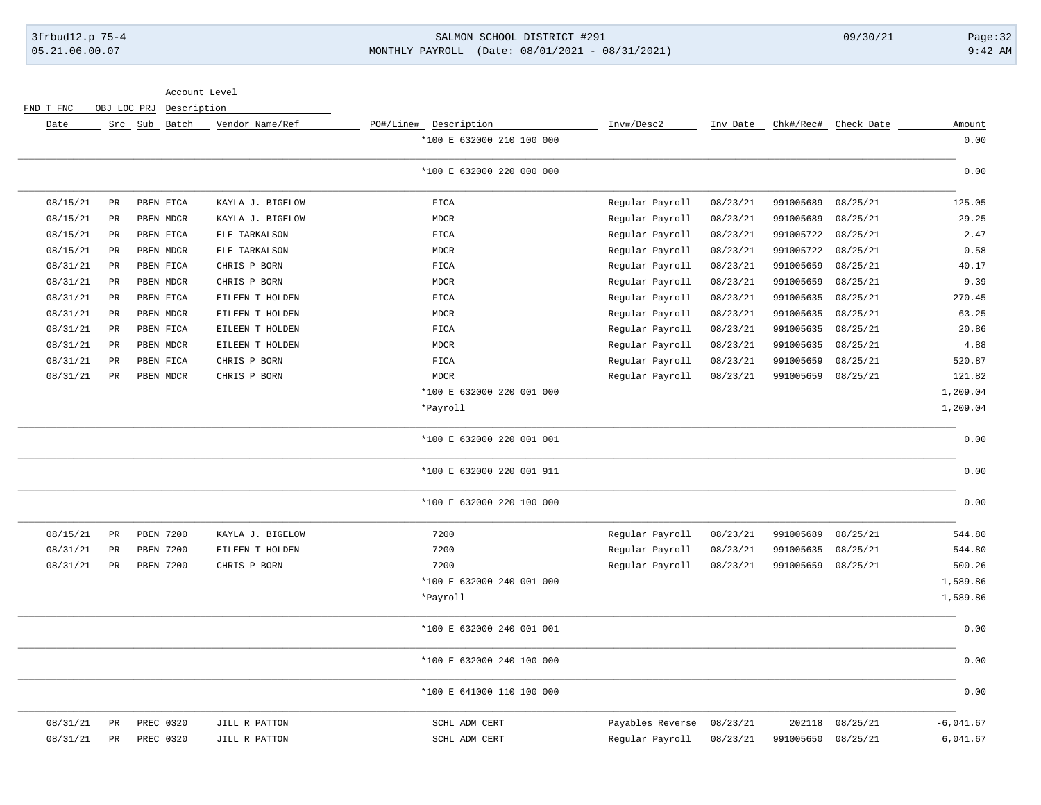### 3frbud12.p 75-4 SALMON SCHOOL DISTRICT #291 09/30/21 Page:32 05.21.06.00.07 MONTHLY PAYROLL (Date: 08/01/2021 - 08/31/2021) 9:42 AM

Account Level

FND T FNC OBJ LOC PRJ Description

| Amount      | Check Date | Chk#/Rec# | Inv Date | Inv#/Desc2       | Description<br>PO#/Line#  | Vendor Name/Ref  | Src Sub Batch    |                 | Date     |
|-------------|------------|-----------|----------|------------------|---------------------------|------------------|------------------|-----------------|----------|
| 0.00        |            |           |          |                  | *100 E 632000 210 100 000 |                  |                  |                 |          |
| 0.00        |            |           |          |                  | *100 E 632000 220 000 000 |                  |                  |                 |          |
| 125.05      | 08/25/21   | 991005689 | 08/23/21 | Regular Payroll  | FICA                      | KAYLA J. BIGELOW | PBEN FICA        | $\mathtt{PR}$   | 08/15/21 |
| 29.25       | 08/25/21   | 991005689 | 08/23/21 | Regular Payroll  | MDCR                      | KAYLA J. BIGELOW | PBEN MDCR        | $\mbox{\sf PR}$ | 08/15/21 |
| 2.47        | 08/25/21   | 991005722 | 08/23/21 | Regular Payroll  | FICA                      | ELE TARKALSON    | PBEN FICA        | PR              | 08/15/21 |
| 0.58        | 08/25/21   | 991005722 | 08/23/21 | Regular Payroll  | MDCR                      | ELE TARKALSON    | PBEN MDCR        | $\mbox{\sf PR}$ | 08/15/21 |
| 40.17       | 08/25/21   | 991005659 | 08/23/21 | Regular Payroll  | FICA                      | CHRIS P BORN     | PBEN FICA        | $\mbox{\sf PR}$ | 08/31/21 |
| 9.39        | 08/25/21   | 991005659 | 08/23/21 | Regular Payroll  | <b>MDCR</b>               | CHRIS P BORN     | PBEN MDCR        | $\mbox{\sf PR}$ | 08/31/21 |
| 270.45      | 08/25/21   | 991005635 | 08/23/21 | Regular Payroll  | ${\tt FICA}$              | EILEEN T HOLDEN  | PBEN FICA        | $_{\rm PR}$     | 08/31/21 |
| 63.25       | 08/25/21   | 991005635 | 08/23/21 | Regular Payroll  | MDCR                      | EILEEN T HOLDEN  | PBEN MDCR        | PR              | 08/31/21 |
| 20.86       | 08/25/21   | 991005635 | 08/23/21 | Regular Payroll  | FICA                      | EILEEN T HOLDEN  | PBEN FICA        | $_{\rm PR}$     | 08/31/21 |
| 4.88        | 08/25/21   | 991005635 | 08/23/21 | Regular Payroll  | <b>MDCR</b>               | EILEEN T HOLDEN  | PBEN MDCR        | $_{\rm PR}$     | 08/31/21 |
| 520.87      | 08/25/21   | 991005659 | 08/23/21 | Regular Payroll  | ${\tt FICA}$              | CHRIS P BORN     | PBEN FICA        | $_{\rm PR}$     | 08/31/21 |
| 121.82      | 08/25/21   | 991005659 | 08/23/21 | Regular Payroll  | <b>MDCR</b>               | CHRIS P BORN     | PBEN MDCR        | $_{\rm PR}$     | 08/31/21 |
| 1,209.04    |            |           |          |                  | *100 E 632000 220 001 000 |                  |                  |                 |          |
| 1,209.04    |            |           |          |                  | *Payroll                  |                  |                  |                 |          |
| 0.00        |            |           |          |                  | *100 E 632000 220 001 001 |                  |                  |                 |          |
| 0.00        |            |           |          |                  | *100 E 632000 220 001 911 |                  |                  |                 |          |
| 0.00        |            |           |          |                  | *100 E 632000 220 100 000 |                  |                  |                 |          |
| 544.80      | 08/25/21   | 991005689 | 08/23/21 | Regular Payroll  | 7200                      | KAYLA J. BIGELOW | <b>PBEN 7200</b> | PR              | 08/15/21 |
| 544.80      | 08/25/21   | 991005635 | 08/23/21 | Regular Payroll  | 7200                      | EILEEN T HOLDEN  | PBEN 7200        | PR              | 08/31/21 |
| 500.26      | 08/25/21   | 991005659 | 08/23/21 | Regular Payroll  | 7200                      | CHRIS P BORN     | PBEN 7200        | PR              | 08/31/21 |
| 1,589.86    |            |           |          |                  | *100 E 632000 240 001 000 |                  |                  |                 |          |
| 1,589.86    |            |           |          |                  | *Payroll                  |                  |                  |                 |          |
| 0.00        |            |           |          |                  | *100 E 632000 240 001 001 |                  |                  |                 |          |
| 0.00        |            |           |          |                  | *100 E 632000 240 100 000 |                  |                  |                 |          |
| 0.00        |            |           |          |                  | *100 E 641000 110 100 000 |                  |                  |                 |          |
| $-6,041.67$ | 08/25/21   | 202118    | 08/23/21 | Payables Reverse | SCHL ADM CERT             | JILL R PATTON    | PREC 0320        | PR              | 08/31/21 |
| 6,041.67    | 08/25/21   | 991005650 | 08/23/21 | Regular Payroll  | SCHL ADM CERT             | JILL R PATTON    | PREC 0320        | $\mbox{\sf PR}$ | 08/31/21 |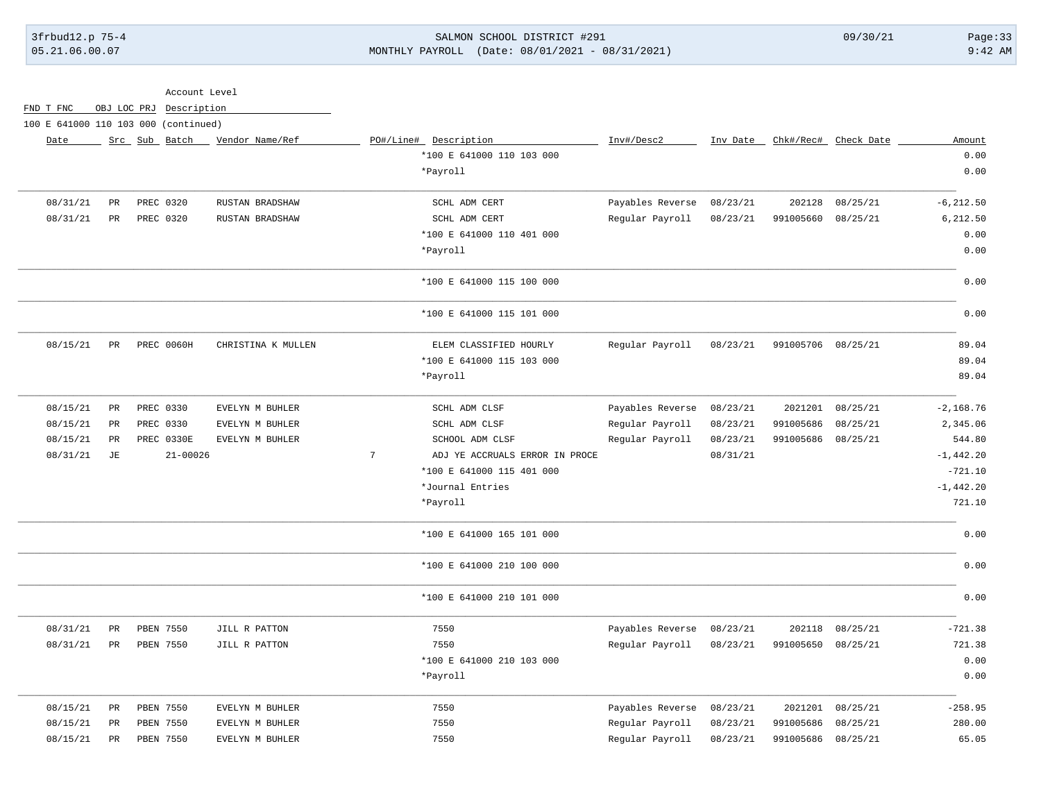### 3frbud12.p 75-4 SALMON SCHOOL DISTRICT #291 09/30/21 Page:33 05.21.06.00.07 MONTHLY PAYROLL (Date: 08/01/2021 - 08/31/2021) 9:42 AM

| Account Level                        |  |             |               |              |                    |                 |                                |                  |          |                    |                      |              |
|--------------------------------------|--|-------------|---------------|--------------|--------------------|-----------------|--------------------------------|------------------|----------|--------------------|----------------------|--------------|
| FND T FNC                            |  | OBJ LOC PRJ |               | Description  |                    |                 |                                |                  |          |                    |                      |              |
| 100 E 641000 110 103 000 (continued) |  |             |               |              |                    |                 |                                |                  |          |                    |                      |              |
| Date                                 |  |             | Src Sub Batch |              | Vendor Name/Ref    |                 | PO#/Line# Description          | Inv#/Desc2       | Inv Date |                    | Chk#/Rec# Check Date | Amount       |
|                                      |  |             |               |              |                    |                 | *100 E 641000 110 103 000      |                  |          |                    |                      | 0.00         |
|                                      |  |             |               |              |                    |                 | *Payroll                       |                  |          |                    |                      | 0.00         |
| 08/31/21                             |  | PR          | PREC 0320     |              | RUSTAN BRADSHAW    |                 | SCHL ADM CERT                  | Payables Reverse | 08/23/21 | 202128             | 08/25/21             | $-6, 212.50$ |
| 08/31/21                             |  | PR          | PREC 0320     |              | RUSTAN BRADSHAW    |                 | SCHL ADM CERT                  | Regular Payroll  | 08/23/21 | 991005660          | 08/25/21             | 6,212.50     |
|                                      |  |             |               |              |                    |                 | *100 E 641000 110 401 000      |                  |          |                    |                      | 0.00         |
|                                      |  |             |               |              |                    |                 | *Payroll                       |                  |          |                    |                      | 0.00         |
|                                      |  |             |               |              |                    |                 | *100 E 641000 115 100 000      |                  |          |                    |                      | 0.00         |
|                                      |  |             |               |              |                    |                 | *100 E 641000 115 101 000      |                  |          |                    |                      | 0.00         |
| 08/15/21                             |  | <b>PR</b>   | PREC 0060H    |              | CHRISTINA K MULLEN |                 | ELEM CLASSIFIED HOURLY         | Regular Payroll  | 08/23/21 | 991005706 08/25/21 |                      | 89.04        |
|                                      |  |             |               |              |                    |                 | *100 E 641000 115 103 000      |                  |          |                    |                      | 89.04        |
|                                      |  |             |               |              |                    |                 | *Payroll                       |                  |          |                    |                      | 89.04        |
| 08/15/21                             |  | PR          | PREC 0330     |              | EVELYN M BUHLER    |                 | SCHL ADM CLSF                  | Payables Reverse | 08/23/21 | 2021201            | 08/25/21             | $-2, 168.76$ |
| 08/15/21                             |  | PR          | PREC 0330     |              | EVELYN M BUHLER    |                 | SCHL ADM CLSF                  | Regular Payroll  | 08/23/21 | 991005686          | 08/25/21             | 2,345.06     |
| 08/15/21                             |  | PR          | PREC 0330E    |              | EVELYN M BUHLER    |                 | SCHOOL ADM CLSF                | Regular Payroll  | 08/23/21 | 991005686          | 08/25/21             | 544.80       |
| 08/31/21                             |  | JЕ          |               | $21 - 00026$ |                    | $7\phantom{.0}$ | ADJ YE ACCRUALS ERROR IN PROCE |                  | 08/31/21 |                    |                      | $-1, 442.20$ |
|                                      |  |             |               |              |                    |                 | *100 E 641000 115 401 000      |                  |          |                    |                      | $-721.10$    |
|                                      |  |             |               |              |                    |                 | *Journal Entries               |                  |          |                    |                      | $-1,442.20$  |
|                                      |  |             |               |              |                    |                 | *Payroll                       |                  |          |                    |                      | 721.10       |
|                                      |  |             |               |              |                    |                 | *100 E 641000 165 101 000      |                  |          |                    |                      | 0.00         |
|                                      |  |             |               |              |                    |                 | *100 E 641000 210 100 000      |                  |          |                    |                      | 0.00         |
|                                      |  |             |               |              |                    |                 | *100 E 641000 210 101 000      |                  |          |                    |                      | 0.00         |
| 08/31/21                             |  | $_{\rm PR}$ | PBEN 7550     |              | JILL R PATTON      |                 | 7550                           | Payables Reverse | 08/23/21 | 202118             | 08/25/21             | $-721.38$    |
| 08/31/21                             |  | PR          | PBEN 7550     |              | JILL R PATTON      |                 | 7550                           | Regular Payroll  | 08/23/21 | 991005650          | 08/25/21             | 721.38       |
|                                      |  |             |               |              |                    |                 | *100 E 641000 210 103 000      |                  |          |                    |                      | 0.00         |
|                                      |  |             |               |              |                    |                 | *Payroll                       |                  |          |                    |                      | 0.00         |
| 08/15/21                             |  | PR          | PBEN 7550     |              | EVELYN M BUHLER    |                 | 7550                           | Payables Reverse | 08/23/21 | 2021201            | 08/25/21             | $-258.95$    |
| 08/15/21                             |  | PR          | PBEN 7550     |              | EVELYN M BUHLER    |                 | 7550                           | Regular Payroll  | 08/23/21 | 991005686          | 08/25/21             | 280.00       |

08/15/21 PR PBEN 7550 EVELYN M BUHLER 7550 Regular Payroll 08/23/21 991005686 08/25/21 65.05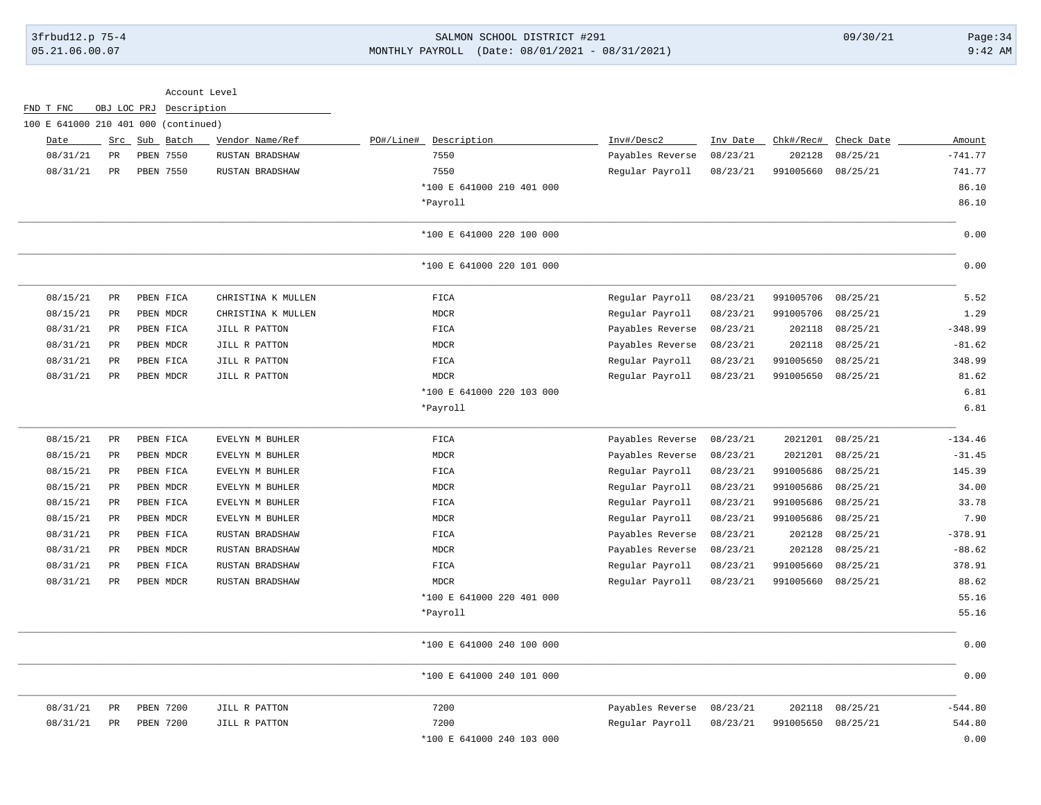# 3frbud12.p 75-4 SALMON SCHOOL DISTRICT #291 09/30/21 Page:34 05.21.06.00.07 MONTHLY PAYROLL (Date: 08/01/2021 - 08/31/2021) 9:42 AM

|                                      |             |                  |             | Account Level      |                           |                  |          |           |            |           |
|--------------------------------------|-------------|------------------|-------------|--------------------|---------------------------|------------------|----------|-----------|------------|-----------|
| FND T FNC                            | OBJ LOC PRJ |                  | Description |                    |                           |                  |          |           |            |           |
| 100 E 641000 210 401 000 (continued) |             |                  |             |                    |                           |                  |          |           |            |           |
| Date                                 |             | Src Sub          | Batch       | Vendor Name/Ref    | PO#/Line# Description     | Inv#/Desc2       | Inv Date | Chk#/Rec# | Check Date | Amount    |
| 08/31/21                             | <b>PR</b>   | PBEN 7550        |             | RUSTAN BRADSHAW    | 7550                      | Payables Reverse | 08/23/21 | 202128    | 08/25/21   | $-741.77$ |
| 08/31/21                             | PR          | PBEN 7550        |             | RUSTAN BRADSHAW    | 7550                      | Regular Payroll  | 08/23/21 | 991005660 | 08/25/21   | 741.77    |
|                                      |             |                  |             |                    | *100 E 641000 210 401 000 |                  |          |           |            | 86.10     |
|                                      |             |                  |             |                    | *Payroll                  |                  |          |           |            | 86.10     |
|                                      |             |                  |             |                    | *100 E 641000 220 100 000 |                  |          |           |            | 0.00      |
|                                      |             |                  |             |                    | *100 E 641000 220 101 000 |                  |          |           |            | 0.00      |
| 08/15/21                             | PR          | PBEN FICA        |             | CHRISTINA K MULLEN | <b>FICA</b>               | Regular Payroll  | 08/23/21 | 991005706 | 08/25/21   | 5.52      |
| 08/15/21                             | PR          | PBEN MDCR        |             | CHRISTINA K MULLEN | <b>MDCR</b>               | Regular Payroll  | 08/23/21 | 991005706 | 08/25/21   | 1.29      |
| 08/31/21                             | $_{\rm PR}$ | PBEN FICA        |             | JILL R PATTON      | FICA                      | Payables Reverse | 08/23/21 | 202118    | 08/25/21   | $-348.99$ |
| 08/31/21                             | PR          | PBEN MDCR        |             | JILL R PATTON      | <b>MDCR</b>               | Payables Reverse | 08/23/21 | 202118    | 08/25/21   | $-81.62$  |
| 08/31/21                             | $_{\rm PR}$ | PBEN FICA        |             | JILL R PATTON      | FICA                      | Regular Payroll  | 08/23/21 | 991005650 | 08/25/21   | 348.99    |
| 08/31/21                             | <b>PR</b>   | PBEN MDCR        |             | JILL R PATTON      | <b>MDCR</b>               | Regular Payroll  | 08/23/21 | 991005650 | 08/25/21   | 81.62     |
|                                      |             |                  |             |                    | *100 E 641000 220 103 000 |                  |          |           |            | 6.81      |
|                                      |             |                  |             |                    | *Payroll                  |                  |          |           |            | 6.81      |
| 08/15/21                             | PR          | PBEN FICA        |             | EVELYN M BUHLER    | <b>FICA</b>               | Payables Reverse | 08/23/21 | 2021201   | 08/25/21   | $-134.46$ |
| 08/15/21                             | $_{\rm PR}$ | PBEN MDCR        |             | EVELYN M BUHLER    | <b>MDCR</b>               | Payables Reverse | 08/23/21 | 2021201   | 08/25/21   | $-31.45$  |
| 08/15/21                             | $_{\rm PR}$ | PBEN FICA        |             | EVELYN M BUHLER    | <b>FICA</b>               | Regular Payroll  | 08/23/21 | 991005686 | 08/25/21   | 145.39    |
| 08/15/21                             | PR          | PBEN MDCR        |             | EVELYN M BUHLER    | <b>MDCR</b>               | Regular Payroll  | 08/23/21 | 991005686 | 08/25/21   | 34.00     |
| 08/15/21                             | PR          | PBEN FICA        |             | EVELYN M BUHLER    | <b>FICA</b>               | Regular Payroll  | 08/23/21 | 991005686 | 08/25/21   | 33.78     |
| 08/15/21                             | $_{\rm PR}$ | PBEN MDCR        |             | EVELYN M BUHLER    | <b>MDCR</b>               | Regular Payroll  | 08/23/21 | 991005686 | 08/25/21   | 7.90      |
| 08/31/21                             | PR          | PBEN FICA        |             | RUSTAN BRADSHAW    | FICA                      | Payables Reverse | 08/23/21 | 202128    | 08/25/21   | $-378.91$ |
| 08/31/21                             | $_{\rm PR}$ | PBEN MDCR        |             | RUSTAN BRADSHAW    | <b>MDCR</b>               | Payables Reverse | 08/23/21 | 202128    | 08/25/21   | $-88.62$  |
| 08/31/21                             | PR          | PBEN FICA        |             | RUSTAN BRADSHAW    | FICA                      | Regular Payroll  | 08/23/21 | 991005660 | 08/25/21   | 378.91    |
| 08/31/21                             | $_{\rm PR}$ | PBEN MDCR        |             | RUSTAN BRADSHAW    | <b>MDCR</b>               | Regular Payroll  | 08/23/21 | 991005660 | 08/25/21   | 88.62     |
|                                      |             |                  |             |                    | *100 E 641000 220 401 000 |                  |          |           |            | 55.16     |
|                                      |             |                  |             |                    | *Payroll                  |                  |          |           |            | 55.16     |
|                                      |             |                  |             |                    | *100 E 641000 240 100 000 |                  |          |           |            | 0.00      |
|                                      |             |                  |             |                    | *100 E 641000 240 101 000 |                  |          |           |            | 0.00      |
| 08/31/21                             | PR          | PBEN 7200        |             | JILL R PATTON      | 7200                      | Payables Reverse | 08/23/21 | 202118    | 08/25/21   | $-544.80$ |
| 08/31/21                             | PR          | <b>PBEN 7200</b> |             | JILL R PATTON      | 7200                      | Regular Payroll  | 08/23/21 | 991005650 | 08/25/21   | 544.80    |
|                                      |             |                  |             |                    | *100 E 641000 240 103 000 |                  |          |           |            | 0.00      |
|                                      |             |                  |             |                    |                           |                  |          |           |            |           |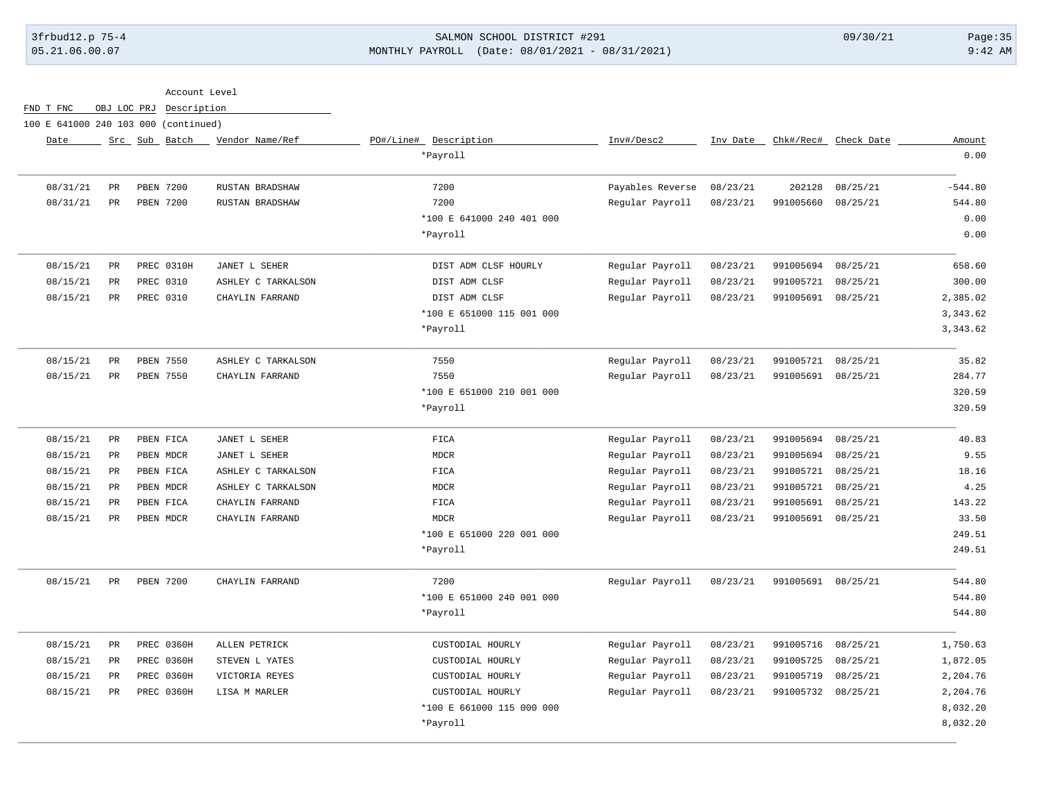## 3frbud12.p 75-4 SALMON SCHOOL DISTRICT #291 09/30/21 Page:35 05.21.06.00.07 MONTHLY PAYROLL (Date: 08/01/2021 - 08/31/2021) 9:42 AM

Account Level

FND T FNC OBJ LOC PRJ Description

100 E 641000 240 103 000 (continued)

| Amount    | Chk#/Rec# Check Date |                    | Inv Date | Inv#/Desc2       | PO#/Line# Description     | Vendor Name/Ref    | Src Sub Batch     |             | Date     |
|-----------|----------------------|--------------------|----------|------------------|---------------------------|--------------------|-------------------|-------------|----------|
| 0.00      |                      |                    |          |                  | *Payroll                  |                    |                   |             |          |
| $-544.80$ | 08/25/21             | 202128             | 08/23/21 | Payables Reverse | 7200                      | RUSTAN BRADSHAW    | <b>PBEN 7200</b>  | PR          | 08/31/21 |
| 544.80    | 08/25/21             | 991005660          | 08/23/21 | Regular Payroll  | 7200                      | RUSTAN BRADSHAW    | <b>PBEN 7200</b>  | PR          | 08/31/21 |
| 0.00      |                      |                    |          |                  | *100 E 641000 240 401 000 |                    |                   |             |          |
| 0.00      |                      |                    |          |                  | *Payroll                  |                    |                   |             |          |
| 658.60    | 08/25/21             | 991005694          | 08/23/21 | Regular Payroll  | DIST ADM CLSF HOURLY      | JANET L SEHER      | PREC 0310H        | PR          | 08/15/21 |
| 300.00    | 08/25/21             | 991005721          | 08/23/21 | Regular Payroll  | DIST ADM CLSF             | ASHLEY C TARKALSON | PREC 0310         | PR          | 08/15/21 |
| 2,385.02  | 08/25/21             | 991005691          | 08/23/21 | Regular Payroll  | DIST ADM CLSF             | CHAYLIN FARRAND    | PREC 0310         | PR          | 08/15/21 |
| 3,343.62  |                      |                    |          |                  | *100 E 651000 115 001 000 |                    |                   |             |          |
| 3,343.62  |                      |                    |          |                  | *Payroll                  |                    |                   |             |          |
| 35.82     | 08/25/21             | 991005721          | 08/23/21 | Regular Payroll  | 7550                      | ASHLEY C TARKALSON | PBEN 7550         | $_{\rm PR}$ | 08/15/21 |
| 284.77    | 08/25/21             | 991005691          | 08/23/21 | Regular Payroll  | 7550                      | CHAYLIN FARRAND    | PBEN 7550         | $_{\rm PR}$ | 08/15/21 |
| 320.59    |                      |                    |          |                  | *100 E 651000 210 001 000 |                    |                   |             |          |
| 320.59    |                      |                    |          |                  | *Payroll                  |                    |                   |             |          |
| 40.83     | 08/25/21             | 991005694          | 08/23/21 | Regular Payroll  | FICA                      | JANET L SEHER      | PBEN FICA         | PR          | 08/15/21 |
| 9.55      | 08/25/21             | 991005694          | 08/23/21 | Regular Payroll  | <b>MDCR</b>               | JANET L SEHER      | PBEN MDCR         | PR          | 08/15/21 |
| 18.16     | 08/25/21             | 991005721          | 08/23/21 | Regular Payroll  | FIGA                      | ASHLEY C TARKALSON | PBEN FICA         | PR          | 08/15/21 |
| 4.25      | 08/25/21             | 991005721          | 08/23/21 | Regular Payroll  | <b>MDCR</b>               | ASHLEY C TARKALSON | PBEN MDCR         | PR          | 08/15/21 |
| 143.22    | 08/25/21             | 991005691          | 08/23/21 | Regular Payroll  | ${\tt FICA}$              | CHAYLIN FARRAND    | PBEN FICA         | PR          | 08/15/21 |
| 33.50     |                      | 991005691 08/25/21 | 08/23/21 | Regular Payroll  | <b>MDCR</b>               | CHAYLIN FARRAND    | PBEN MDCR         | PR          | 08/15/21 |
| 249.51    |                      |                    |          |                  | *100 E 651000 220 001 000 |                    |                   |             |          |
| 249.51    |                      |                    |          |                  | *Payroll                  |                    |                   |             |          |
| 544.80    |                      | 991005691 08/25/21 | 08/23/21 | Regular Payroll  | 7200                      | CHAYLIN FARRAND    | <b>PBEN 7200</b>  | PR          | 08/15/21 |
| 544.80    |                      |                    |          |                  | *100 E 651000 240 001 000 |                    |                   |             |          |
| 544.80    |                      |                    |          |                  | *Payroll                  |                    |                   |             |          |
| 1,750.63  | 08/25/21             | 991005716          | 08/23/21 | Regular Payroll  | CUSTODIAL HOURLY          | ALLEN PETRICK      | PREC 0360H        | PR          | 08/15/21 |
| 1,872.05  | 08/25/21             | 991005725          | 08/23/21 | Regular Payroll  | CUSTODIAL HOURLY          | STEVEN L YATES     | PREC 0360H        | PR          | 08/15/21 |
| 2,204.76  | 08/25/21             | 991005719          | 08/23/21 | Regular Payroll  | CUSTODIAL HOURLY          | VICTORIA REYES     | PREC 0360H        | PR          | 08/15/21 |
| 2,204.76  |                      | 991005732 08/25/21 | 08/23/21 | Regular Payroll  | CUSTODIAL HOURLY          | LISA M MARLER      | <b>PREC 0360H</b> | PR          | 08/15/21 |
| 8,032.20  |                      |                    |          |                  | *100 E 661000 115 000 000 |                    |                   |             |          |
| 8,032.20  |                      |                    |          |                  | *Payroll                  |                    |                   |             |          |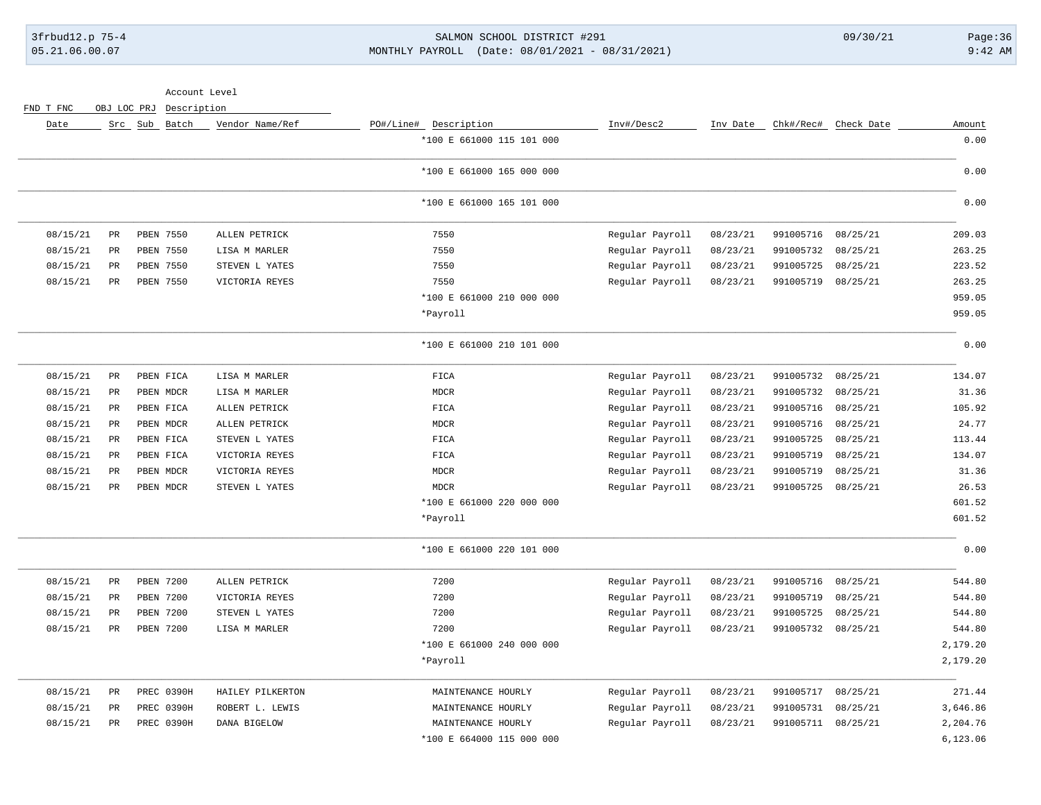## 3frbud12.p 75-4 SALMON SCHOOL DISTRICT #291 09/30/21 Page:36 05.21.06.00.07 MONTHLY PAYROLL (Date: 08/01/2021 - 08/31/2021) 9:42 AM

FND T FNC OBJ LOC PRJ Description

| Date     |             | Src Sub Batch    | Vendor Name/Ref  | PO#/Line# Description     | Inv#/Desc2      | Inv Date | Chk#/Rec# | Check Date | Amount    |
|----------|-------------|------------------|------------------|---------------------------|-----------------|----------|-----------|------------|-----------|
|          |             |                  |                  | *100 E 661000 115 101 000 |                 |          |           |            | 0.00      |
|          |             |                  |                  | *100 E 661000 165 000 000 |                 |          |           |            | 0.00      |
|          |             |                  |                  | *100 E 661000 165 101 000 |                 |          |           |            | 0.00      |
| 08/15/21 | PR          | PBEN 7550        | ALLEN PETRICK    | 7550                      | Regular Payroll | 08/23/21 | 991005716 | 08/25/21   | 209.03    |
| 08/15/21 | $_{\rm PR}$ | PBEN 7550        | LISA M MARLER    | 7550                      | Regular Payroll | 08/23/21 | 991005732 | 08/25/21   | 263.25    |
| 08/15/21 | PR          | PBEN 7550        | STEVEN L YATES   | 7550                      | Regular Payroll | 08/23/21 | 991005725 | 08/25/21   | 223.52    |
| 08/15/21 | PR          | PBEN 7550        | VICTORIA REYES   | 7550                      | Regular Payroll | 08/23/21 | 991005719 | 08/25/21   | 263.25    |
|          |             |                  |                  | *100 E 661000 210 000 000 |                 |          |           |            | 959.05    |
|          |             |                  |                  | *Payroll                  |                 |          |           |            | 959.05    |
|          |             |                  |                  | *100 E 661000 210 101 000 |                 |          |           |            | 0.00      |
| 08/15/21 | PR          | PBEN FICA        | LISA M MARLER    | FICA                      | Regular Payroll | 08/23/21 | 991005732 | 08/25/21   | 134.07    |
| 08/15/21 | PR          | PBEN MDCR        | LISA M MARLER    | <b>MDCR</b>               | Regular Payroll | 08/23/21 | 991005732 | 08/25/21   | 31.36     |
| 08/15/21 | PR          | PBEN FICA        | ALLEN PETRICK    | FICA                      | Regular Payroll | 08/23/21 | 991005716 | 08/25/21   | 105.92    |
| 08/15/21 | $_{\rm PR}$ | PBEN MDCR        | ALLEN PETRICK    | <b>MDCR</b>               | Regular Payroll | 08/23/21 | 991005716 | 08/25/21   | 24.77     |
| 08/15/21 | $_{\rm PR}$ | PBEN FICA        | STEVEN L YATES   | FICA                      | Regular Payroll | 08/23/21 | 991005725 | 08/25/21   | 113.44    |
| 08/15/21 | $_{\rm PR}$ | PBEN FICA        | VICTORIA REYES   | FICA                      | Regular Payroll | 08/23/21 | 991005719 | 08/25/21   | 134.07    |
| 08/15/21 | $_{\rm PR}$ | PBEN MDCR        | VICTORIA REYES   | <b>MDCR</b>               | Regular Payroll | 08/23/21 | 991005719 | 08/25/21   | 31.36     |
| 08/15/21 | $_{\rm PR}$ | PBEN MDCR        | STEVEN L YATES   | <b>MDCR</b>               | Regular Payroll | 08/23/21 | 991005725 | 08/25/21   | 26.53     |
|          |             |                  |                  | *100 E 661000 220 000 000 |                 |          |           |            | 601.52    |
|          |             |                  |                  | *Payroll                  |                 |          |           |            | 601.52    |
|          |             |                  |                  | *100 E 661000 220 101 000 |                 |          |           |            | 0.00      |
| 08/15/21 | PR          | PBEN 7200        | ALLEN PETRICK    | 7200                      | Regular Payroll | 08/23/21 | 991005716 | 08/25/21   | 544.80    |
| 08/15/21 | $_{\rm PR}$ | <b>PBEN 7200</b> | VICTORIA REYES   | 7200                      | Regular Payroll | 08/23/21 | 991005719 | 08/25/21   | 544.80    |
| 08/15/21 | PR          | PBEN 7200        | STEVEN L YATES   | 7200                      | Regular Payroll | 08/23/21 | 991005725 | 08/25/21   | 544.80    |
| 08/15/21 | <b>PR</b>   | <b>PBEN 7200</b> | LISA M MARLER    | 7200                      | Regular Payroll | 08/23/21 | 991005732 | 08/25/21   | 544.80    |
|          |             |                  |                  | *100 E 661000 240 000 000 |                 |          |           |            | 2,179.20  |
|          |             |                  |                  | *Payroll                  |                 |          |           |            | 2,179.20  |
| 08/15/21 | PR          | PREC 0390H       | HAILEY PILKERTON | MAINTENANCE HOURLY        | Regular Payroll | 08/23/21 | 991005717 | 08/25/21   | 271.44    |
| 08/15/21 | $_{\rm PR}$ | PREC 0390H       | ROBERT L. LEWIS  | MAINTENANCE HOURLY        | Regular Payroll | 08/23/21 | 991005731 | 08/25/21   | 3,646.86  |
| 08/15/21 | PR          | PREC 0390H       | DANA BIGELOW     | MAINTENANCE HOURLY        | Regular Payroll | 08/23/21 | 991005711 | 08/25/21   | 2,204.76  |
|          |             |                  |                  | *100 E 664000 115 000 000 |                 |          |           |            | 6, 123.06 |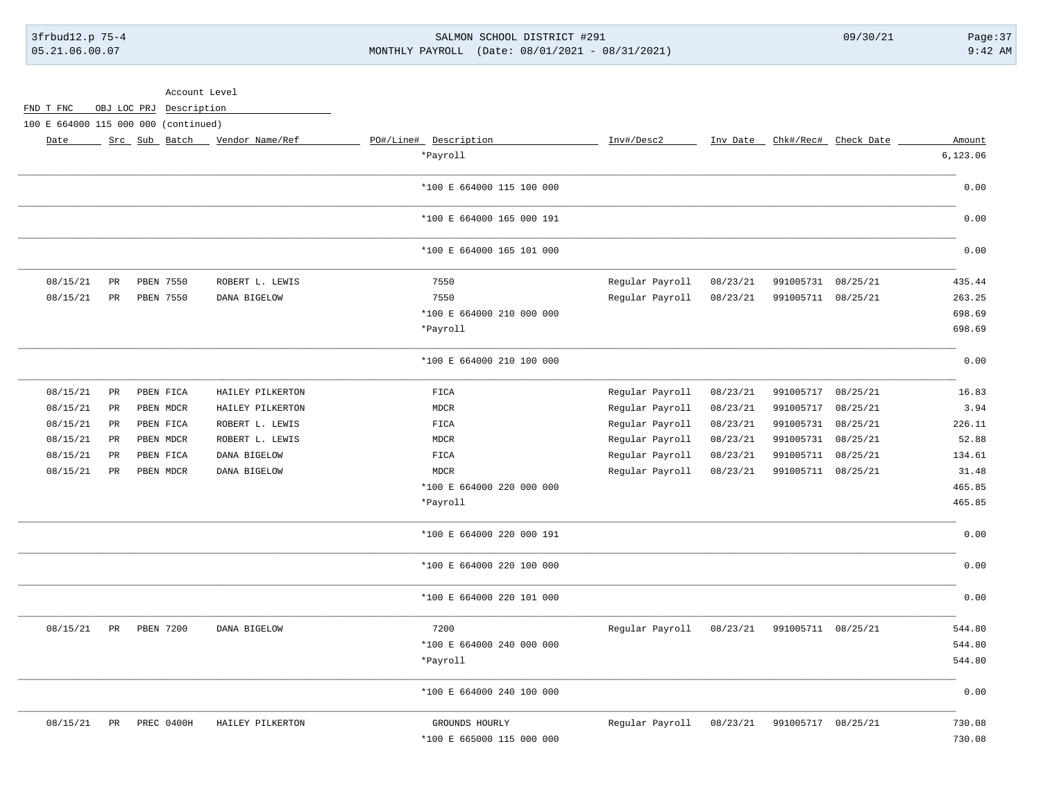# 3frbud12.p 75-4 SALMON SCHOOL DISTRICT #291 09/30/21 Page:37 05.21.06.00.07 MONTHLY PAYROLL (Date: 08/01/2021 - 08/31/2021) 9:42 AM

|           |             | Account Level                        |                  |                           |                 |          |                    |                      |          |
|-----------|-------------|--------------------------------------|------------------|---------------------------|-----------------|----------|--------------------|----------------------|----------|
| FND T FNC |             | OBJ LOC PRJ Description              |                  |                           |                 |          |                    |                      |          |
|           |             | 100 E 664000 115 000 000 (continued) |                  |                           |                 |          |                    |                      |          |
| Date      |             | Src Sub Batch                        | Vendor Name/Ref  | PO#/Line# Description     | Inv#/Desc2      | Inv Date |                    | Chk#/Rec# Check Date | Amount   |
|           |             |                                      |                  | *Payroll                  |                 |          |                    |                      | 6,123.06 |
|           |             |                                      |                  | *100 E 664000 115 100 000 |                 |          |                    |                      | 0.00     |
|           |             |                                      |                  | *100 E 664000 165 000 191 |                 |          |                    |                      | 0.00     |
|           |             |                                      |                  | *100 E 664000 165 101 000 |                 |          |                    |                      | 0.00     |
| 08/15/21  | PR          | PBEN 7550                            | ROBERT L. LEWIS  | 7550                      | Regular Payroll | 08/23/21 | 991005731 08/25/21 |                      | 435.44   |
| 08/15/21  | PR          | PBEN 7550                            | DANA BIGELOW     | 7550                      | Regular Payroll | 08/23/21 | 991005711 08/25/21 |                      | 263.25   |
|           |             |                                      |                  | *100 E 664000 210 000 000 |                 |          |                    |                      | 698.69   |
|           |             |                                      |                  | *Payroll                  |                 |          |                    |                      | 698.69   |
|           |             |                                      |                  | *100 E 664000 210 100 000 |                 |          |                    |                      | 0.00     |
| 08/15/21  | PR          | PBEN FICA                            | HAILEY PILKERTON | FICA                      | Regular Payroll | 08/23/21 | 991005717          | 08/25/21             | 16.83    |
| 08/15/21  | $_{\rm PR}$ | PBEN MDCR                            | HAILEY PILKERTON | <b>MDCR</b>               | Regular Payroll | 08/23/21 | 991005717          | 08/25/21             | 3.94     |
| 08/15/21  | PR          | PBEN FICA                            | ROBERT L. LEWIS  | FICA                      | Regular Payroll | 08/23/21 | 991005731          | 08/25/21             | 226.11   |
| 08/15/21  | PR          | PBEN MDCR                            | ROBERT L. LEWIS  | <b>MDCR</b>               | Regular Payroll | 08/23/21 | 991005731          | 08/25/21             | 52.88    |
| 08/15/21  | PR          | PBEN FICA                            | DANA BIGELOW     | FICA                      | Regular Payroll | 08/23/21 | 991005711          | 08/25/21             | 134.61   |
| 08/15/21  | PR          | PBEN MDCR                            | DANA BIGELOW     | <b>MDCR</b>               | Regular Payroll | 08/23/21 | 991005711 08/25/21 |                      | 31.48    |
|           |             |                                      |                  | *100 E 664000 220 000 000 |                 |          |                    |                      | 465.85   |
|           |             |                                      |                  | *Payroll                  |                 |          |                    |                      | 465.85   |
|           |             |                                      |                  | *100 E 664000 220 000 191 |                 |          |                    |                      | 0.00     |
|           |             |                                      |                  | *100 E 664000 220 100 000 |                 |          |                    |                      | 0.00     |
|           |             |                                      |                  | *100 E 664000 220 101 000 |                 |          |                    |                      | 0.00     |
| 08/15/21  | PR          | PBEN 7200                            | DANA BIGELOW     | 7200                      | Regular Payroll | 08/23/21 | 991005711 08/25/21 |                      | 544.80   |
|           |             |                                      |                  | *100 E 664000 240 000 000 |                 |          |                    |                      | 544.80   |
|           |             |                                      |                  | *Payroll                  |                 |          |                    |                      | 544.80   |
|           |             |                                      |                  | *100 E 664000 240 100 000 |                 |          |                    |                      | 0.00     |
| 08/15/21  | PR          | PREC 0400H                           | HAILEY PILKERTON | GROUNDS HOURLY            | Regular Payroll | 08/23/21 | 991005717 08/25/21 |                      | 730.08   |
|           |             |                                      |                  | *100 E 665000 115 000 000 |                 |          |                    |                      | 730.08   |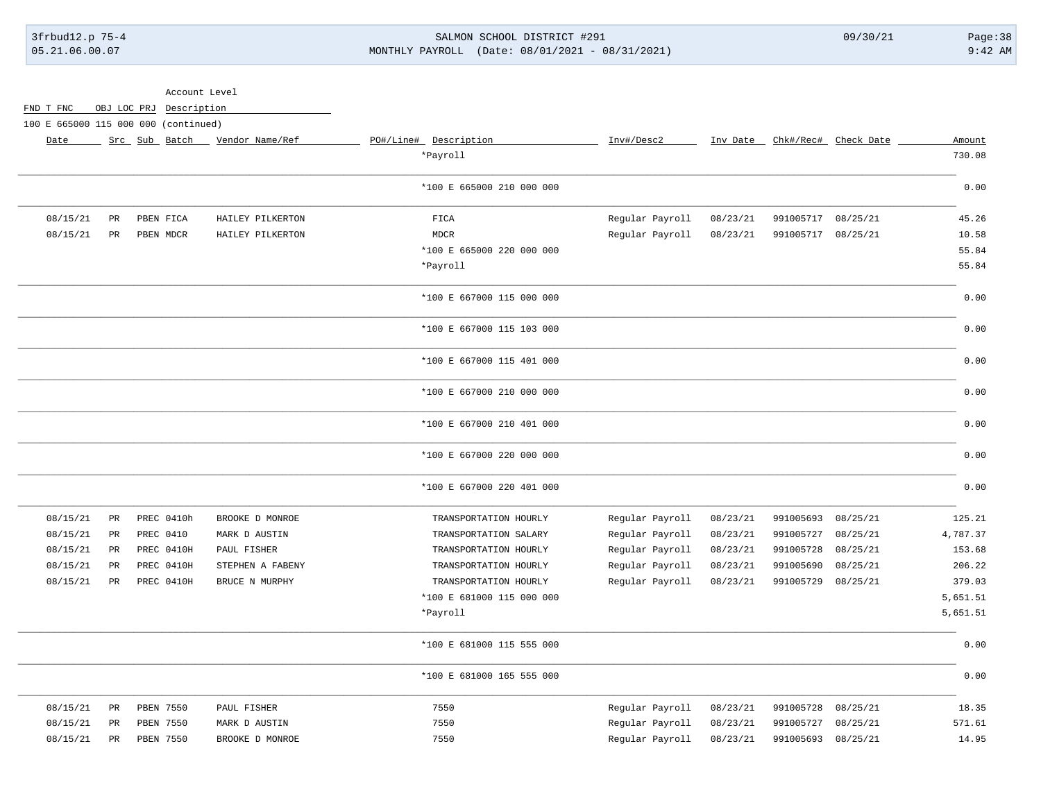# 3frbud12.p 75-4 SALMON SCHOOL DISTRICT #291 09/30/21 Page:38 05.21.06.00.07 MONTHLY PAYROLL (Date: 08/01/2021 - 08/31/2021) 9:42 AM

|           |                                      |  | Account Level           |                  |                           |                 |          |           |                      |          |
|-----------|--------------------------------------|--|-------------------------|------------------|---------------------------|-----------------|----------|-----------|----------------------|----------|
| FND T FNC |                                      |  | OBJ LOC PRJ Description |                  |                           |                 |          |           |                      |          |
|           | 100 E 665000 115 000 000 (continued) |  |                         |                  |                           |                 |          |           |                      |          |
| Date      |                                      |  | Src Sub Batch           | Vendor Name/Ref  | PO#/Line# Description     | Inv#/Desc2      | Inv Date |           | Chk#/Rec# Check Date | Amount   |
|           |                                      |  |                         |                  | *Payroll                  |                 |          |           |                      | 730.08   |
|           |                                      |  |                         |                  | *100 E 665000 210 000 000 |                 |          |           |                      | 0.00     |
| 08/15/21  | $_{\rm PR}$                          |  | PBEN FICA               | HAILEY PILKERTON | FICA                      | Regular Payroll | 08/23/21 | 991005717 | 08/25/21             | 45.26    |
| 08/15/21  | $\mbox{\sf PR}$                      |  | PBEN MDCR               | HAILEY PILKERTON | <b>MDCR</b>               | Regular Payroll | 08/23/21 | 991005717 | 08/25/21             | 10.58    |
|           |                                      |  |                         |                  | *100 E 665000 220 000 000 |                 |          |           |                      | 55.84    |
|           |                                      |  |                         |                  | *Payroll                  |                 |          |           |                      | 55.84    |
|           |                                      |  |                         |                  | *100 E 667000 115 000 000 |                 |          |           |                      | 0.00     |
|           |                                      |  |                         |                  | *100 E 667000 115 103 000 |                 |          |           |                      | 0.00     |
|           |                                      |  |                         |                  | *100 E 667000 115 401 000 |                 |          |           |                      | 0.00     |
|           |                                      |  |                         |                  | *100 E 667000 210 000 000 |                 |          |           |                      | 0.00     |
|           |                                      |  |                         |                  | *100 E 667000 210 401 000 |                 |          |           |                      | 0.00     |
|           |                                      |  |                         |                  | *100 E 667000 220 000 000 |                 |          |           |                      | 0.00     |
|           |                                      |  |                         |                  | *100 E 667000 220 401 000 |                 |          |           |                      | 0.00     |
| 08/15/21  | $_{\rm PR}$                          |  | PREC 0410h              | BROOKE D MONROE  | TRANSPORTATION HOURLY     | Regular Payroll | 08/23/21 | 991005693 | 08/25/21             | 125.21   |
| 08/15/21  | PR                                   |  | PREC 0410               | MARK D AUSTIN    | TRANSPORTATION SALARY     | Regular Payroll | 08/23/21 | 991005727 | 08/25/21             | 4,787.37 |
| 08/15/21  | $_{\rm PR}$                          |  | PREC 0410H              | PAUL FISHER      | TRANSPORTATION HOURLY     | Regular Payroll | 08/23/21 | 991005728 | 08/25/21             | 153.68   |
| 08/15/21  | PR                                   |  | PREC 0410H              | STEPHEN A FABENY | TRANSPORTATION HOURLY     | Regular Payroll | 08/23/21 | 991005690 | 08/25/21             | 206.22   |
| 08/15/21  | <b>PR</b>                            |  | PREC 0410H              | BRUCE N MURPHY   | TRANSPORTATION HOURLY     | Regular Payroll | 08/23/21 | 991005729 | 08/25/21             | 379.03   |
|           |                                      |  |                         |                  | *100 E 681000 115 000 000 |                 |          |           |                      | 5,651.51 |
|           |                                      |  |                         |                  | *Payroll                  |                 |          |           |                      | 5,651.51 |
|           |                                      |  |                         |                  | *100 E 681000 115 555 000 |                 |          |           |                      | 0.00     |
|           |                                      |  |                         |                  | *100 E 681000 165 555 000 |                 |          |           |                      | 0.00     |
| 08/15/21  | $_{\rm PR}$                          |  | <b>PBEN 7550</b>        | PAUL FISHER      | 7550                      | Regular Payroll | 08/23/21 | 991005728 | 08/25/21             | 18.35    |
| 08/15/21  | PR                                   |  | PBEN 7550               | MARK D AUSTIN    | 7550                      | Regular Payroll | 08/23/21 | 991005727 | 08/25/21             | 571.61   |
| 08/15/21  | $_{\rm PR}$                          |  | <b>PBEN 7550</b>        | BROOKE D MONROE  | 7550                      | Regular Payroll | 08/23/21 | 991005693 | 08/25/21             | 14.95    |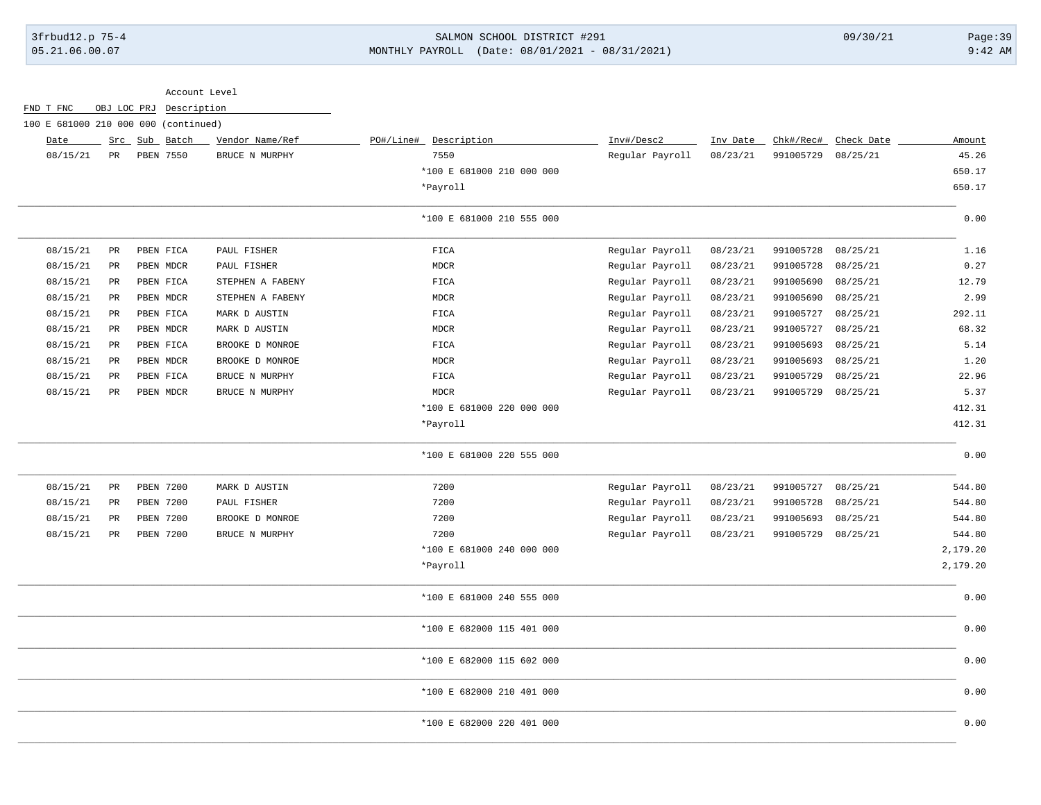## 3frbud12.p 75-4 SALMON SCHOOL DISTRICT #291 09/30/21 Page:39 05.21.06.00.07 MONTHLY PAYROLL (Date: 08/01/2021 - 08/31/2021) 9:42 AM

|                                      |                 |             |                         | Account Level    |                           |                 |          |           |            |          |
|--------------------------------------|-----------------|-------------|-------------------------|------------------|---------------------------|-----------------|----------|-----------|------------|----------|
| FND T FNC                            |                 |             | OBJ LOC PRJ Description |                  |                           |                 |          |           |            |          |
| 100 E 681000 210 000 000 (continued) |                 |             |                         |                  |                           |                 |          | Chk#/Rec# |            |          |
| Date                                 |                 | $Src$ $Sub$ | Batch                   | Vendor Name/Ref  | PO#/Line# Description     | Inv#/Desc2      | Inv Date |           | Check Date | Amount   |
| 08/15/21                             | $_{\rm PR}$     |             | PBEN 7550               | BRUCE N MURPHY   | 7550                      | Regular Payroll | 08/23/21 | 991005729 | 08/25/21   | 45.26    |
|                                      |                 |             |                         |                  | *100 E 681000 210 000 000 |                 |          |           |            | 650.17   |
|                                      |                 |             |                         |                  | *Payroll                  |                 |          |           |            | 650.17   |
|                                      |                 |             |                         |                  | *100 E 681000 210 555 000 |                 |          |           |            | 0.00     |
| 08/15/21                             | $\mbox{\sf PR}$ |             | PBEN FICA               | PAUL FISHER      | <b>FICA</b>               | Regular Payroll | 08/23/21 | 991005728 | 08/25/21   | 1.16     |
| 08/15/21                             | PR              |             | PBEN MDCR               | PAUL FISHER      | <b>MDCR</b>               | Regular Payroll | 08/23/21 | 991005728 | 08/25/21   | 0.27     |
| 08/15/21                             | PR              |             | PBEN FICA               | STEPHEN A FABENY | FICA                      | Regular Payroll | 08/23/21 | 991005690 | 08/25/21   | 12.79    |
| 08/15/21                             | PR              |             | PBEN MDCR               | STEPHEN A FABENY | MDCR                      | Regular Payroll | 08/23/21 | 991005690 | 08/25/21   | 2.99     |
| 08/15/21                             | $_{\rm PR}$     |             | PBEN FICA               | MARK D AUSTIN    | FICA                      | Regular Payroll | 08/23/21 | 991005727 | 08/25/21   | 292.11   |
| 08/15/21                             | $_{\rm PR}$     |             | PBEN MDCR               | MARK D AUSTIN    | <b>MDCR</b>               | Regular Payroll | 08/23/21 | 991005727 | 08/25/21   | 68.32    |
| 08/15/21                             | $_{\rm PR}$     |             | PBEN FICA               | BROOKE D MONROE  | FICA                      | Regular Payroll | 08/23/21 | 991005693 | 08/25/21   | 5.14     |
| 08/15/21                             | $_{\rm PR}$     |             | PBEN MDCR               | BROOKE D MONROE  | <b>MDCR</b>               | Regular Payroll | 08/23/21 | 991005693 | 08/25/21   | 1.20     |
| 08/15/21                             | PR              |             | PBEN FICA               | BRUCE N MURPHY   | FICA                      | Regular Payroll | 08/23/21 | 991005729 | 08/25/21   | 22.96    |
| 08/15/21                             | $_{\rm PR}$     |             | PBEN MDCR               | BRUCE N MURPHY   | <b>MDCR</b>               | Regular Payroll | 08/23/21 | 991005729 | 08/25/21   | 5.37     |
|                                      |                 |             |                         |                  | *100 E 681000 220 000 000 |                 |          |           |            | 412.31   |
|                                      |                 |             |                         |                  | *Payroll                  |                 |          |           |            | 412.31   |
|                                      |                 |             |                         |                  | *100 E 681000 220 555 000 |                 |          |           |            | 0.00     |
| 08/15/21                             | PR              |             | <b>PBEN 7200</b>        | MARK D AUSTIN    | 7200                      | Regular Payroll | 08/23/21 | 991005727 | 08/25/21   | 544.80   |
| 08/15/21                             | PR              |             | PBEN 7200               | PAUL FISHER      | 7200                      | Regular Payroll | 08/23/21 | 991005728 | 08/25/21   | 544.80   |
| 08/15/21                             | PR              |             | <b>PBEN 7200</b>        | BROOKE D MONROE  | 7200                      | Regular Payroll | 08/23/21 | 991005693 | 08/25/21   | 544.80   |
| 08/15/21                             | $_{\rm PR}$     |             | <b>PBEN 7200</b>        | BRUCE N MURPHY   | 7200                      | Regular Payroll | 08/23/21 | 991005729 | 08/25/21   | 544.80   |
|                                      |                 |             |                         |                  | *100 E 681000 240 000 000 |                 |          |           |            | 2,179.20 |
|                                      |                 |             |                         |                  | *Payroll                  |                 |          |           |            | 2,179.20 |
|                                      |                 |             |                         |                  | *100 E 681000 240 555 000 |                 |          |           |            | 0.00     |
|                                      |                 |             |                         |                  | *100 E 682000 115 401 000 |                 |          |           |            | 0.00     |
|                                      |                 |             |                         |                  | *100 E 682000 115 602 000 |                 |          |           |            | 0.00     |
|                                      |                 |             |                         |                  | *100 E 682000 210 401 000 |                 |          |           |            | 0.00     |
|                                      |                 |             |                         |                  | *100 E 682000 220 401 000 |                 |          |           |            | 0.00     |

\_\_\_\_\_\_\_\_\_\_\_\_\_\_\_\_\_\_\_\_\_\_\_\_\_\_\_\_\_\_\_\_\_\_\_\_\_\_\_\_\_\_\_\_\_\_\_\_\_\_\_\_\_\_\_\_\_\_\_\_\_\_\_\_\_\_\_\_\_\_\_\_\_\_\_\_\_\_\_\_\_\_\_\_\_\_\_\_\_\_\_\_\_\_\_\_\_\_\_\_\_\_\_\_\_\_\_\_\_\_\_\_\_\_\_\_\_\_\_\_\_\_\_\_\_\_\_\_\_\_\_\_\_\_\_\_\_\_\_\_\_\_\_\_\_\_\_\_\_\_\_\_\_\_\_\_\_\_\_\_\_\_\_\_\_\_\_\_\_\_